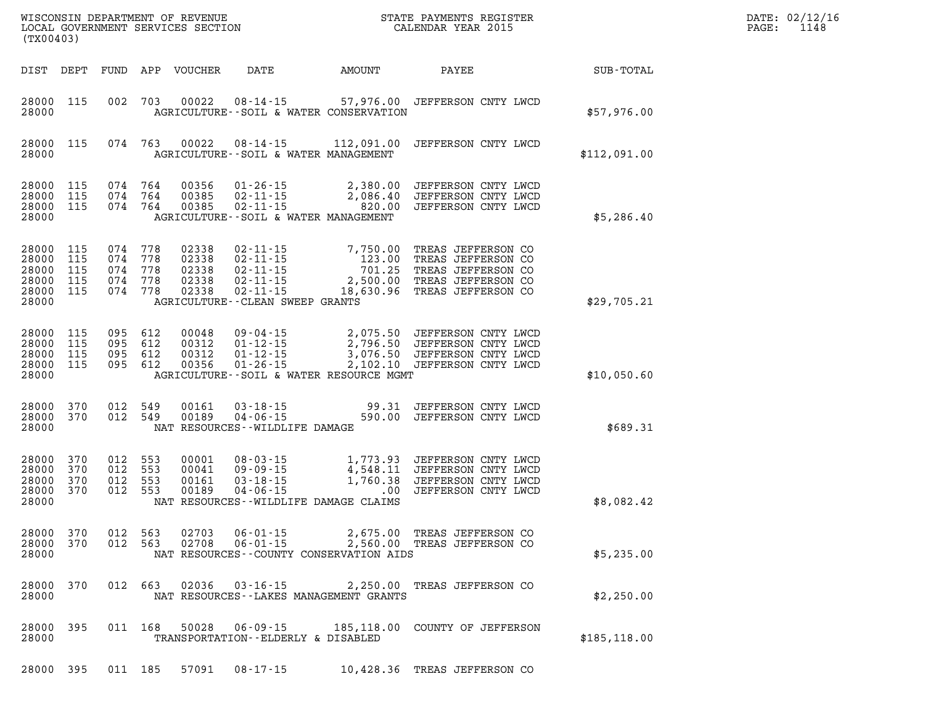| DATE: | 02/12/16 |
|-------|----------|
| PAGE: | 1148     |

| WISCONSIN DEPARTMENT OF REVENUE<br>LOCAL GOVERNMENT SERVICES SECTION<br>(TX00403) |                                 |                          |                                      |                                           |                                                                                                                             |                                                                           | STATE PAYMENTS REGISTER<br>CALENDAR YEAR 2015                                                                                |               | DATE: 02/12/1<br>PAGE:<br>1148 |
|-----------------------------------------------------------------------------------|---------------------------------|--------------------------|--------------------------------------|-------------------------------------------|-----------------------------------------------------------------------------------------------------------------------------|---------------------------------------------------------------------------|------------------------------------------------------------------------------------------------------------------------------|---------------|--------------------------------|
|                                                                                   | DIST DEPT                       |                          |                                      | FUND APP VOUCHER                          | DATE                                                                                                                        | AMOUNT                                                                    | PAYEE                                                                                                                        | SUB-TOTAL     |                                |
| 28000                                                                             | 28000 115                       | 002                      | 703                                  | 00022                                     | $08 - 14 - 15$                                                                                                              | AGRICULTURE--SOIL & WATER CONSERVATION                                    | 57,976.00 JEFFERSON CNTY LWCD                                                                                                | \$57,976.00   |                                |
| 28000<br>28000                                                                    | 115                             |                          | 074 763                              | 00022                                     |                                                                                                                             | $08 - 14 - 15$ 112,091.00<br>AGRICULTURE--SOIL & WATER MANAGEMENT         | JEFFERSON CNTY LWCD                                                                                                          | \$112,091.00  |                                |
| 28000<br>28000<br>28000<br>28000                                                  | 115<br>115<br>- 115             | 074                      | 074 764<br>764<br>074 764            | 00356<br>00385<br>00385                   | $01 - 26 - 15$<br>$02 - 11 - 15$<br>$02 - 11 - 15$                                                                          | 2,380.00<br>2,086.40<br>AGRICULTURE--SOIL & WATER MANAGEMENT              | JEFFERSON CNTY LWCD<br>JEFFERSON CNTY LWCD<br>820.00 JEFFERSON CNTY LWCD                                                     | \$5,286.40    |                                |
| 28000<br>28000<br>28000<br>28000<br>28000<br>28000                                | 115<br>115<br>115<br>115<br>115 | 074<br>074<br>074<br>074 | 778<br>778<br>778<br>778<br>074 778  | 02338<br>02338<br>02338<br>02338<br>02338 | $02 - 11 - 15$<br>$02 - 11 - 15$<br>$02 - 11 - 15$<br>$02 - 11 - 15$<br>$02 - 11 - 15$<br>AGRICULTURE -- CLEAN SWEEP GRANTS | 7,750.00<br>123.00<br>2,500.00                                            | TREAS JEFFERSON CO<br>TREAS JEFFERSON CO<br>701.25 TREAS JEFFERSON CO<br>TREAS JEFFERSON CO<br>18,630.96 TREAS JEFFERSON CO  | \$29,705.21   |                                |
| 28000<br>28000<br>28000<br>28000<br>28000                                         | 115<br>115<br>- 115<br>115      | 095                      | 095 612<br>612<br>095 612<br>095 612 | 00048<br>00312<br>00312<br>00356          | 09-04-15<br>$01 - 12 - 15$<br>$01 - 12 - 15$<br>$01 - 26 - 15$                                                              | AGRICULTURE--SOIL & WATER RESOURCE MGMT                                   | 2,075.50 JEFFERSON CNTY LWCD<br>2,796.50 JEFFERSON CNTY LWCD<br>3,076.50 JEFFERSON CNTY LWCD<br>2,102.10 JEFFERSON CNTY LWCD | \$10,050.60   |                                |
| 28000<br>28000<br>28000                                                           | 370<br>370                      | 012                      | 549<br>012 549                       | 00161<br>00189                            | $03 - 18 - 15$<br>$04 - 06 - 15$<br>NAT RESOURCES--WILDLIFE DAMAGE                                                          | 99.31<br>590.00                                                           | JEFFERSON CNTY LWCD<br>JEFFERSON CNTY LWCD                                                                                   | \$689.31      |                                |
| 28000<br>28000<br>28000<br>28000<br>28000                                         | 370<br>370<br>370<br>370        | 012<br>012<br>012        | 553<br>553<br>553<br>012 553         | 00001<br>00041<br>00161<br>00189          | $08 - 03 - 15$<br>$09 - 09 - 15$<br>$03 - 18 - 15$<br>$04 - 06 - 15$                                                        | 4,548.11<br>1,760.38<br>$.00 \,$<br>NAT RESOURCES--WILDLIFE DAMAGE CLAIMS | 1,773.93 JEFFERSON CNTY LWCD<br>JEFFERSON CNTY LWCD<br>JEFFERSON CNTY LWCD<br>JEFFERSON CNTY LWCD                            | \$8,082.42    |                                |
| 28000<br>28000                                                                    | 370<br>28000 370                | 012                      | 563                                  | 02703                                     | $06 - 01 - 15$                                                                                                              | 2,675.00<br>NAT RESOURCES--COUNTY CONSERVATION AIDS                       | TREAS JEFFERSON CO<br>012 563 02708 06-01-15 2,560.00 TREAS JEFFERSON CO                                                     | \$5,235.00    |                                |
| 28000                                                                             | 28000 370                       |                          |                                      |                                           | 012 663 02036 03-16-15                                                                                                      | NAT RESOURCES - - LAKES MANAGEMENT GRANTS                                 | 2,250.00 TREAS JEFFERSON CO                                                                                                  | \$2,250.00    |                                |
| 28000                                                                             | 28000 395                       |                          | 011 168                              |                                           | TRANSPORTATION--ELDERLY & DISABLED                                                                                          |                                                                           | 50028  06-09-15  185,118.00  COUNTY OF JEFFERSON                                                                             | \$185, 118.00 |                                |
| 28000 395                                                                         |                                 |                          | 011 185                              | 57091                                     | $08 - 17 - 15$                                                                                                              |                                                                           | 10,428.36 TREAS JEFFERSON CO                                                                                                 |               |                                |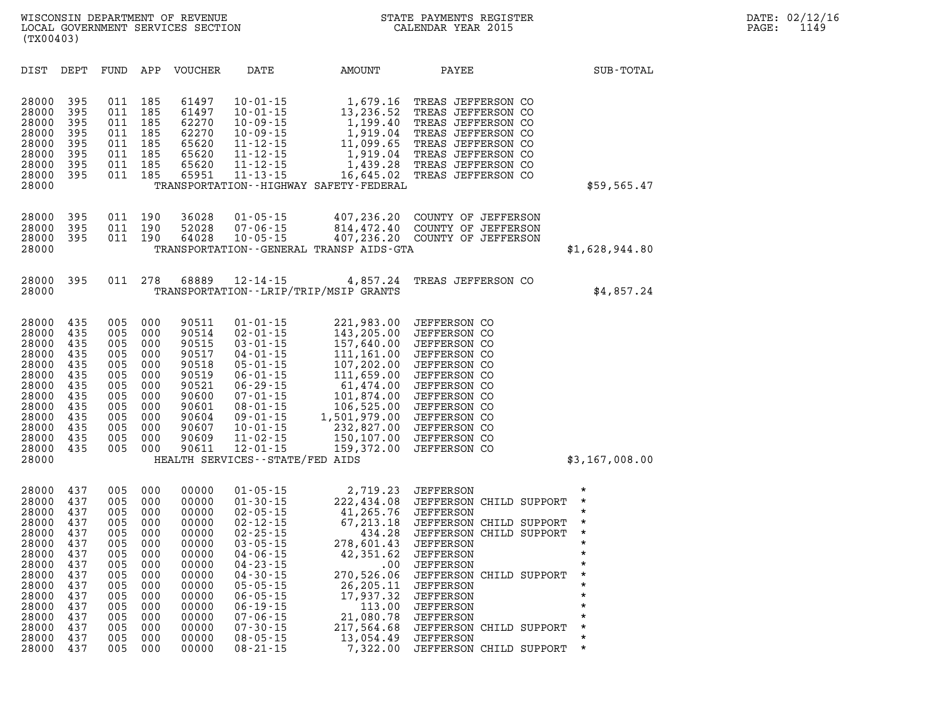| DIST                                                                                                                                | DEPT                                                                                                  | FUND                                                                                                  | APP                                                                                                   | <b>VOUCHER</b>                                                                                                                      | DATE                                                                                                                                                                                                                                                                         | AMOUNT                                                                                                                                                                                  | PAYEE                                                                                                                                                                                                                                                                                                                                | SUB-TOTAL                                                                                                                                   |
|-------------------------------------------------------------------------------------------------------------------------------------|-------------------------------------------------------------------------------------------------------|-------------------------------------------------------------------------------------------------------|-------------------------------------------------------------------------------------------------------|-------------------------------------------------------------------------------------------------------------------------------------|------------------------------------------------------------------------------------------------------------------------------------------------------------------------------------------------------------------------------------------------------------------------------|-----------------------------------------------------------------------------------------------------------------------------------------------------------------------------------------|--------------------------------------------------------------------------------------------------------------------------------------------------------------------------------------------------------------------------------------------------------------------------------------------------------------------------------------|---------------------------------------------------------------------------------------------------------------------------------------------|
| 28000<br>28000<br>28000<br>28000<br>28000<br>28000<br>28000<br>28000<br>28000                                                       | 395<br>395<br>395<br>395<br>395<br>395<br>395<br>395                                                  | 011<br>011<br>011<br>011<br>011<br>011<br>011<br>011                                                  | 185<br>185<br>185<br>185<br>185<br>185<br>185<br>185                                                  | 61497<br>61497<br>62270<br>62270<br>65620<br>65620<br>65620<br>65951                                                                | $10 - 01 - 15$<br>$10 - 01 - 15$<br>$10 - 09 - 15$<br>$10 - 09 - 15$<br>$11 - 12 - 15$<br>$11 - 12 - 15$<br>$11 - 12 - 15$<br>$11 - 13 - 15$                                                                                                                                 | 1,679.16<br>13,236.52<br>1,199.40<br>1,919.04<br>11,099.65<br>1,919.04<br>1,439.28<br>16,645.02<br>TRANSPORTATION - - HIGHWAY SAFETY - FEDERAL                                          | TREAS JEFFERSON CO<br>TREAS JEFFERSON CO<br>TREAS JEFFERSON CO<br>TREAS JEFFERSON CO<br>TREAS JEFFERSON CO<br>TREAS JEFFERSON CO<br>TREAS JEFFERSON CO<br>TREAS JEFFERSON CO                                                                                                                                                         | \$59,565.47                                                                                                                                 |
| 28000<br>28000<br>28000<br>28000                                                                                                    | 395<br>395<br>395                                                                                     | 011<br>011<br>011                                                                                     | 190<br>190<br>190                                                                                     | 36028<br>52028<br>64028                                                                                                             | $01 - 05 - 15$<br>$07 - 06 - 15$<br>$10 - 05 - 15$                                                                                                                                                                                                                           | 407,236.20<br>814,472.40<br>TRANSPORTATION--GENERAL TRANSP AIDS-GTA                                                                                                                     | COUNTY OF JEFFERSON<br>COUNTY OF JEFFERSON<br>407,236.20 COUNTY OF JEFFERSON                                                                                                                                                                                                                                                         | \$1,628,944.80                                                                                                                              |
| 28000<br>28000                                                                                                                      | 395                                                                                                   | 011                                                                                                   | 278                                                                                                   | 68889                                                                                                                               | $12 - 14 - 15$                                                                                                                                                                                                                                                               | 4,857.24<br>TRANSPORTATION--LRIP/TRIP/MSIP GRANTS                                                                                                                                       | TREAS JEFFERSON CO                                                                                                                                                                                                                                                                                                                   | \$4,857.24                                                                                                                                  |
| 28000<br>28000<br>28000<br>28000<br>28000<br>28000<br>28000<br>28000<br>28000<br>28000<br>28000<br>28000<br>28000<br>28000          | 435<br>435<br>435<br>435<br>435<br>435<br>435<br>435<br>435<br>435<br>435<br>435<br>435               | 005<br>005<br>005<br>005<br>005<br>005<br>005<br>005<br>005<br>005<br>005<br>005<br>005               | 000<br>000<br>000<br>000<br>000<br>000<br>000<br>000<br>000<br>000<br>000<br>000<br>000               | 90511<br>90514<br>90515<br>90517<br>90518<br>90519<br>90521<br>90600<br>90601<br>90604<br>90607<br>90609<br>90611                   | $01 - 01 - 15$<br>$02 - 01 - 15$<br>$03 - 01 - 15$<br>$04 - 01 - 15$<br>$05 - 01 - 15$<br>$06 - 01 - 15$<br>$06 - 29 - 15$<br>$07 - 01 - 15$<br>$08 - 01 - 15$<br>$09 - 01 - 15$<br>$10 - 01 - 15$<br>$11 - 02 - 15$<br>$12 - 01 - 15$<br>HEALTH SERVICES - - STATE/FED AIDS | 221,983.00<br>143,205.00<br>157,640.00<br>111,161.00<br>107,202.00<br>111,659.00<br>61,474.00<br>101,874.00<br>106,525.00<br>1,501,979.00<br>232,827.00<br>150,107.00<br>159,372.00     | <b>JEFFERSON CO</b><br><b>JEFFERSON CO</b><br>JEFFERSON CO<br><b>JEFFERSON CO</b><br><b>JEFFERSON CO</b><br><b>JEFFERSON CO</b><br><b>JEFFERSON CO</b><br><b>JEFFERSON CO</b><br><b>JEFFERSON CO</b><br><b>JEFFERSON CO</b><br><b>JEFFERSON CO</b><br><b>JEFFERSON CO</b><br><b>JEFFERSON CO</b>                                     | \$3,167,008.00                                                                                                                              |
| 28000<br>28000<br>28000<br>28000<br>28000<br>28000<br>28000<br>28000<br>28000<br>28000<br>28000<br>28000<br>28000<br>28000<br>28000 | 437<br>437<br>437<br>437<br>437<br>437<br>437<br>437<br>437<br>437<br>437<br>437<br>437<br>437<br>437 | 005<br>005<br>005<br>005<br>005<br>005<br>005<br>005<br>005<br>005<br>005<br>005<br>005<br>005<br>005 | 000<br>000<br>000<br>000<br>000<br>000<br>000<br>000<br>000<br>000<br>000<br>000<br>000<br>000<br>000 | 00000<br>00000<br>00000<br>00000<br>00000<br>00000<br>00000<br>00000<br>00000<br>00000<br>00000<br>00000<br>00000<br>00000<br>00000 | $01 - 05 - 15$<br>$01 - 30 - 15$<br>$02 - 05 - 15$<br>$02 - 12 - 15$<br>$02 - 25 - 15$<br>$03 - 05 - 15$<br>$04 - 06 - 15$<br>$04 - 23 - 15$<br>$04 - 30 - 15$<br>$05 - 05 - 15$<br>$06 - 05 - 15$<br>$06 - 19 - 15$<br>$07 - 06 - 15$<br>$07 - 30 - 15$<br>$08 - 05 - 15$   | 2,719.23<br>222,434.08<br>41,265.76<br>67, 213.18<br>434.28<br>278,601.43<br>42,351.62<br>.00<br>270,526.06<br>26,205.11<br>17,937.32<br>113.00<br>21,080.78<br>217,564.68<br>13,054.49 | JEFFERSON<br>JEFFERSON CHILD SUPPORT<br><b>JEFFERSON</b><br>JEFFERSON CHILD SUPPORT<br>JEFFERSON CHILD SUPPORT<br><b>JEFFERSON</b><br><b>JEFFERSON</b><br><b>JEFFERSON</b><br>JEFFERSON CHILD SUPPORT<br><b>JEFFERSON</b><br><b>JEFFERSON</b><br><b>JEFFERSON</b><br><b>JEFFERSON</b><br>JEFFERSON CHILD SUPPORT<br><b>JEFFERSON</b> | $\star$<br>$^\star$<br>$^\star$<br>$\star$<br>$\star$<br>*<br>*<br>$\star$<br>*<br>*<br>$\star$<br>$\star$<br>$\star$<br>$\star$<br>$\star$ |

**28000 437 005 000 00000 08-21-15 7,322.00 JEFFERSON CHILD SUPPORT \***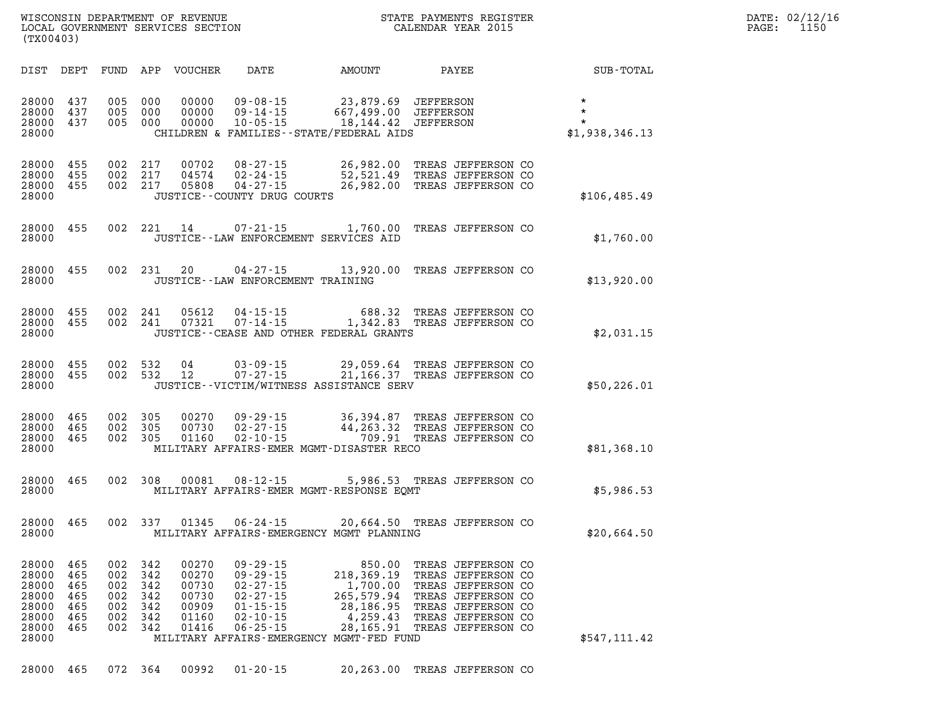| ' OF REVENUE                            | PAYMENTS REGISTER  |       | 02/12/16                              |
|-----------------------------------------|--------------------|-------|---------------------------------------|
| WISCONSIN DEPARTMENT                    | 3TATE              | DATE: |                                       |
| SERVICES SECTION<br>LOCAL<br>GOVERNMENT | CALENDAR YEAR 2015 | PAGE  | $\lambda$ $\lambda$ $\lambda$<br>⊥⊥5∪ |

|  |  |  |  |  | 28000 465 072 364 00992 01-20-15 | 20,263.00 TREAS JEFFERSON CO |  |  |  |
|--|--|--|--|--|----------------------------------|------------------------------|--|--|--|
|--|--|--|--|--|----------------------------------|------------------------------|--|--|--|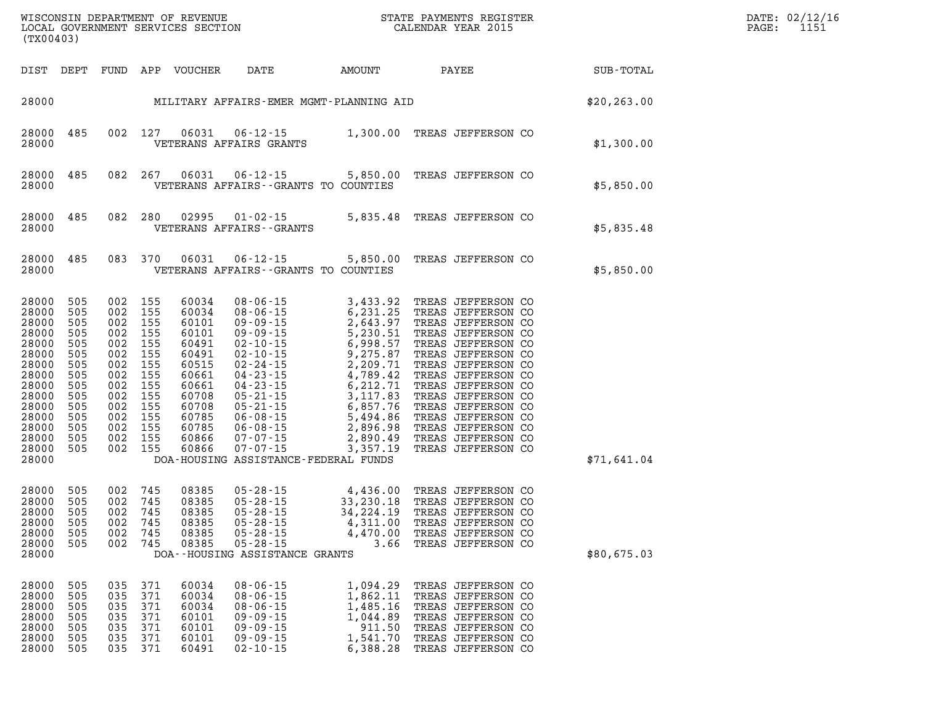| WISCONSIN DEPARTMENT OF REVENUE        | STATE PAYMENTS REGISTER |      | DATE: 02/12/16 |
|----------------------------------------|-------------------------|------|----------------|
| LOCAL GOVERNMENT SERVICES SECTION<br>. | CALENDAR YEAR 2015      | PAGE |                |

| DIST                                                                                                                                         | DEPT                                                                                                  | FUND                                                                                                  | APP                                                                                                   | VOUCHER                                                                                                                             | DATE                                                                                                                                                                                                                                                                                                               | AMOUNT                                                                                                                                                                           | PAYEE                                                                                                                                                                                                                                                                                                                                  | SUB-TOTAL    |
|----------------------------------------------------------------------------------------------------------------------------------------------|-------------------------------------------------------------------------------------------------------|-------------------------------------------------------------------------------------------------------|-------------------------------------------------------------------------------------------------------|-------------------------------------------------------------------------------------------------------------------------------------|--------------------------------------------------------------------------------------------------------------------------------------------------------------------------------------------------------------------------------------------------------------------------------------------------------------------|----------------------------------------------------------------------------------------------------------------------------------------------------------------------------------|----------------------------------------------------------------------------------------------------------------------------------------------------------------------------------------------------------------------------------------------------------------------------------------------------------------------------------------|--------------|
| 28000                                                                                                                                        |                                                                                                       |                                                                                                       |                                                                                                       |                                                                                                                                     |                                                                                                                                                                                                                                                                                                                    | MILITARY AFFAIRS-EMER MGMT-PLANNING AID                                                                                                                                          |                                                                                                                                                                                                                                                                                                                                        | \$20, 263.00 |
| 28000<br>28000                                                                                                                               | 485                                                                                                   | 002                                                                                                   | 127                                                                                                   | 06031                                                                                                                               | $06 - 12 - 15$<br>VETERANS AFFAIRS GRANTS                                                                                                                                                                                                                                                                          |                                                                                                                                                                                  | 1,300.00 TREAS JEFFERSON CO                                                                                                                                                                                                                                                                                                            | \$1,300.00   |
| 28000<br>28000                                                                                                                               | 485                                                                                                   | 082                                                                                                   | 267                                                                                                   | 06031                                                                                                                               | $06 - 12 - 15$<br>VETERANS AFFAIRS - - GRANTS TO COUNTIES                                                                                                                                                                                                                                                          | 5,850.00                                                                                                                                                                         | TREAS JEFFERSON CO                                                                                                                                                                                                                                                                                                                     | \$5,850.00   |
| 28000<br>28000                                                                                                                               | 485                                                                                                   | 082                                                                                                   | 280                                                                                                   | 02995                                                                                                                               | $01 - 02 - 15$<br>VETERANS AFFAIRS - - GRANTS                                                                                                                                                                                                                                                                      | 5,835.48                                                                                                                                                                         | TREAS JEFFERSON CO                                                                                                                                                                                                                                                                                                                     | \$5,835.48   |
| 28000<br>28000                                                                                                                               | 485                                                                                                   | 083                                                                                                   | 370                                                                                                   | 06031                                                                                                                               | $06 - 12 - 15$<br>VETERANS AFFAIRS - - GRANTS TO COUNTIES                                                                                                                                                                                                                                                          | 5,850.00                                                                                                                                                                         | TREAS JEFFERSON CO                                                                                                                                                                                                                                                                                                                     | \$5,850.00   |
| 28000<br>28000<br>28000<br>28000<br>28000<br>28000<br>28000<br>28000<br>28000<br>28000<br>28000<br>28000<br>28000<br>28000<br>28000<br>28000 | 505<br>505<br>505<br>505<br>505<br>505<br>505<br>505<br>505<br>505<br>505<br>505<br>505<br>505<br>505 | 002<br>002<br>002<br>002<br>002<br>002<br>002<br>002<br>002<br>002<br>002<br>002<br>002<br>002<br>002 | 155<br>155<br>155<br>155<br>155<br>155<br>155<br>155<br>155<br>155<br>155<br>155<br>155<br>155<br>155 | 60034<br>60034<br>60101<br>60101<br>60491<br>60491<br>60515<br>60661<br>60661<br>60708<br>60708<br>60785<br>60785<br>60866<br>60866 | $08 - 06 - 15$<br>$08 - 06 - 15$<br>$09 - 09 - 15$<br>$09 - 09 - 15$<br>$02 - 10 - 15$<br>$02 - 10 - 15$<br>$02 - 24 - 15$<br>$04 - 23 - 15$<br>$04 - 23 - 15$<br>$05 - 21 - 15$<br>$05 - 21 - 15$<br>$06 - 08 - 15$<br>$06 - 08 - 15$<br>$07 - 07 - 15$<br>$07 - 07 - 15$<br>DOA-HOUSING ASSISTANCE-FEDERAL FUNDS | 3,433.92<br>6,231.25<br>2,643.97<br>5,230.51<br>6,998.57<br>9,275.87<br>2,209.71<br>4,789.42<br>6,212.71<br>3,117.83<br>6,857.76<br>5,494.86<br>2,896.98<br>2,890.49<br>3,357.19 | TREAS JEFFERSON CO<br>TREAS JEFFERSON CO<br>TREAS JEFFERSON CO<br>TREAS JEFFERSON CO<br>TREAS JEFFERSON CO<br>TREAS JEFFERSON CO<br>TREAS JEFFERSON CO<br>TREAS JEFFERSON CO<br>TREAS JEFFERSON CO<br>TREAS JEFFERSON CO<br>TREAS JEFFERSON CO<br>TREAS JEFFERSON CO<br>TREAS JEFFERSON CO<br>TREAS JEFFERSON CO<br>TREAS JEFFERSON CO | \$71,641.04  |
| 28000<br>28000<br>28000<br>28000<br>28000<br>28000<br>28000                                                                                  | 505<br>505<br>505<br>505<br>505<br>505                                                                | 002<br>002<br>002<br>002<br>002<br>002                                                                | 745<br>745<br>745<br>745<br>745<br>745                                                                | 08385<br>08385<br>08385<br>08385<br>08385<br>08385                                                                                  | $05 - 28 - 15$<br>$05 - 28 - 15$<br>$05 - 28 - 15$<br>$05 - 28 - 15$<br>$05 - 28 - 15$<br>$05 - 28 - 15$<br>DOA--HOUSING ASSISTANCE GRANTS                                                                                                                                                                         | 4,436.00<br>33,230.18<br>34, 224. 19<br>4,311.00<br>4,470.00<br>3.66                                                                                                             | TREAS JEFFERSON CO<br>TREAS JEFFERSON CO<br>TREAS JEFFERSON CO<br>TREAS JEFFERSON CO<br>TREAS JEFFERSON CO<br>TREAS JEFFERSON CO                                                                                                                                                                                                       | \$80,675.03  |
| 28000<br>28000<br>28000<br>28000<br>28000<br>28000<br>28000                                                                                  | 505<br>505<br>505<br>505<br>505<br>505<br>505                                                         | 035<br>035<br>035<br>035<br>035<br>035<br>035                                                         | 371<br>371<br>371<br>371<br>371<br>371<br>371                                                         | 60034<br>60034<br>60034<br>60101<br>60101<br>60101<br>60491                                                                         | $08 - 06 - 15$<br>$08 - 06 - 15$<br>$08 - 06 - 15$<br>$09 - 09 - 15$<br>$09 - 09 - 15$<br>$09 - 09 - 15$<br>$02 - 10 - 15$                                                                                                                                                                                         | 1,094.29<br>1,862.11<br>1,485.16<br>1,044.89<br>911.50<br>1,541.70<br>6,388.28                                                                                                   | TREAS JEFFERSON CO<br>TREAS JEFFERSON CO<br>TREAS JEFFERSON CO<br>TREAS JEFFERSON CO<br>TREAS JEFFERSON CO<br>TREAS JEFFERSON CO<br>TREAS JEFFERSON CO                                                                                                                                                                                 |              |

**(TX00403)**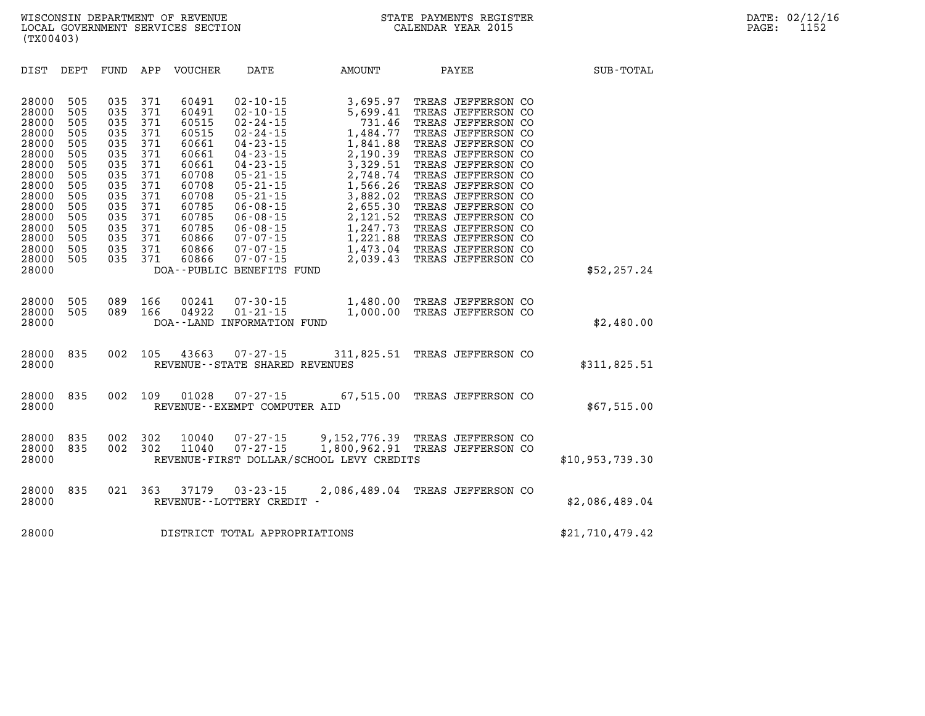| DIST                                                                                                                                                  | DEPT                                                                                                         | FUND                                                                                                         | APP                                                                                                          | <b>VOUCHER</b>                                                                                                                               | DATE                                                                                                                                                                                                                                                                                                                      | AMOUNT                                                                                                                                                                                     | PAYEE                                                                                                                                                                                                                                                                                                                                                        | SUB-TOTAL       |  |
|-------------------------------------------------------------------------------------------------------------------------------------------------------|--------------------------------------------------------------------------------------------------------------|--------------------------------------------------------------------------------------------------------------|--------------------------------------------------------------------------------------------------------------|----------------------------------------------------------------------------------------------------------------------------------------------|---------------------------------------------------------------------------------------------------------------------------------------------------------------------------------------------------------------------------------------------------------------------------------------------------------------------------|--------------------------------------------------------------------------------------------------------------------------------------------------------------------------------------------|--------------------------------------------------------------------------------------------------------------------------------------------------------------------------------------------------------------------------------------------------------------------------------------------------------------------------------------------------------------|-----------------|--|
| 28000<br>28000<br>28000<br>28000<br>28000<br>28000<br>28000<br>28000<br>28000<br>28000<br>28000<br>28000<br>28000<br>28000<br>28000<br>28000<br>28000 | 505<br>505<br>505<br>505<br>505<br>505<br>505<br>505<br>505<br>505<br>505<br>505<br>505<br>505<br>505<br>505 | 035<br>035<br>035<br>035<br>035<br>035<br>035<br>035<br>035<br>035<br>035<br>035<br>035<br>035<br>035<br>035 | 371<br>371<br>371<br>371<br>371<br>371<br>371<br>371<br>371<br>371<br>371<br>371<br>371<br>371<br>371<br>371 | 60491<br>60491<br>60515<br>60515<br>60661<br>60661<br>60661<br>60708<br>60708<br>60708<br>60785<br>60785<br>60785<br>60866<br>60866<br>60866 | $02 - 10 - 15$<br>$02 - 10 - 15$<br>$02 - 24 - 15$<br>$02 - 24 - 15$<br>$04 - 23 - 15$<br>$04 - 23 - 15$<br>$04 - 23 - 15$<br>$05 - 21 - 15$<br>$05 - 21 - 15$<br>$05 - 21 - 15$<br>$06 - 08 - 15$<br>$06 - 08 - 15$<br>$06 - 08 - 15$<br>$07 - 07 - 15$<br>$07 - 07 - 15$<br>$07 - 07 - 15$<br>DOA--PUBLIC BENEFITS FUND | 3,695.97<br>5,699.41<br>731.46<br>1,484.77<br>1,841.88<br>2,190.39<br>3,329.51<br>2,748.74<br>1,566.26<br>3,882.02<br>2,655.30<br>2,121.52<br>1,247.73<br>1,221.88<br>1,473.04<br>2,039.43 | TREAS JEFFERSON CO<br>TREAS JEFFERSON CO<br>TREAS JEFFERSON CO<br>TREAS JEFFERSON CO<br>TREAS JEFFERSON CO<br>TREAS JEFFERSON CO<br>TREAS JEFFERSON CO<br>TREAS JEFFERSON CO<br>TREAS JEFFERSON CO<br>TREAS JEFFERSON CO<br>TREAS JEFFERSON CO<br>TREAS JEFFERSON CO<br>TREAS JEFFERSON CO<br>TREAS JEFFERSON CO<br>TREAS JEFFERSON CO<br>TREAS JEFFERSON CO | \$52, 257.24    |  |
| 28000<br>28000<br>28000                                                                                                                               | 505<br>505                                                                                                   | 089<br>089                                                                                                   | 166<br>166                                                                                                   | 00241<br>04922                                                                                                                               | $07 - 30 - 15$<br>$01 - 21 - 15$<br>DOA--LAND INFORMATION FUND                                                                                                                                                                                                                                                            | 1,480.00<br>1,000.00                                                                                                                                                                       | TREAS JEFFERSON CO<br>TREAS JEFFERSON CO                                                                                                                                                                                                                                                                                                                     | \$2,480.00      |  |
| 28000<br>28000                                                                                                                                        | 835                                                                                                          | 002                                                                                                          | 105                                                                                                          | 43663                                                                                                                                        | $07 - 27 - 15$<br>REVENUE - - STATE SHARED REVENUES                                                                                                                                                                                                                                                                       | 311,825.51                                                                                                                                                                                 | TREAS JEFFERSON CO                                                                                                                                                                                                                                                                                                                                           | \$311,825.51    |  |
| 28000<br>28000                                                                                                                                        | 835                                                                                                          | 002                                                                                                          | 109                                                                                                          | 01028                                                                                                                                        | $07 - 27 - 15$<br>REVENUE--EXEMPT COMPUTER AID                                                                                                                                                                                                                                                                            | 67,515.00                                                                                                                                                                                  | TREAS JEFFERSON CO                                                                                                                                                                                                                                                                                                                                           | \$67,515.00     |  |
| 28000<br>28000<br>28000                                                                                                                               | 835<br>835                                                                                                   | 002<br>002                                                                                                   | 302<br>302                                                                                                   | 10040<br>11040                                                                                                                               | $07 - 27 - 15$<br>$07 - 27 - 15$                                                                                                                                                                                                                                                                                          | 9,152,776.39<br>1,800,962.91<br>REVENUE-FIRST DOLLAR/SCHOOL LEVY CREDITS                                                                                                                   | TREAS JEFFERSON CO<br>TREAS JEFFERSON CO                                                                                                                                                                                                                                                                                                                     | \$10,953,739.30 |  |
| 28000<br>28000                                                                                                                                        | 835                                                                                                          | 021                                                                                                          | 363                                                                                                          | 37179                                                                                                                                        | $03 - 23 - 15$<br>REVENUE--LOTTERY CREDIT -                                                                                                                                                                                                                                                                               | 2,086,489.04                                                                                                                                                                               | TREAS JEFFERSON CO                                                                                                                                                                                                                                                                                                                                           | \$2,086,489.04  |  |
| 28000                                                                                                                                                 |                                                                                                              |                                                                                                              |                                                                                                              |                                                                                                                                              | DISTRICT TOTAL APPROPRIATIONS                                                                                                                                                                                                                                                                                             |                                                                                                                                                                                            |                                                                                                                                                                                                                                                                                                                                                              | \$21,710,479.42 |  |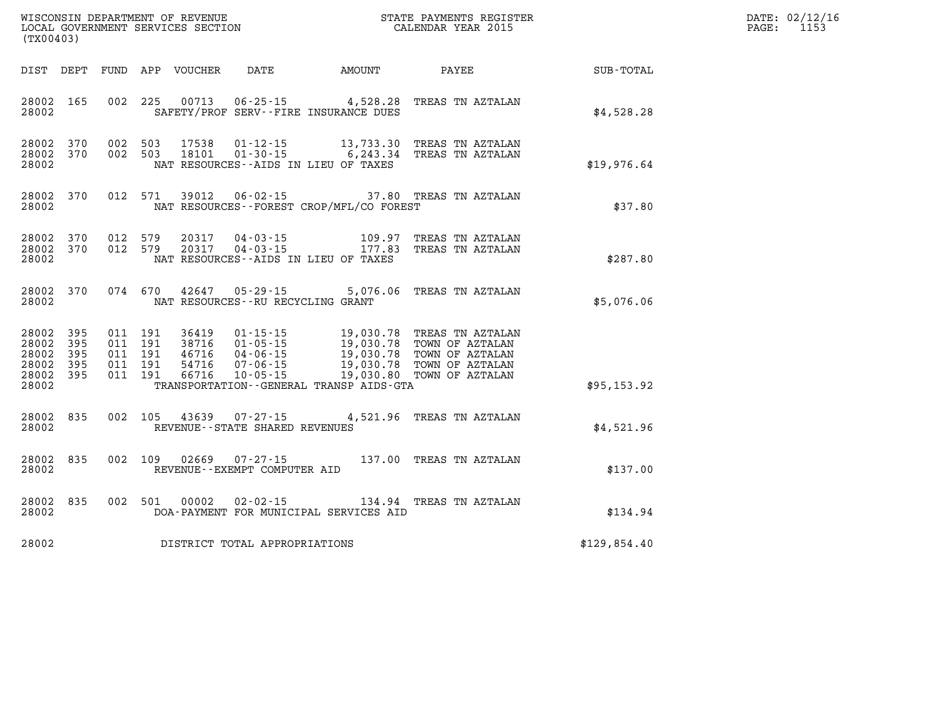| DATE: | 02/12/16 |
|-------|----------|
| PAGE: | 1153     |

| (TX00403)                                                      |            |                    |                                   |                                         |                                                                                                          | WISCONSIN DEPARTMENT OF REVENUE<br>LOCAL GOVERNMENT SERVICES SECTION<br>(EXAMPLES SECTION CALENDAR YEAR 2015)                                                                             | DATE: 02/12/1<br>$\mathtt{PAGE}$ :<br>1153 |
|----------------------------------------------------------------|------------|--------------------|-----------------------------------|-----------------------------------------|----------------------------------------------------------------------------------------------------------|-------------------------------------------------------------------------------------------------------------------------------------------------------------------------------------------|--------------------------------------------|
|                                                                |            |                    |                                   |                                         |                                                                                                          | DIST DEPT FUND APP VOUCHER DATE AMOUNT PAYEE PAYER SUB-TOTAL                                                                                                                              |                                            |
| 28002 165<br>28002                                             |            |                    |                                   | SAFETY/PROF SERV--FIRE INSURANCE DUES   | 002 225 00713 06-25-15 4,528.28 TREAS TN AZTALAN                                                         | \$4,528.28                                                                                                                                                                                |                                            |
| 28002 370<br>28002 370<br>28002                                |            |                    |                                   | NAT RESOURCES--AIDS IN LIEU OF TAXES    | 002 503 17538 01-12-15 13,733.30 TREAS TNAZTALAN<br>002 503 18101 01-30-15 6,243.34 TREAS TNAZTALAN      | \$19,976.64                                                                                                                                                                               |                                            |
|                                                                |            |                    |                                   |                                         |                                                                                                          | 28002 370 012 571 39012 06-02-15 37.80 TREAS TN AZTALAN<br>\$37.80 \$37.80 \$37.80 \$37.80 \$37.80 \$37.80 \$37.80 \$37.80 \$37.80 \$37.80 \$37.80 \$37.80 \$37.80 \$37.80 \$37.80 \$37.8 |                                            |
| 28002 370<br>28002 370<br>28002                                |            | 012 579<br>012 579 |                                   | NAT RESOURCES--AIDS IN LIEU OF TAXES    | 20317  04-03-15  109.97  TREAS TN AZTALAN<br>20317  04-03-15  177.83  TREAS TN AZTALAN                   | \$287.80                                                                                                                                                                                  |                                            |
| 28002 370<br>28002                                             |            |                    | NAT RESOURCES--RU RECYCLING GRANT |                                         | 074 670 42647 05-29-15 5,076.06 TREAS TN AZTALAN                                                         | \$5.076.06                                                                                                                                                                                |                                            |
| 28002 395<br>28002<br>28002<br>28002 395<br>28002 395<br>28002 | 395<br>395 |                    |                                   | TRANSPORTATION--GENERAL TRANSP AIDS-GTA |                                                                                                          | \$95,153.92                                                                                                                                                                               |                                            |
| 28002 835<br>28002                                             |            |                    |                                   | REVENUE--STATE SHARED REVENUES          | 002 105 43639 07-27-15 4,521.96 TREAS TN AZTALAN                                                         | \$4,521.96                                                                                                                                                                                |                                            |
| 28002 835<br>28002                                             |            |                    | REVENUE--EXEMPT COMPUTER AID      |                                         | 002 109 02669 07-27-15 137.00 TREAS TN AZTALAN                                                           | \$137.00                                                                                                                                                                                  |                                            |
|                                                                |            |                    |                                   |                                         | 28002 835 002 501 00002 02-02-15 134.94 TREAS TN AZTALAN<br>28002 DOA-PAYMENT FOR MUNICIPAL SERVICES AID | \$134.94                                                                                                                                                                                  |                                            |
| 28002                                                          |            |                    | DISTRICT TOTAL APPROPRIATIONS     |                                         |                                                                                                          | \$129,854.40                                                                                                                                                                              |                                            |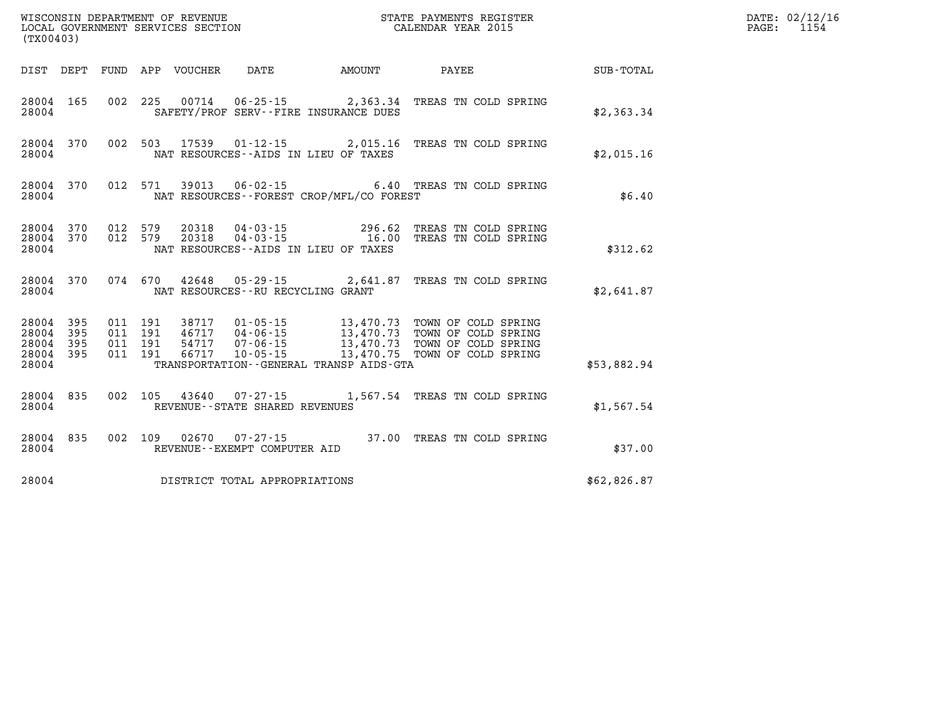| (TX00403) |                                                  |                   |  |  |                                         |                                             |                                                                                                                                                                                                                              |             | DATE: 02/12/16<br>1154<br>$\mathtt{PAGE}$ : |
|-----------|--------------------------------------------------|-------------------|--|--|-----------------------------------------|---------------------------------------------|------------------------------------------------------------------------------------------------------------------------------------------------------------------------------------------------------------------------------|-------------|---------------------------------------------|
|           |                                                  |                   |  |  | DIST DEPT FUND APP VOUCHER DATE AMOUNT  |                                             | PAYEE SUB-TOTAL                                                                                                                                                                                                              |             |                                             |
| 28004     | 28004 165                                        |                   |  |  |                                         | SAFETY/PROF SERV--FIRE INSURANCE DUES       | 002 225 00714 06-25-15 2,363.34 TREAS TN COLD SPRING                                                                                                                                                                         | \$2,363.34  |                                             |
| 28004     |                                                  |                   |  |  |                                         | NAT RESOURCES--AIDS IN LIEU OF TAXES        | 28004 370 002 503 17539 01-12-15 2,015.16 TREAS TN COLD SPRING                                                                                                                                                               | \$2,015.16  |                                             |
| 28004     |                                                  | 28004 370 012 571 |  |  |                                         | NAT RESOURCES - - FOREST CROP/MFL/CO FOREST | 39013  06-02-15  6.40 TREAS TN COLD SPRING                                                                                                                                                                                   | \$6.40      |                                             |
| 28004     |                                                  |                   |  |  |                                         | NAT RESOURCES--AIDS IN LIEU OF TAXES        | 28004 370 012 579 20318 04-03-15 296.62 TREAS TN COLD SPRING<br>28004 370 012 579 20318 04-03-15 16.00 TREAS TN COLD SPRING                                                                                                  | \$312.62    |                                             |
|           |                                                  |                   |  |  | 28004 NAT RESOURCES--RU RECYCLING GRANT |                                             | 28004 370 074 670 42648 05-29-15 2,641.87 TREAS TN COLD SPRING                                                                                                                                                               | \$2.641.87  |                                             |
| 28004     | 28004 395<br>28004 395<br>28004 395<br>28004 395 |                   |  |  |                                         | TRANSPORTATION--GENERAL TRANSP AIDS-GTA     | 011 191 38717 01-05-15 13,470.73 TOWN OF COLD SPRING<br>011 191 46717 04-06-15 13,470.73 TOWN OF COLD SPRING<br>011 191 54717 07-06-15 13,470.73 TOWN OF COLD SPRING<br>011 191 66717 10-05-15 13,470.75 TOWN OF COLD SPRING | \$53,882.94 |                                             |
|           | 28004 835                                        |                   |  |  | REVENUE - - STATE SHARED REVENUES       |                                             | 002 105 43640 07-27-15 1,567.54 TREAS TN COLD SPRING                                                                                                                                                                         | \$1,567.54  |                                             |
| 28004     |                                                  |                   |  |  | REVENUE--EXEMPT COMPUTER AID            |                                             | 28004 835 002 109 02670 07-27-15 37.00 TREAS TN COLD SPRING                                                                                                                                                                  | \$37.00     |                                             |
| 28004     |                                                  |                   |  |  | DISTRICT TOTAL APPROPRIATIONS           |                                             |                                                                                                                                                                                                                              | \$62,826.87 |                                             |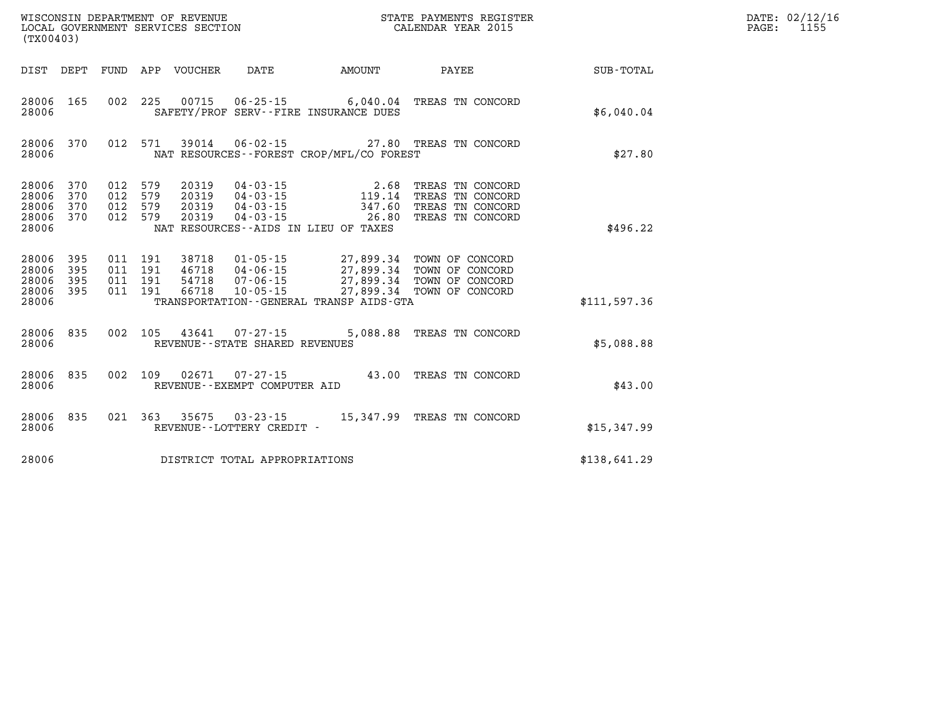| (TX00403)                                 |                          |                          |                          | WISCONSIN DEPARTMENT OF REVENUE<br>LOCAL GOVERNMENT SERVICES SECTION |                                                                      |                                                                                             | STATE PAYMENTS REGISTER<br>CALENDAR YEAR 2015                                |                  |
|-------------------------------------------|--------------------------|--------------------------|--------------------------|----------------------------------------------------------------------|----------------------------------------------------------------------|---------------------------------------------------------------------------------------------|------------------------------------------------------------------------------|------------------|
| DIST                                      | DEPT                     | FUND                     | APP                      | VOUCHER                                                              | DATE                                                                 | AMOUNT                                                                                      | PAYEE                                                                        | <b>SUB-TOTAL</b> |
| 28006<br>28006                            | 165                      | 002                      | 225                      | 00715                                                                | $06 - 25 - 15$                                                       | 6,040.04<br>SAFETY/PROF SERV--FIRE INSURANCE DUES                                           | TREAS TN CONCORD                                                             | \$6,040.04       |
| 28006<br>28006                            | 370                      | 012                      | 571                      | 39014                                                                | $06 - 02 - 15$                                                       | 27.80<br>NAT RESOURCES - - FOREST CROP/MFL/CO FOREST                                        | TREAS TN CONCORD                                                             | \$27.80          |
| 28006<br>28006<br>28006<br>28006<br>28006 | 370<br>370<br>370<br>370 | 012<br>012<br>012<br>012 | 579<br>579<br>579<br>579 | 20319<br>20319<br>20319<br>20319                                     | $04 - 03 - 15$<br>$04 - 03 - 15$<br>$04 - 03 - 15$<br>$04 - 03 - 15$ | 2.68<br>119.14<br>347.60<br>26.80<br>NAT RESOURCES -- AIDS IN LIEU OF TAXES                 | TREAS TN CONCORD<br>TREAS TN CONCORD<br>TREAS TN CONCORD<br>TREAS TN CONCORD | \$496.22         |
| 28006<br>28006<br>28006<br>28006<br>28006 | 395<br>395<br>395<br>395 | 011<br>011<br>011<br>011 | 191<br>191<br>191<br>191 | 38718<br>46718<br>54718<br>66718                                     | $01 - 05 - 15$<br>04-06-15<br>$07 - 06 - 15$<br>$10 - 05 - 15$       | 27,899.34<br>27,899.34<br>27,899.34<br>27,899.34<br>TRANSPORTATION--GENERAL TRANSP AIDS-GTA | TOWN OF CONCORD<br>TOWN OF CONCORD<br>TOWN OF CONCORD<br>TOWN OF CONCORD     | \$111,597.36     |
| 28006<br>28006                            | 835                      | 002                      | 105                      | 43641                                                                | 07-27-15<br>REVENUE - - STATE SHARED REVENUES                        | 5,088.88                                                                                    | TREAS TN CONCORD                                                             | \$5,088.88       |
| 28006<br>28006                            | 835                      | 002                      | 109                      | 02671                                                                | $07 - 27 - 15$<br>REVENUE--EXEMPT COMPUTER AID                       | 43.00                                                                                       | TREAS TN CONCORD                                                             | \$43.00          |
| 28006<br>28006                            | 835                      | 021                      | 363                      | 35675                                                                | $03 - 23 - 15$<br>REVENUE--LOTTERY CREDIT -                          | 15,347.99                                                                                   | TREAS TN CONCORD                                                             | \$15,347.99      |
| 28006                                     |                          |                          |                          |                                                                      | DISTRICT TOTAL APPROPRIATIONS                                        |                                                                                             |                                                                              | \$138,641.29     |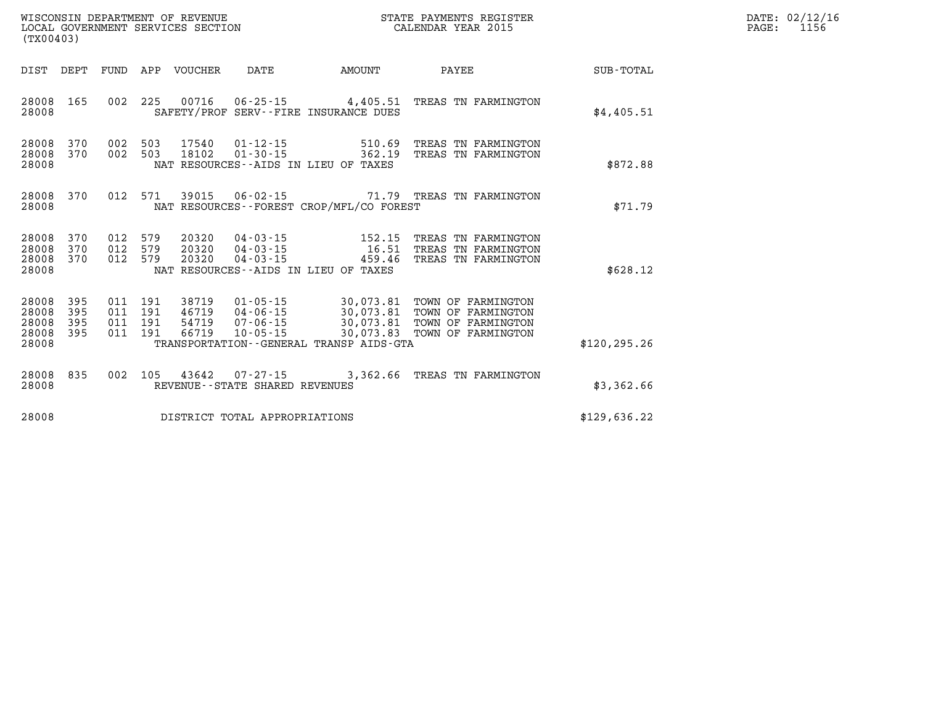| DATE: | 02/12/16 |
|-------|----------|
| PAGE: | 1156     |

| (TX00403)                                 |                          |                          |                          |                                  |                                                                      |                                                                                             |                                                                                      |                  |
|-------------------------------------------|--------------------------|--------------------------|--------------------------|----------------------------------|----------------------------------------------------------------------|---------------------------------------------------------------------------------------------|--------------------------------------------------------------------------------------|------------------|
| DIST                                      | DEPT                     | FUND                     | APP                      | <b>VOUCHER</b>                   | <b>DATE</b>                                                          | AMOUNT                                                                                      | PAYEE                                                                                | <b>SUB-TOTAL</b> |
| 28008<br>28008                            | 165                      | 002                      | 225                      | 00716                            | $06 - 25 - 15$                                                       | 4,405.51<br>SAFETY/PROF SERV--FIRE INSURANCE DUES                                           | TREAS TN FARMINGTON                                                                  | \$4,405.51       |
| 28008<br>28008<br>28008                   | 370<br>370               | 002<br>002               | 503<br>503               | 17540<br>18102                   | $01 - 12 - 15$<br>$01 - 30 - 15$                                     | 510.69<br>362.19<br>NAT RESOURCES -- AIDS IN LIEU OF TAXES                                  | TREAS<br>TN FARMINGTON<br>TREAS<br>TN FARMINGTON                                     | \$872.88         |
| 28008<br>28008                            | 370                      | 012                      | 571                      | 39015                            | $06 - 02 - 15$                                                       | NAT RESOURCES - - FOREST CROP/MFL/CO FOREST                                                 | 71.79 TREAS TN FARMINGTON                                                            | \$71.79          |
| 28008<br>28008<br>28008<br>28008          | 370<br>370<br>370        | 012<br>012<br>012        | 579<br>579<br>579        | 20320<br>20320<br>20320          | $04 - 03 - 15$<br>$04 - 03 - 15$<br>$04 - 03 - 15$                   | 152.15<br>16.51<br>459.46<br>NAT RESOURCES -- AIDS IN LIEU OF TAXES                         | TREAS<br>TN FARMINGTON<br>TREAS<br>TN FARMINGTON<br>TREAS TN FARMINGTON              | \$628.12         |
| 28008<br>28008<br>28008<br>28008<br>28008 | 395<br>395<br>395<br>395 | 011<br>011<br>011<br>011 | 191<br>191<br>191<br>191 | 38719<br>46719<br>54719<br>66719 | $01 - 05 - 15$<br>$04 - 06 - 15$<br>$07 - 06 - 15$<br>$10 - 05 - 15$ | 30,073.81<br>30,073.81<br>30,073.81<br>30,073.83<br>TRANSPORTATION--GENERAL TRANSP AIDS-GTA | TOWN OF FARMINGTON<br>TOWN OF FARMINGTON<br>TOWN OF FARMINGTON<br>TOWN OF FARMINGTON | \$120, 295.26    |
| 28008<br>28008                            | 835                      | 002                      | 105                      | 43642                            | $07 - 27 - 15$<br>REVENUE - - STATE SHARED REVENUES                  | 3,362.66                                                                                    | TREAS<br>TN FARMINGTON                                                               | \$3,362.66       |
| 28008                                     |                          |                          |                          |                                  | DISTRICT TOTAL APPROPRIATIONS                                        |                                                                                             |                                                                                      | \$129,636.22     |

WISCONSIN DEPARTMENT OF REVENUE **STATE PAYMENTS REGISTER**<br>LOCAL GOVERNMENT SERVICES SECTION

LOCAL GOVERNMENT SERVICES SECTION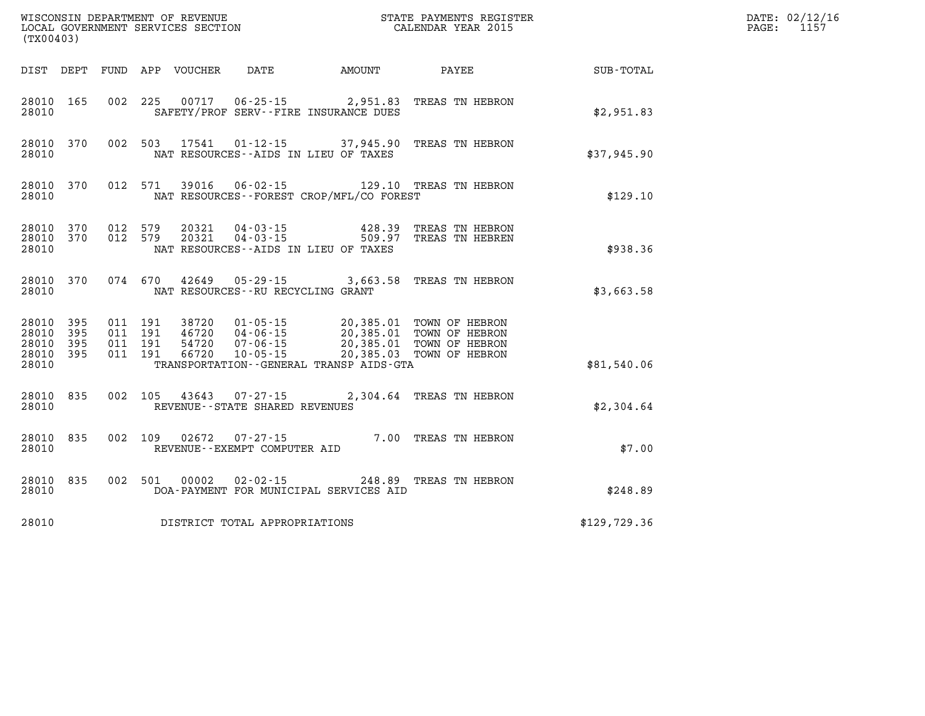| (TX00403)                                     |                   |                                          |                                  |                                                |                                                                                      | WISCONSIN DEPARTMENT OF REVENUE<br>LOCAL GOVERNMENT SERVICES SECTION FOR THE STATE PAYMENTS REGIST<br>(TYOO402)<br>STATE PAYMENTS REGISTER       |              | DATE: 02/12/16<br>PAGE:<br>1157 |
|-----------------------------------------------|-------------------|------------------------------------------|----------------------------------|------------------------------------------------|--------------------------------------------------------------------------------------|--------------------------------------------------------------------------------------------------------------------------------------------------|--------------|---------------------------------|
| DIST DEPT                                     |                   |                                          | FUND APP VOUCHER                 |                                                |                                                                                      | DATE AMOUNT PAYEE                                                                                                                                | SUB-TOTAL    |                                 |
| 28010 165<br>28010                            |                   |                                          |                                  |                                                | 002 225 00717 06-25-15 2,951.83<br>SAFETY/PROF SERV--FIRE INSURANCE DUES             | TREAS TN HEBRON                                                                                                                                  | \$2,951.83   |                                 |
| 28010<br>28010                                | 370               |                                          |                                  |                                                | NAT RESOURCES--AIDS IN LIEU OF TAXES                                                 | 002 503 17541 01-12-15 37,945.90 TREAS TN HEBRON                                                                                                 | \$37,945.90  |                                 |
| 28010<br>28010                                | 370               | 012 571                                  | 39016                            |                                                | NAT RESOURCES - - FOREST CROP/MFL/CO FOREST                                          | 06-02-15 129.10 TREAS TN HEBRON                                                                                                                  | \$129.10     |                                 |
| 28010<br>28010<br>28010                       | 370<br>370        | 012 579<br>012 579                       | 20321<br>20321                   |                                                | 04 - 03 - 15 428.39<br>04 - 03 - 15 509.97<br>NAT RESOURCES -- AIDS IN LIEU OF TAXES | TREAS TN HEBRON<br>TREAS TN HEBREN                                                                                                               | \$938.36     |                                 |
| 28010<br>28010                                | 370               | 074 670                                  | 42649                            | NAT RESOURCES - - RU RECYCLING GRANT           |                                                                                      | 05-29-15 3,663.58 TREAS TN HEBRON                                                                                                                | \$3,663.58   |                                 |
| 28010<br>28010<br>28010<br>28010 395<br>28010 | 395<br>395<br>395 | 011 191<br>011 191<br>011 191<br>011 191 | 38720<br>46720<br>54720<br>66720 |                                                | TRANSPORTATION - - GENERAL TRANSP AIDS - GTA                                         | 01-05-15 20,385.01 TOWN OF HEBRON<br>04-06-15 20,385.01 TOWN OF HEBRON<br>07-06-15 20,385.01 TOWN OF HEBRON<br>10-05-15 20,385.03 TOWN OF HEBRON | \$81,540.06  |                                 |
| 28010<br>28010                                | 835               | 002 105                                  | 43643                            | REVENUE - - STATE SHARED REVENUES              |                                                                                      | 07-27-15 2,304.64 TREAS TN HEBRON                                                                                                                | \$2,304.64   |                                 |
| 28010<br>28010                                | 835               | 002 109                                  | 02672                            | $07 - 27 - 15$<br>REVENUE--EXEMPT COMPUTER AID |                                                                                      | 7.00 TREAS TN HEBRON                                                                                                                             | \$7.00       |                                 |
| 28010<br>28010                                | 835               | 002 501                                  | 00002                            | 02-02-15                                       | DOA-PAYMENT FOR MUNICIPAL SERVICES AID                                               | 248.89 TREAS TN HEBRON                                                                                                                           | \$248.89     |                                 |
| 28010                                         |                   |                                          |                                  | DISTRICT TOTAL APPROPRIATIONS                  |                                                                                      |                                                                                                                                                  | \$129,729.36 |                                 |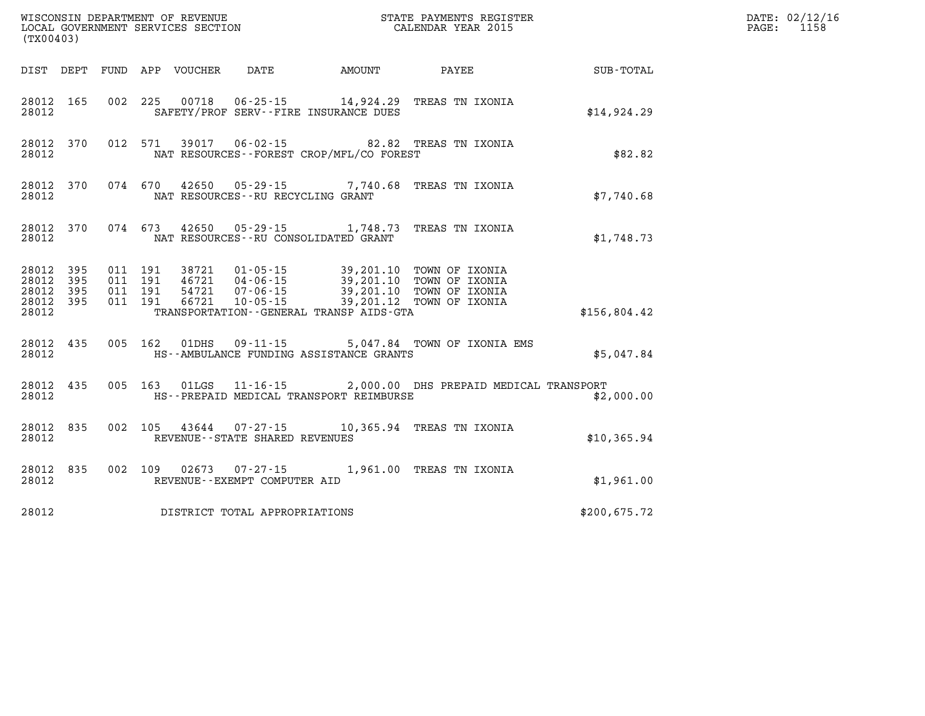| (TX00403)                   |                               |  |                                          | WISCONSIN DEPARTMENT OF REVENUE<br>LOCAL GOVERNMENT SERVICES SECTION<br>CALENDAR YEAR 2015                                                                                                                                                                                                                                                |              | DATE: 02/12/16<br>PAGE: 1158 |
|-----------------------------|-------------------------------|--|------------------------------------------|-------------------------------------------------------------------------------------------------------------------------------------------------------------------------------------------------------------------------------------------------------------------------------------------------------------------------------------------|--------------|------------------------------|
|                             |                               |  |                                          | DIST DEPT FUND APP VOUCHER DATE AMOUNT PAYEE PATE SUB-TOTAL                                                                                                                                                                                                                                                                               |              |                              |
| 28012                       | 28012 165                     |  | SAFETY/PROF SERV--FIRE INSURANCE DUES    | 002 225 00718 06-25-15 14,924.29 TREAS TN IXONIA                                                                                                                                                                                                                                                                                          | \$14,924.29  |                              |
| 28012                       |                               |  | NAT RESOURCES--FOREST CROP/MFL/CO FOREST | 28012 370 012 571 39017 06-02-15 82.82 TREAS TN IXONIA                                                                                                                                                                                                                                                                                    | \$82.82      |                              |
| 28012                       |                               |  | NAT RESOURCES--RU RECYCLING GRANT        | 28012 370 074 670 42650 05-29-15 7,740.68 TREAS TN IXONIA                                                                                                                                                                                                                                                                                 | \$7,740.68   |                              |
| 28012                       |                               |  | NAT RESOURCES--RU CONSOLIDATED GRANT     | 28012 370 074 673 42650 05-29-15 1,748.73 TREAS TN IXONIA                                                                                                                                                                                                                                                                                 | \$1,748.73   |                              |
| 28012 395<br>28012<br>28012 | 28012 395<br>395<br>28012 395 |  | TRANSPORTATION--GENERAL TRANSP AIDS-GTA  | $\begin{array}{cccc} 011 & 191 & 38721 & 01\cdot 05\cdot 15 & 39, 201.10 & \text{TOWN OF IXONIA} \\ 011 & 191 & 46721 & 04\cdot 06\cdot 15 & 39, 201.10 & \text{TOWN OF IXONIA} \\ 011 & 191 & 54721 & 07\cdot 06\cdot 15 & 39, 201.10 & \text{TOWN OF IXONIA} \\ 011 & 191 & 66721 & 10\cdot 05\cdot 15 & 39, 201.12 & \text{TOWN OF IX$ | \$156,804.42 |                              |
| 28012                       |                               |  | HS--AMBULANCE FUNDING ASSISTANCE GRANTS  | 28012 435 005 162 01DHS 09-11-15 5,047.84 TOWN OF IXONIA EMS                                                                                                                                                                                                                                                                              | \$5,047.84   |                              |
| 28012                       | 28012 435                     |  | HS--PREPAID MEDICAL TRANSPORT REIMBURSE  | 005 163 01LGS 11-16-15 2,000.00 DHS PREPAID MEDICAL TRANSPORT                                                                                                                                                                                                                                                                             | \$2,000.00   |                              |
| 28012                       | 28012 835                     |  | REVENUE--STATE SHARED REVENUES           | 002 105 43644 07-27-15 10,365.94 TREAS TN IXONIA                                                                                                                                                                                                                                                                                          | \$10,365.94  |                              |
| 28012                       |                               |  | REVENUE--EXEMPT COMPUTER AID             | 28012 835 002 109 02673 07-27-15 1,961.00 TREAS TN IXONIA                                                                                                                                                                                                                                                                                 | \$1,961.00   |                              |
| 28012                       |                               |  | DISTRICT TOTAL APPROPRIATIONS            |                                                                                                                                                                                                                                                                                                                                           | \$200,675.72 |                              |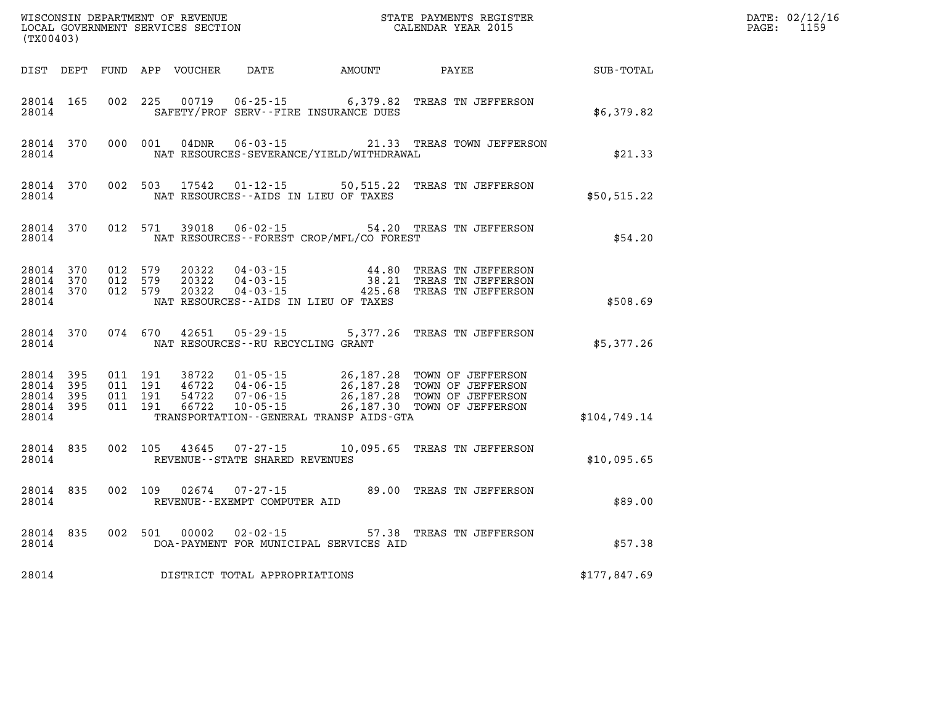| (TX00403)                                             |     |                    |                               |                         |                                                                                                                  |        |                                                                                                                                                                                                  |              | DATE: 02/12/16<br>1159<br>$\mathtt{PAGE}$ : |
|-------------------------------------------------------|-----|--------------------|-------------------------------|-------------------------|------------------------------------------------------------------------------------------------------------------|--------|--------------------------------------------------------------------------------------------------------------------------------------------------------------------------------------------------|--------------|---------------------------------------------|
|                                                       |     |                    |                               |                         | DIST DEPT FUND APP VOUCHER DATE AMOUNT PAYEE                                                                     |        |                                                                                                                                                                                                  | SUB-TOTAL    |                                             |
| 28014 165<br>28014                                    |     |                    |                               | 002 225 00719           | SAFETY/PROF SERV--FIRE INSURANCE DUES                                                                            |        | 06-25-15 6,379.82 TREAS TN JEFFERSON                                                                                                                                                             | \$6,379.82   |                                             |
| 28014<br>28014                                        | 370 |                    | 000 001                       |                         | 04DNR 06-03-15<br>NAT RESOURCES-SEVERANCE/YIELD/WITHDRAWAL                                                       |        | 21.33 TREAS TOWN JEFFERSON                                                                                                                                                                       | \$21.33      |                                             |
| 28014 370<br>28014                                    |     |                    |                               |                         | NAT RESOURCES -- AIDS IN LIEU OF TAXES                                                                           |        | 002 503 17542 01-12-15 50,515.22 TREAS TN JEFFERSON                                                                                                                                              | \$50,515.22  |                                             |
| 28014 370<br>28014                                    |     |                    | 012 571                       | 39018                   | $06 - 02 - 15$<br>NAT RESOURCES - - FOREST CROP/MFL/CO FOREST                                                    |        | 54.20 TREAS TN JEFFERSON                                                                                                                                                                         | \$54.20      |                                             |
| 28014 370<br>28014 370<br>28014 370<br>28014          |     | 012 579<br>012 579 | 012 579                       | 20322<br>20322<br>20322 | 04 - 03 - 15<br>04 - 03 - 15<br>04 - 03 - 15<br>04 - 03 - 15<br>425 - 68<br>NAT RESOURCES--AIDS IN LIEU OF TAXES | 425.68 | 44.80 TREAS TN JEFFERSON<br>TREAS TN JEFFERSON<br>TREAS TN JEFFERSON                                                                                                                             | \$508.69     |                                             |
| 28014 370<br>28014                                    |     |                    |                               | 074 670 42651           | NAT RESOURCES--RU RECYCLING GRANT                                                                                |        | 05-29-15 5,377.26 TREAS TN JEFFERSON                                                                                                                                                             | \$5,377.26   |                                             |
| 28014<br>28014 395<br>28014 395<br>28014 395<br>28014 | 395 | 011 191            | 011 191<br>011 191<br>011 191 |                         | TRANSPORTATION--GENERAL TRANSP AIDS-GTA                                                                          |        | 38722  01-05-15  26,187.28  TOWN OF JEFFERSON<br>46722  04-06-15  26,187.28  TOWN OF JEFFERSON<br>54722  07-06-15  26,187.28  TOWN OF JEFFERSON<br>66722  10-05-15  26,187.30  TOWN OF JEFFERSON | \$104,749.14 |                                             |
| 28014 835<br>28014                                    |     |                    |                               |                         | REVENUE - - STATE SHARED REVENUES                                                                                |        | 002  105  43645  07-27-15  10,095.65  TREAS TN JEFFERSON                                                                                                                                         | \$10,095.65  |                                             |
| 28014<br>28014                                        | 835 |                    | 002 109                       | 02674                   | $07 - 27 - 15$<br>REVENUE--EXEMPT COMPUTER AID                                                                   |        | 89.00 TREAS TN JEFFERSON                                                                                                                                                                         | \$89.00      |                                             |
| 28014 835<br>28014                                    |     |                    |                               | 002 501 00002           | DOA-PAYMENT FOR MUNICIPAL SERVICES AID                                                                           |        | 02-02-15 57.38 TREAS TN JEFFERSON                                                                                                                                                                | \$57.38      |                                             |
| 28014                                                 |     |                    |                               |                         | DISTRICT TOTAL APPROPRIATIONS                                                                                    |        |                                                                                                                                                                                                  | \$177,847.69 |                                             |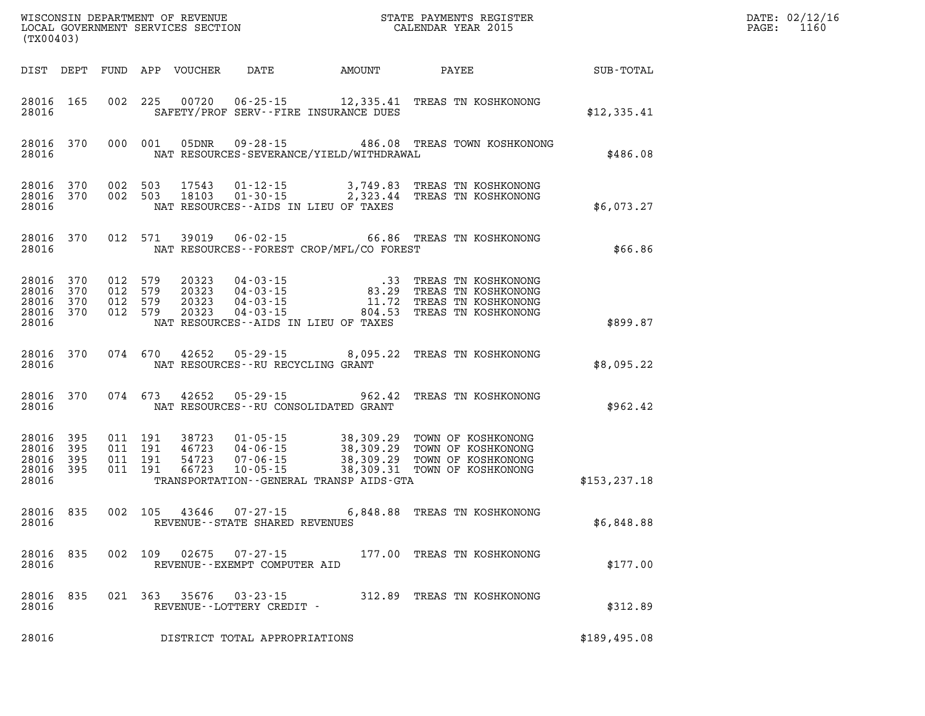| (TX00403)                                         |                          |                                          |                               | WISCONSIN DEPARTMENT OF REVENUE<br>LOCAL GOVERNMENT SERVICES SECTION |                                                     |                                                                                                                                                                                                                           | STATE PAYMENTS REGISTER<br>CALENDAR YEAR 2015                                                  |               | DATE: 02/12/16<br>PAGE:<br>1160 |
|---------------------------------------------------|--------------------------|------------------------------------------|-------------------------------|----------------------------------------------------------------------|-----------------------------------------------------|---------------------------------------------------------------------------------------------------------------------------------------------------------------------------------------------------------------------------|------------------------------------------------------------------------------------------------|---------------|---------------------------------|
|                                                   |                          |                                          |                               | DIST DEPT FUND APP VOUCHER                                           | DATE                                                | AMOUNT                                                                                                                                                                                                                    | PAYEE                                                                                          | SUB-TOTAL     |                                 |
| 28016 165<br>28016                                |                          |                                          | 002 225                       | 00720                                                                |                                                     | $06 - 25 - 15$ 12, 335.41<br>SAFETY/PROF SERV--FIRE INSURANCE DUES                                                                                                                                                        | TREAS TN KOSHKONONG                                                                            | \$12,335.41   |                                 |
| 28016 370<br>28016                                |                          |                                          | 000 001                       | 05DNR                                                                |                                                     | NAT RESOURCES-SEVERANCE/YIELD/WITHDRAWAL                                                                                                                                                                                  | 09-28-15 486.08 TREAS TOWN KOSHKONONG                                                          | \$486.08      |                                 |
| 28016 370<br>28016 370<br>28016                   |                          | 002 503<br>002 503                       |                               | 17543<br>18103                                                       | $01 - 12 - 15$                                      | NAT RESOURCES--AIDS IN LIEU OF TAXES                                                                                                                                                                                      | 3,749.83 TREAS TN KOSHKONONG<br>01-30-15 2,323.44 TREAS TN KOSHKONONG                          | \$6,073.27    |                                 |
| 28016 370<br>28016                                |                          |                                          | 012 571                       |                                                                      |                                                     | NAT RESOURCES - - FOREST CROP/MFL/CO FOREST                                                                                                                                                                               | 39019  06-02-15  66.86  TREAS TN KOSHKONONG                                                    | \$66.86       |                                 |
| 28016 370<br>28016<br>28016<br>28016 370<br>28016 | 370<br>370               | 012 579<br>012 579<br>012 579<br>012 579 |                               | 20323<br>20323<br>20323<br>20323                                     |                                                     | $\begin{array}{cccc} 04\cdot 03\cdot 15 & .33 \\ 04\cdot 03\cdot 15 & .33 \\ 04\cdot 03\cdot 15 & .33 \\ 04\cdot 03\cdot 15 & .11.72 \\ 04\cdot 03\cdot 15 & .804.53 \end{array}$<br>NAT RESOURCES--AIDS IN LIEU OF TAXES | TREAS TN KOSHKONONG<br>TREAS TN KOSHKONONG<br>TREAS TN KOSHKONONG<br>TREAS TN KOSHKONONG       | \$899.87      |                                 |
| 28016 370<br>28016                                |                          |                                          | 074 670                       | 42652                                                                | NAT RESOURCES - - RU RECYCLING GRANT                |                                                                                                                                                                                                                           | 05-29-15 8,095.22 TREAS TN KOSHKONONG                                                          | \$8,095.22    |                                 |
| 28016 370<br>28016                                |                          |                                          | 074 673                       | 42652                                                                |                                                     | $05 - 29 - 15$ 962.42<br>NAT RESOURCES - - RU CONSOLIDATED GRANT                                                                                                                                                          | TREAS TN KOSHKONONG                                                                            | \$962.42      |                                 |
| 28016<br>28016<br>28016<br>28016<br>28016         | 395<br>395<br>395<br>395 | 011 191                                  | 011 191<br>011 191<br>011 191 | 38723<br>46723<br>54723<br>66723                                     | $04 - 06 - 15$<br>$07 - 06 - 15$<br>$10 - 05 - 15$  | $01 - 05 - 15$ 38,309.29<br>38,309.29<br>38,309.29<br>TRANSPORTATION--GENERAL TRANSP AIDS-GTA                                                                                                                             | TOWN OF KOSHKONONG<br>TOWN OF KOSHKONONG<br>TOWN OF KOSHKONONG<br>38,309.31 TOWN OF KOSHKONONG | \$153, 237.18 |                                 |
| 28016 835<br>28016                                |                          |                                          | 002 105                       | 43646                                                                | 07-27-15<br>REVENUE--STATE SHARED REVENUES          |                                                                                                                                                                                                                           | 6,848.88 TREAS TN KOSHKONONG                                                                   | \$6,848.88    |                                 |
| 28016 835<br>28016                                |                          |                                          | 002 109                       |                                                                      | 02675 07-27-15<br>REVENUE--EXEMPT COMPUTER AID      |                                                                                                                                                                                                                           | 177.00 TREAS TN KOSHKONONG                                                                     | \$177.00      |                                 |
| 28016 835<br>28016                                |                          |                                          |                               |                                                                      | 021 363 35676 03-23-15<br>REVENUE--LOTTERY CREDIT - |                                                                                                                                                                                                                           | 312.89 TREAS TN KOSHKONONG                                                                     | \$312.89      |                                 |
| 28016                                             |                          |                                          |                               |                                                                      | DISTRICT TOTAL APPROPRIATIONS                       |                                                                                                                                                                                                                           |                                                                                                | \$189,495.08  |                                 |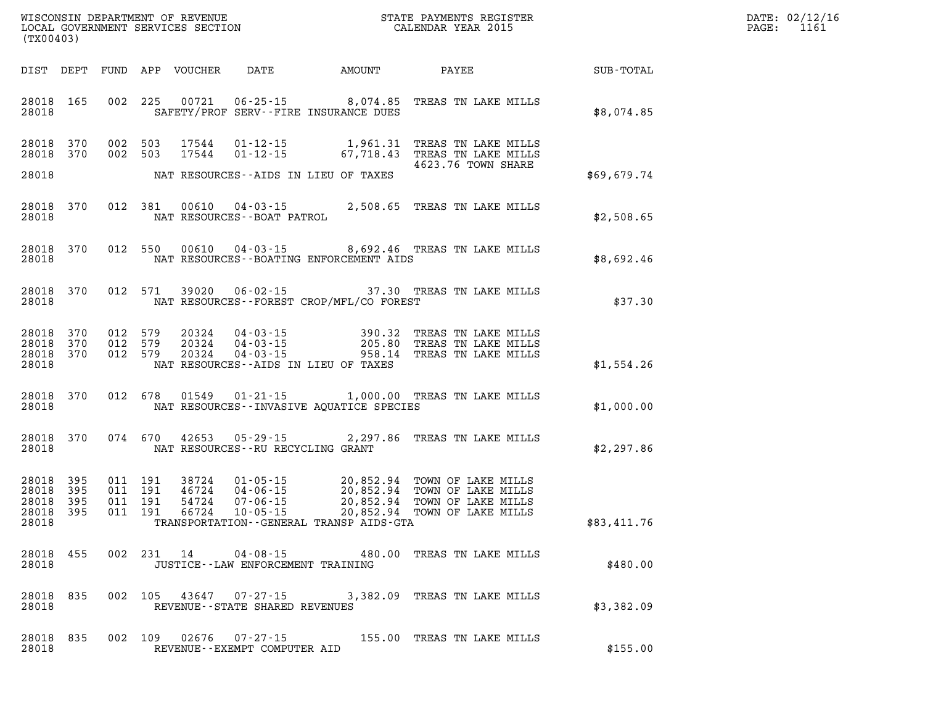| WISCONSIN DEPARTMENT OF REVENUE      | PAYMENTS REGISTER<br>3TATE | DATE: | 02/12/16       |
|--------------------------------------|----------------------------|-------|----------------|
| LOCAL<br>GOVERNMENT SERVICES SECTION | CALENDAR YEAR 2015         | PAGE  | 110<br>T T O T |

| (TX00403)                                                 |  |                                          |                                  |                                                        |                                                |                                                                                                                                                                  | LOCAL GOVERNMENT SERVICES SECTION CALENDAR YEAR 2015 | PAGE: | 1161 |
|-----------------------------------------------------------|--|------------------------------------------|----------------------------------|--------------------------------------------------------|------------------------------------------------|------------------------------------------------------------------------------------------------------------------------------------------------------------------|------------------------------------------------------|-------|------|
|                                                           |  |                                          |                                  |                                                        |                                                |                                                                                                                                                                  | DIST DEPT FUND APP VOUCHER DATE AMOUNT PAYEE TOTAL   |       |      |
| 28018 165<br>28018                                        |  |                                          |                                  |                                                        | SAFETY/PROF SERV--FIRE INSURANCE DUES          | 002 225 00721 06-25-15 8,074.85 TREAS TN LAKE MILLS                                                                                                              | \$8,074.85                                           |       |      |
| 28018 370<br>28018 370                                    |  |                                          |                                  |                                                        |                                                | 002 503 17544 01-12-15 1,961.31 TREAS TN LAKE MILLS<br>002 503 17544 01-12-15 67,718.43 TREAS TN LAKE MILLS<br>4623.76 TOWN SHARE                                |                                                      |       |      |
|                                                           |  |                                          |                                  |                                                        | 28018 MAT RESOURCES--AIDS IN LIEU OF TAXES     |                                                                                                                                                                  | \$69,679.74                                          |       |      |
| 28018 370<br>28018                                        |  |                                          |                                  | NAT RESOURCES - - BOAT PATROL                          |                                                | 012 381 00610 04-03-15 2,508.65 TREAS TN LAKE MILLS                                                                                                              | \$2,508.65                                           |       |      |
| 28018 370                                                 |  |                                          |                                  |                                                        | 28018 MAT RESOURCES--BOATING ENFORCEMENT AIDS  | 012 550 00610 04-03-15 8,692.46 TREAS TN LAKE MILLS                                                                                                              | \$8,692.46                                           |       |      |
| 28018 370                                                 |  |                                          |                                  |                                                        | 28018 MAT RESOURCES--FOREST CROP/MFL/CO FOREST | 012 571 39020 06-02-15 37.30 TREAS TN LAKE MILLS                                                                                                                 | \$37.30                                              |       |      |
| 28018 370<br>28018 370<br>28018 370<br>28018              |  | 012 579<br>012 579<br>012 579            |                                  |                                                        | NAT RESOURCES--AIDS IN LIEU OF TAXES           | 20324  04-03-15  390.32  TREAS TN LAKE MILLS<br>20324  04-03-15  205.80  TREAS TN LAKE MILLS<br>20324  04-03-15  958.14  TREAS TN LAKE MILLS                     | \$1,554.26                                           |       |      |
| 28018 370<br>28018                                        |  |                                          |                                  |                                                        | NAT RESOURCES -- INVASIVE AQUATICE SPECIES     | 012 678 01549 01-21-15 1,000.00 TREAS TN LAKE MILLS                                                                                                              | \$1,000.00                                           |       |      |
| 28018 370<br>28018                                        |  |                                          |                                  |                                                        | NAT RESOURCES--RU RECYCLING GRANT              | 074 670 42653 05-29-15 2,297.86 TREAS TN LAKE MILLS                                                                                                              | \$2,297.86                                           |       |      |
| 28018 395<br>28018 395<br>28018 395<br>28018 395<br>28018 |  | 011 191<br>011 191<br>011 191<br>011 191 | 38724<br>46724<br>54724<br>66724 |                                                        | TRANSPORTATION - - GENERAL TRANSP AIDS - GTA   | 01-05-15 20,852.94 TOWN OF LAKE MILLS<br>04-06-15 20,852.94 TOWN OF LAKE MILLS<br>07-06-15 20,852.94 TOWN OF LAKE MILLS<br>10-05-15 20,852.94 TOWN OF LAKE MILLS | \$83,411.76                                          |       |      |
| 28018 455<br>28018                                        |  |                                          |                                  |                                                        | JUSTICE -- LAW ENFORCEMENT TRAINING            | 002 231 14 04-08-15 480.00 TREAS TN LAKE MILLS                                                                                                                   | \$480.00                                             |       |      |
| 28018 835<br>28018                                        |  |                                          |                                  | REVENUE--STATE SHARED REVENUES                         |                                                | 002 105 43647 07-27-15 3,382.09 TREAS TN LAKE MILLS                                                                                                              | \$3,382.09                                           |       |      |
| 28018 835<br>28018                                        |  |                                          |                                  | 002 109 02676 07-27-15<br>REVENUE--EXEMPT COMPUTER AID |                                                | 155.00 TREAS TN LAKE MILLS                                                                                                                                       | \$155.00                                             |       |      |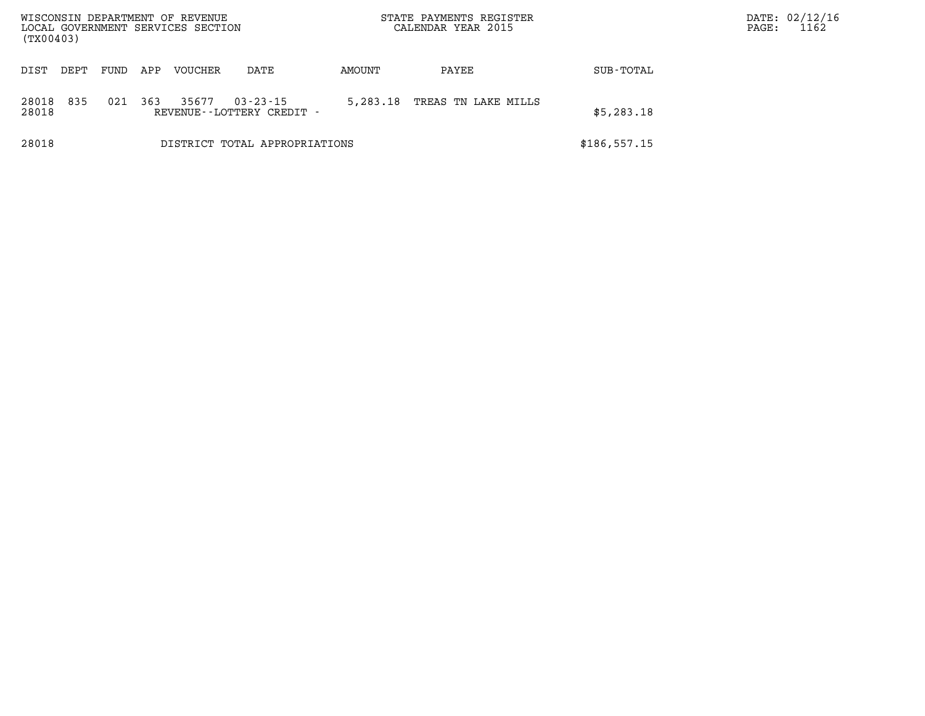| (TX00403)      |      |      |     | WISCONSIN DEPARTMENT OF REVENUE<br>LOCAL GOVERNMENT SERVICES SECTION |                                             |          | STATE PAYMENTS REGISTER<br>CALENDAR YEAR 2015 |              | DATE: 02/12/16<br>1162<br>PAGE: |
|----------------|------|------|-----|----------------------------------------------------------------------|---------------------------------------------|----------|-----------------------------------------------|--------------|---------------------------------|
| DIST           | DEPT | FUND | APP | <b>VOUCHER</b>                                                       | DATE                                        | AMOUNT   | PAYEE                                         | SUB-TOTAL    |                                 |
| 28018<br>28018 | 835  | 021  | 363 | 35677                                                                | $03 - 23 - 15$<br>REVENUE--LOTTERY CREDIT - | 5,283.18 | TREAS TN LAKE MILLS                           | \$5,283.18   |                                 |
| 28018          |      |      |     |                                                                      | DISTRICT TOTAL APPROPRIATIONS               |          |                                               | \$186,557.15 |                                 |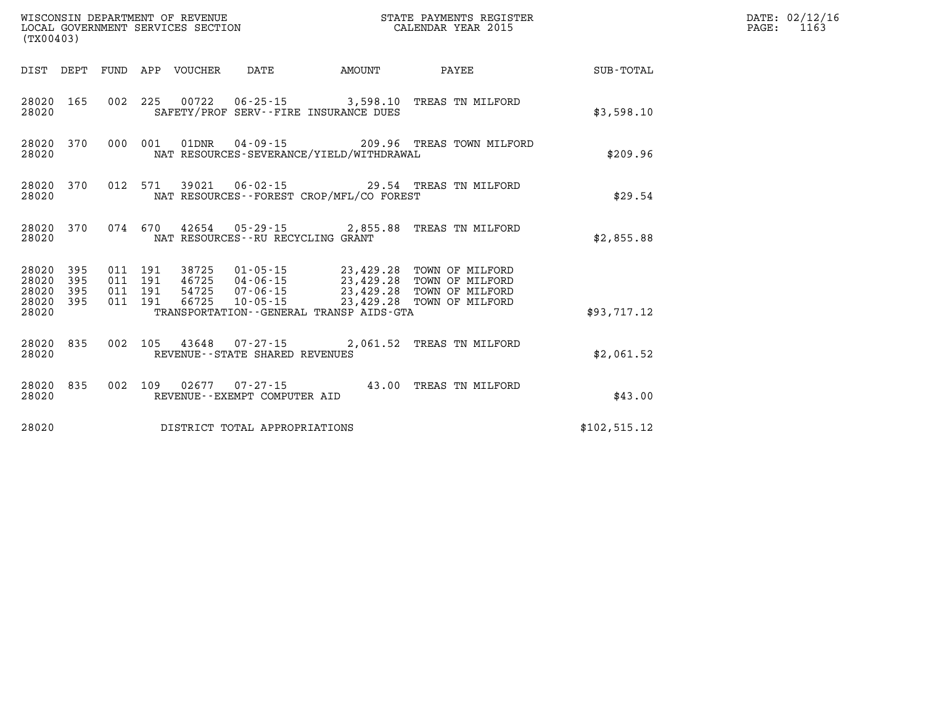| (TX00403)                                |            |                                          |         |                            |                                      |                                          | STATE PAYMENTS REGISTER                                                                                                                                                                  |              | DATE: 02/12/16<br>PAGE:<br>1163 |
|------------------------------------------|------------|------------------------------------------|---------|----------------------------|--------------------------------------|------------------------------------------|------------------------------------------------------------------------------------------------------------------------------------------------------------------------------------------|--------------|---------------------------------|
|                                          |            |                                          |         | DIST DEPT FUND APP VOUCHER | DATE                                 | <b>AMOUNT</b>                            | <b>PAYEE</b>                                                                                                                                                                             | SUB-TOTAL    |                                 |
| 28020 165<br>28020                       |            |                                          |         |                            |                                      | SAFETY/PROF SERV--FIRE INSURANCE DUES    | 002 225 00722 06-25-15 3,598.10 TREAS TN MILFORD                                                                                                                                         | \$3,598.10   |                                 |
| 28020                                    | 28020 370  |                                          | 000 001 | 01DNR                      |                                      | NAT RESOURCES-SEVERANCE/YIELD/WITHDRAWAL | 04-09-15    209.96    TREAS TOWN MILFORD                                                                                                                                                 | \$209.96     |                                 |
| 28020                                    | 28020 370  |                                          |         |                            |                                      | NAT RESOURCES--FOREST CROP/MFL/CO FOREST | 012 571 39021 06-02-15 29.54 TREAS TN MILFORD                                                                                                                                            | \$29.54      |                                 |
| 28020                                    | 28020 370  |                                          |         |                            | NAT RESOURCES - - RU RECYCLING GRANT |                                          | 074 670 42654 05-29-15 2,855.88 TREAS TN MILFORD                                                                                                                                         | \$2,855.88   |                                 |
| 28020 395<br>28020<br>28020<br>28020 395 | 395<br>395 | 011 191<br>011 191<br>011 191<br>011 191 |         |                            |                                      |                                          | 38725  01-05-15  23,429.28  TOWN OF MILFORD<br>46725  04-06-15  23,429.28  TOWN OF MILFORD<br>54725  07-06-15  23,429.28  TOWN OF MILFORD<br>66725  10-05-15  23,429.28  TOWN OF MILFORD |              |                                 |
| 28020                                    |            |                                          |         |                            |                                      | TRANSPORTATION--GENERAL TRANSP AIDS-GTA  |                                                                                                                                                                                          | \$93,717.12  |                                 |
| 28020 835<br>28020                       |            |                                          |         |                            | REVENUE--STATE SHARED REVENUES       |                                          | 002 105 43648 07-27-15 2,061.52 TREAS TN MILFORD                                                                                                                                         | \$2,061.52   |                                 |
| 28020 835<br>28020                       |            | 002 109                                  |         |                            | REVENUE--EXEMPT COMPUTER AID         |                                          | 02677  07-27-15  43.00 TREAS TN MILFORD                                                                                                                                                  | \$43.00      |                                 |
| 28020                                    |            |                                          |         |                            | DISTRICT TOTAL APPROPRIATIONS        |                                          |                                                                                                                                                                                          | \$102,515.12 |                                 |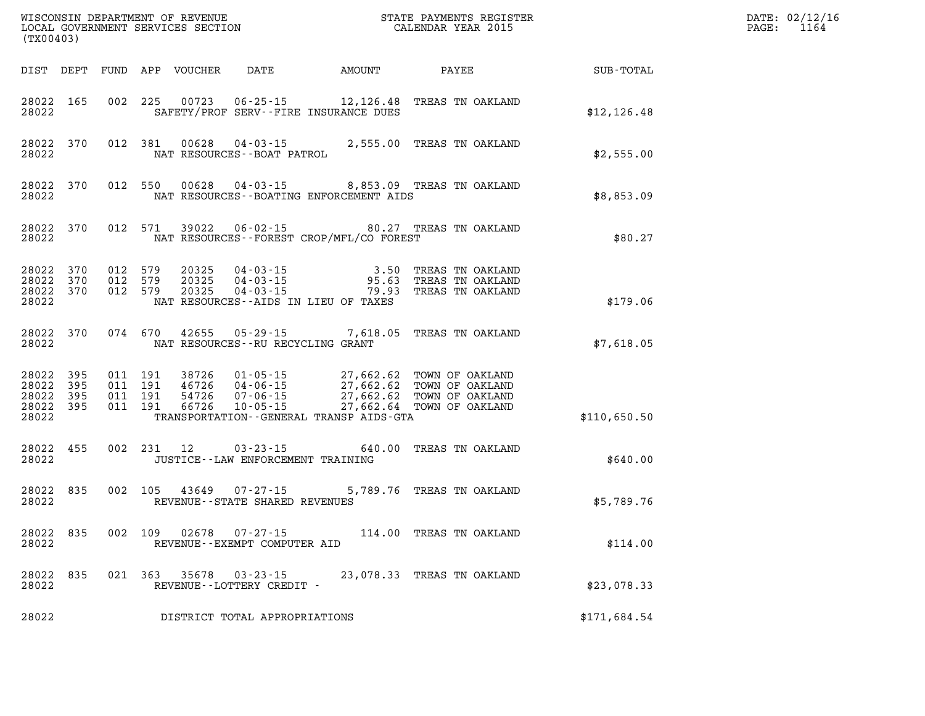| (TX00403)          |       |  |                                                                          | WISCONSIN DEPARTMENT OF REVENUE<br>LOCAL GOVERNMENT SERVICES SECTION<br>CALENDAR YEAR 2015 |                                                                                                                                                                                                                                         |                                                        | DATE: 02/12/16<br>PAGE: 1164 |
|--------------------|-------|--|--------------------------------------------------------------------------|--------------------------------------------------------------------------------------------|-----------------------------------------------------------------------------------------------------------------------------------------------------------------------------------------------------------------------------------------|--------------------------------------------------------|------------------------------|
|                    |       |  |                                                                          |                                                                                            |                                                                                                                                                                                                                                         | DIST DEPT FUND APP VOUCHER DATE AMOUNT PAYEE SUB-TOTAL |                              |
|                    |       |  |                                                                          | 28022 SAFETY/PROF SERV--FIRE INSURANCE DUES                                                | 28022 165 002 225 00723 06-25-15 12,126.48 TREAS TN OAKLAND                                                                                                                                                                             | \$12, 126.48                                           |                              |
| 28022              |       |  | NAT RESOURCES--BOAT PATROL                                               |                                                                                            | 28022 370 012 381 00628 04-03-15 2,555.00 TREAS TN OAKLAND                                                                                                                                                                              | \$2,555.00                                             |                              |
| 28022              |       |  |                                                                          | NAT RESOURCES--BOATING ENFORCEMENT AIDS                                                    | 28022 370 012 550 00628 04-03-15 8,853.09 TREAS TN OAKLAND                                                                                                                                                                              | \$8,853.09                                             |                              |
| 28022              |       |  |                                                                          | NAT RESOURCES - - FOREST CROP/MFL/CO FOREST                                                | 28022 370 012 571 39022 06-02-15 80.27 TREAS TN OAKLAND                                                                                                                                                                                 | \$80.27                                                |                              |
| 28022              |       |  |                                                                          | NAT RESOURCES--AIDS IN LIEU OF TAXES                                                       | 28022 370 012 579 20325 04-03-15 3.50 TREAS TN OAKLAND<br>28022 370 012 579 20325 04-03-15 95.63 TREAS TN OAKLAND<br>28022 370 012 579 20325 04-03-15 79.93 TREAS TN OAKLAND                                                            | \$179.06                                               |                              |
|                    |       |  | 28022 NAT RESOURCES--RU RECYCLING GRANT                                  |                                                                                            | 28022 370 074 670 42655 05-29-15 7,618.05 TREAS TN OAKLAND                                                                                                                                                                              | \$7,618.05                                             |                              |
|                    | 28022 |  |                                                                          | TRANSPORTATION--GENERAL TRANSP AIDS-GTA                                                    | 28022 395 011 191 38726 01-05-15 27,662.62 TOWN OF OAKLAND<br>28022 395 011 191 46726 04-06-15 27,662.62 TOWN OF OAKLAND<br>28022 395 011 191 54726 07-06-15 27,662.62 TOWN OF OAKLAND<br>28022 395 011 191 66726 10-05-15 27,662.64 TO | \$110,650.50                                           |                              |
|                    |       |  | 28022 JUSTICE - - LAW ENFORCEMENT TRAINING                               |                                                                                            | 28022 455 002 231 12 03-23-15 640.00 TREAS TN OAKLAND                                                                                                                                                                                   | \$640.00                                               |                              |
|                    |       |  | 28022 835 002 105 43649 07-27-15<br>28022 REVENUE--STATE SHARED REVENUES |                                                                                            | 5,789.76 TREAS TN OAKLAND                                                                                                                                                                                                               | \$5,789.76                                             |                              |
| 28022              |       |  | REVENUE--EXEMPT COMPUTER AID                                             |                                                                                            | 28022 835 002 109 02678 07-27-15 114.00 TREAS TN OAKLAND                                                                                                                                                                                | \$114.00                                               |                              |
| 28022 835<br>28022 |       |  | 021 363 35678 03-23-15<br>REVENUE--LOTTERY CREDIT -                      |                                                                                            | 23,078.33 TREAS TN OAKLAND                                                                                                                                                                                                              | \$23,078.33                                            |                              |
| 28022              |       |  | DISTRICT TOTAL APPROPRIATIONS                                            |                                                                                            |                                                                                                                                                                                                                                         | \$171,684.54                                           |                              |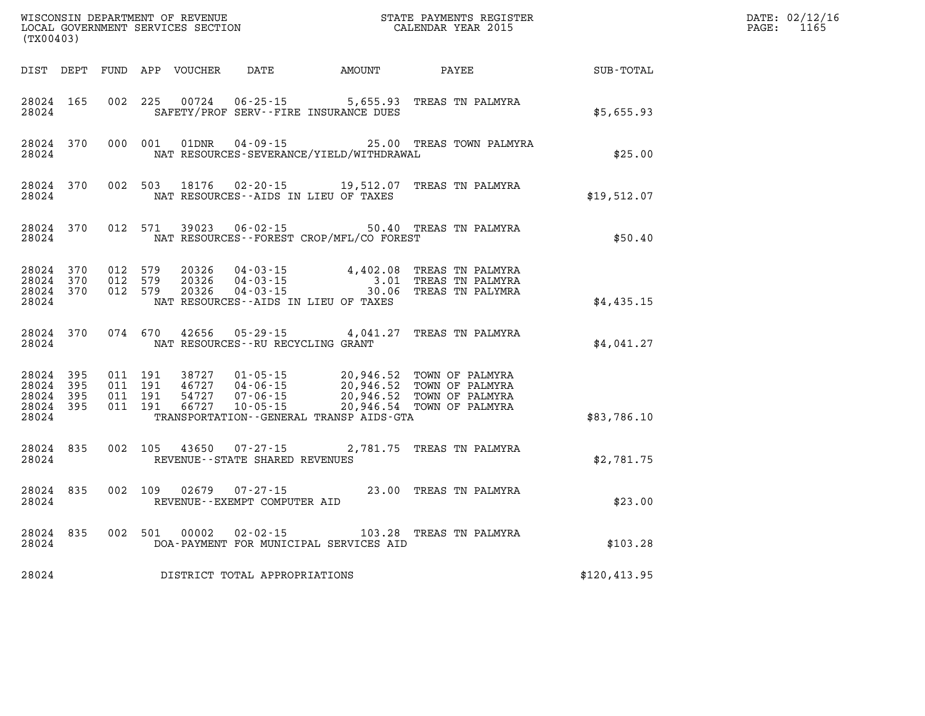| (TX00403)                       |                                                             |  |               |                                     |                                              | WISCONSIN DEPARTMENT OF REVENUE<br>LOCAL GOVERNMENT SERVICES SECTION FOR THE STATE PAYMENTS REGISTER<br>CALENDAR YEAR 2015         |                  | DATE: 02/12/16<br>PAGE: 1165 |
|---------------------------------|-------------------------------------------------------------|--|---------------|-------------------------------------|----------------------------------------------|------------------------------------------------------------------------------------------------------------------------------------|------------------|------------------------------|
|                                 |                                                             |  |               |                                     | DIST DEPT FUND APP VOUCHER DATE AMOUNT PAYEE |                                                                                                                                    | <b>SUB-TOTAL</b> |                              |
| 28024 165<br>28024              |                                                             |  | 002 225 00724 |                                     | SAFETY/PROF SERV--FIRE INSURANCE DUES        | 06-25-15 5,655.93 TREAS TN PALMYRA                                                                                                 | \$5,655.93       |                              |
| 28024                           |                                                             |  |               |                                     | NAT RESOURCES-SEVERANCE/YIELD/WITHDRAWAL     | 28024 370 000 001 01DNR 04-09-15 25.00 TREAS TOWN PALMYRA                                                                          | \$25.00          |                              |
|                                 | 28024                                                       |  |               |                                     | NAT RESOURCES--AIDS IN LIEU OF TAXES         | 28024 370 002 503 18176 02-20-15 19,512.07 TREAS TN PALMYRA                                                                        | \$19,512.07      |                              |
| 28024                           |                                                             |  |               |                                     | NAT RESOURCES--FOREST CROP/MFL/CO FOREST     | 28024 370 012 571 39023 06-02-15 50.40 TREAS TN PALMYRA                                                                            | \$50.40          |                              |
| 28024                           | 28024 370 012 579<br>28024 370 012 579<br>28024 370 012 579 |  |               |                                     | NAT RESOURCES -- AIDS IN LIEU OF TAXES       | 20326  04-03-15  4,402.08  TREAS TN PALMYRA<br>20326  04-03-15  3.01  TREAS TN PALMYRA<br>20326  04-03-15  30.06  TREAS TN PALYMRA | \$4,435.15       |                              |
|                                 | 28024 370<br>28024                                          |  |               | NAT RESOURCES--RU RECYCLING GRANT   |                                              | 074 670 42656 05-29-15 4,041.27 TREAS TN PALMYRA                                                                                   | \$4,041.27       |                              |
| 28024 395<br>28024 395<br>28024 | 28024 395<br>28024 395                                      |  |               |                                     | TRANSPORTATION--GENERAL TRANSP AIDS-GTA      |                                                                                                                                    | \$83,786.10      |                              |
| 28024                           | 28024 835                                                   |  |               | REVENUE - - STATE SHARED REVENUES   |                                              | 002 105 43650 07-27-15 2,781.75 TREAS TN PALMYRA                                                                                   | \$2,781.75       |                              |
| 28024                           | 28024 835                                                   |  |               | REVENUE--EXEMPT COMPUTER AID        |                                              | 002 109 02679 07-27-15 23.00 TREAS TN PALMYRA                                                                                      | \$23.00          |                              |
| 28024                           |                                                             |  |               |                                     | DOA-PAYMENT FOR MUNICIPAL SERVICES AID       | 28024 835 002 501 00002 02-02-15 103.28 TREAS TN PALMYRA                                                                           | \$103.28         |                              |
|                                 |                                                             |  |               | 28024 DISTRICT TOTAL APPROPRIATIONS |                                              |                                                                                                                                    | \$120,413.95     |                              |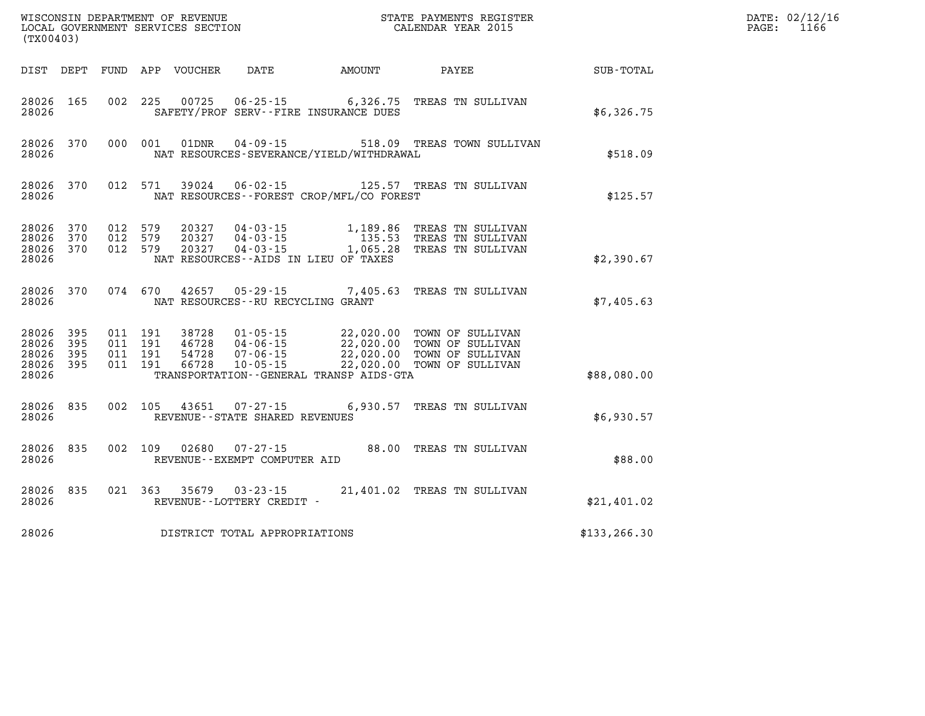|                                               |                   |         |                                          |                         | WINCONSIN DEFARTMENT OF REVENUE<br>LOCAL GOVERNMENT SERVICES SECTION<br>(TX00403) |                                                                  | STATE PAYMENTS REGISTER<br>CALENDAR YEAR 2015                                                                                                          |               | DATE: 02/12/16<br>$\mathtt{PAGE:}$<br>1166 |
|-----------------------------------------------|-------------------|---------|------------------------------------------|-------------------------|-----------------------------------------------------------------------------------|------------------------------------------------------------------|--------------------------------------------------------------------------------------------------------------------------------------------------------|---------------|--------------------------------------------|
| DIST DEPT                                     |                   |         |                                          | FUND APP VOUCHER        | DATE                                                                              | <b>AMOUNT</b>                                                    | <b>PAYEE</b>                                                                                                                                           | SUB-TOTAL     |                                            |
| 28026 165<br>28026                            |                   |         | 002 225                                  |                         |                                                                                   | 00725 06-25-15 6,326.75<br>SAFETY/PROF SERV--FIRE INSURANCE DUES | TREAS TN SULLIVAN                                                                                                                                      | \$6,326.75    |                                            |
| 28026 370<br>28026                            |                   |         | 000 001                                  | 01DNR                   |                                                                                   | NAT RESOURCES-SEVERANCE/YIELD/WITHDRAWAL                         | 04-09-15 518.09 TREAS TOWN SULLIVAN                                                                                                                    | \$518.09      |                                            |
| 28026 370<br>28026                            |                   |         | 012 571                                  | 39024                   |                                                                                   | NAT RESOURCES - - FOREST CROP/MFL/CO FOREST                      | 06-02-15 125.57 TREAS TN SULLIVAN                                                                                                                      | \$125.57      |                                            |
| 28026<br>28026 370<br>28026 370<br>28026      | 370               | 012 579 | 012 579<br>012 579                       | 20327<br>20327<br>20327 | $04 - 03 - 15$<br>NAT RESOURCES -- AIDS IN LIEU OF TAXES                          |                                                                  | 04-03-15 1,189.86 TREAS TN SULLIVAN<br>04-03-15 135.53 TREAS TN SULLIVAN<br>04-03-15 1,065.28 TREAS TN SULLIVAN<br>1,065.28 TREAS TN SULLIVAN          | \$2,390.67    |                                            |
| 28026 370<br>28026                            |                   |         | 074 670                                  | 42657                   | $05 - 29 - 15$<br>NAT RESOURCES -- RU RECYCLING GRANT                             |                                                                  | 7,405.63 TREAS TN SULLIVAN                                                                                                                             | \$7,405.63    |                                            |
| 28026<br>28026<br>28026<br>28026 395<br>28026 | 395<br>395<br>395 |         | 011 191<br>011 191<br>011 191<br>011 191 | 46728<br>54728<br>66728 | 07-06-15<br>10-05-15                                                              | TRANSPORTATION--GENERAL TRANSP AIDS-GTA                          | 38728  01-05-15  22,020.00 TOWN OF SULLIVAN<br>46728  04-06-15  22,020.00 TOWN OF SULLIVAN<br>22,020.00 TOWN OF SULLIVAN<br>22,020.00 TOWN OF SULLIVAN | \$88,080.00   |                                            |
| 28026<br>28026                                | 835               |         | 002 105                                  | 43651                   | $07 - 27 - 15$<br>REVENUE - - STATE SHARED REVENUES                               |                                                                  | 6,930.57 TREAS TN SULLIVAN                                                                                                                             | \$6,930.57    |                                            |
| 28026<br>28026                                | 835               |         | 002 109                                  | 02680                   | 07-27-15<br>REVENUE--EXEMPT COMPUTER AID                                          |                                                                  | 88.00 TREAS TN SULLIVAN                                                                                                                                | \$88.00       |                                            |
| 28026<br>28026                                | 835               |         | 021 363                                  |                         | 35679 03-23-15<br>REVENUE--LOTTERY CREDIT -                                       |                                                                  | 21,401.02 TREAS TN SULLIVAN                                                                                                                            | \$21,401.02   |                                            |
| 28026                                         |                   |         |                                          |                         | DISTRICT TOTAL APPROPRIATIONS                                                     |                                                                  |                                                                                                                                                        | \$133, 266.30 |                                            |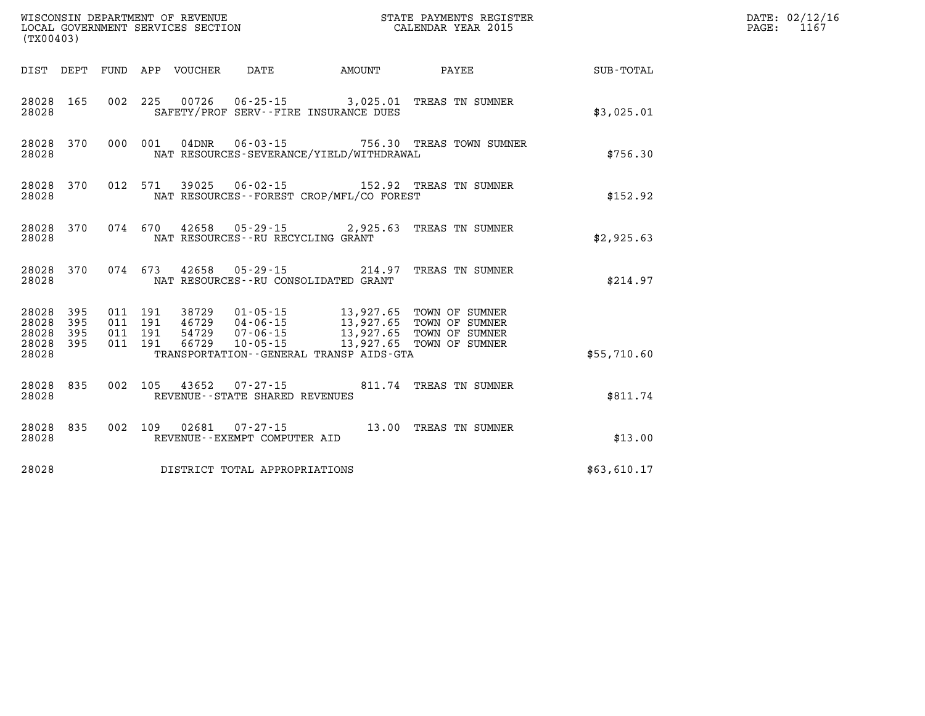| (TX00403)                                         |            |                                          |  |                                   |                                             |                                                                                                                                                                             |             | DATE: 02/12/16<br>$\mathtt{PAGE}$ :<br>1167 |
|---------------------------------------------------|------------|------------------------------------------|--|-----------------------------------|---------------------------------------------|-----------------------------------------------------------------------------------------------------------------------------------------------------------------------------|-------------|---------------------------------------------|
|                                                   |            |                                          |  |                                   |                                             | DIST DEPT FUND APP VOUCHER DATE AMOUNT PAYEE                                                                                                                                | SUB-TOTAL   |                                             |
| 28028                                             | 28028 165  |                                          |  |                                   | SAFETY/PROF SERV--FIRE INSURANCE DUES       | 002 225 00726 06-25-15 3,025.01 TREAS TN SUMNER                                                                                                                             | \$3,025.01  |                                             |
| 28028                                             |            |                                          |  |                                   | NAT RESOURCES-SEVERANCE/YIELD/WITHDRAWAL    | 28028 370 000 001 04DNR 06-03-15 756.30 TREAS TOWN SUMNER                                                                                                                   | \$756.30    |                                             |
| 28028                                             | 28028 370  |                                          |  |                                   | NAT RESOURCES - - FOREST CROP/MFL/CO FOREST | 012 571 39025 06-02-15 152.92 TREAS TN SUMNER                                                                                                                               | \$152.92    |                                             |
| 28028                                             | 28028 370  |                                          |  |                                   | NAT RESOURCES--RU RECYCLING GRANT           | 074 670 42658 05-29-15 2,925.63 TREAS TN SUMNER                                                                                                                             | \$2,925.63  |                                             |
| 28028                                             |            |                                          |  |                                   | NAT RESOURCES -- RU CONSOLIDATED GRANT      | 28028 370 074 673 42658 05-29-15 214.97 TREAS TN SUMNER                                                                                                                     | \$214.97    |                                             |
| 28028 395<br>28028<br>28028<br>28028 395<br>28028 | 395<br>395 | 011 191<br>011 191<br>011 191<br>011 191 |  |                                   | TRANSPORTATION--GENERAL TRANSP AIDS-GTA     | 38729  01-05-15  13,927.65  TOWN OF SUMNER<br>46729 04-06-15 13,927.65 TOWN OF SUMNER<br>54729 07-06-15 13,927.65 TOWN OF SUMNER<br>66729 10-05-15 13,927.65 TOWN OF SUMNER | \$55,710.60 |                                             |
| 28028                                             | 28028 835  |                                          |  | REVENUE - - STATE SHARED REVENUES |                                             | 002 105 43652 07-27-15 811.74 TREAS TN SUMNER                                                                                                                               | \$811.74    |                                             |
| 28028                                             | 28028 835  |                                          |  | REVENUE--EXEMPT COMPUTER AID      |                                             | 002 109 02681 07-27-15 13.00 TREAS TN SUMNER                                                                                                                                | \$13.00     |                                             |
| 28028                                             |            |                                          |  | DISTRICT TOTAL APPROPRIATIONS     |                                             |                                                                                                                                                                             | \$63,610.17 |                                             |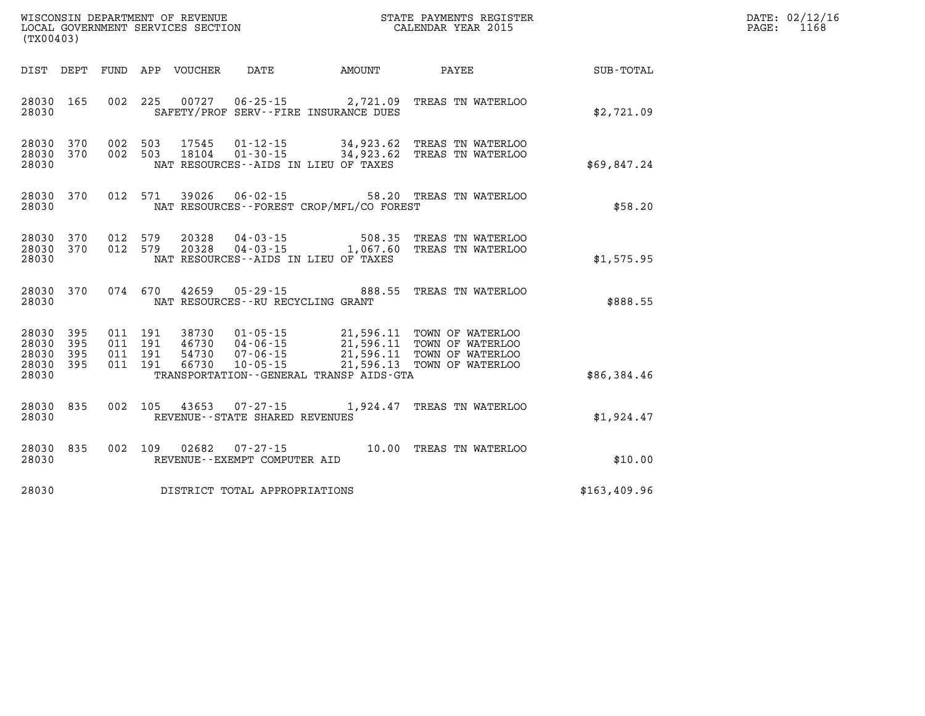| DATE: | 02/12/16 |
|-------|----------|
| PAGE: | 1168     |

| WISCONSIN DEPARTMENT OF REVENUE<br>LOCAL GOVERNMENT SERVICES SECTION<br>(TX00403) |                          |                          |                                                              |                                                                                                                 |                                                  |                                                                              |                  |
|-----------------------------------------------------------------------------------|--------------------------|--------------------------|--------------------------------------------------------------|-----------------------------------------------------------------------------------------------------------------|--------------------------------------------------|------------------------------------------------------------------------------|------------------|
| DIST                                                                              | DEPT                     | <b>FUND</b>              | APP<br>VOUCHER                                               | <b>DATE</b>                                                                                                     | AMOUNT                                           | PAYEE                                                                        | <b>SUB-TOTAL</b> |
| 28030<br>28030                                                                    | 165                      | 002                      | 225<br>00727                                                 | $06 - 25 - 15$<br>SAFETY/PROF SERV--FIRE INSURANCE DUES                                                         | 2,721.09                                         | TREAS TN WATERLOO                                                            | \$2,721.09       |
| 28030<br>28030<br>28030                                                           | 370<br>370               | 002<br>002               | 503<br>17545<br>503<br>18104                                 | $01 - 12 - 15$<br>$01 - 30 - 15$<br>NAT RESOURCES -- AIDS IN LIEU OF TAXES                                      | 34,923.62<br>34,923.62                           | TREAS TN WATERLOO<br>TREAS TN WATERLOO                                       | \$69,847.24      |
| 28030<br>28030                                                                    | 370                      | 012                      | 39026<br>571                                                 | $06 - 02 - 15$<br>NAT RESOURCES - - FOREST CROP/MFL/CO FOREST                                                   |                                                  | 58.20 TREAS TN WATERLOO                                                      | \$58.20          |
| 28030<br>28030<br>28030                                                           | 370<br>370               | 012<br>012               | 579<br>20328<br>20328<br>579                                 | $04 - 03 - 15$<br>$04 - 03 - 15$ 1,067.60<br>NAT RESOURCES -- AIDS IN LIEU OF TAXES                             | 508.35                                           | TREAS TN WATERLOO<br>TREAS TN WATERLOO                                       | \$1,575.95       |
| 28030<br>28030                                                                    | 370                      | 074                      | 670<br>42659                                                 | $05 - 29 - 15$<br>NAT RESOURCES - - RU RECYCLING GRANT                                                          | 888.55                                           | TREAS TN WATERLOO                                                            | \$888.55         |
| 28030<br>28030<br>28030<br>28030<br>28030                                         | 395<br>395<br>395<br>395 | 011<br>011<br>011<br>011 | 191<br>38730<br>191<br>46730<br>191<br>54730<br>191<br>66730 | $01 - 05 - 15$<br>$04 - 06 - 15$<br>$07 - 06 - 15$<br>$10 - 05 - 15$<br>TRANSPORTATION--GENERAL TRANSP AIDS-GTA | 21,596.11<br>21,596.11<br>21,596.11<br>21,596.13 | TOWN OF WATERLOO<br>TOWN OF WATERLOO<br>TOWN OF WATERLOO<br>TOWN OF WATERLOO | \$86,384.46      |
| 28030<br>28030                                                                    | 835                      | 002                      | 105                                                          | $43653$ $07 - 27 - 15$<br>REVENUE - - STATE SHARED REVENUES                                                     | 1,924.47                                         | TREAS TN WATERLOO                                                            | \$1,924.47       |
| 28030<br>28030                                                                    | 835                      | 002                      | 109<br>02682                                                 | $07 - 27 - 15$<br>REVENUE--EXEMPT COMPUTER AID                                                                  | 10.00                                            | TREAS TN WATERLOO                                                            | \$10.00          |
| 28030                                                                             |                          |                          |                                                              | DISTRICT TOTAL APPROPRIATIONS                                                                                   |                                                  |                                                                              | \$163,409.96     |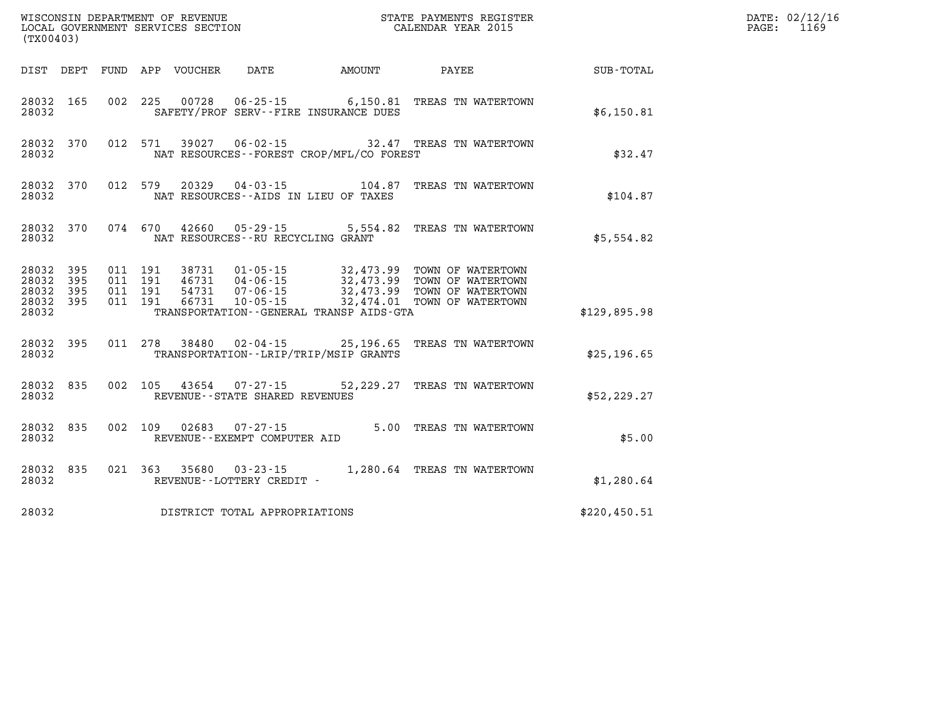| (TX00403)                                             |     |                                          |         | WISCONSIN DEPARTMENT OF REVENUE<br>LOCAL GOVERNMENT SERVICES SECTION |                                                        |                                          | STATE PAYMENTS REGISTER<br>CALENDAR YEAR 2015                                                                                                       |              | DATE: 02/12/16<br>PAGE:<br>1169 |
|-------------------------------------------------------|-----|------------------------------------------|---------|----------------------------------------------------------------------|--------------------------------------------------------|------------------------------------------|-----------------------------------------------------------------------------------------------------------------------------------------------------|--------------|---------------------------------|
|                                                       |     |                                          |         | DIST DEPT FUND APP VOUCHER                                           | DATE                                                   | AMOUNT                                   | PAYEE                                                                                                                                               | SUB-TOTAL    |                                 |
| 28032 165<br>28032                                    |     |                                          |         |                                                                      |                                                        | SAFETY/PROF SERV--FIRE INSURANCE DUES    | 002 225 00728 06-25-15 6,150.81 TREAS TN WATERTOWN                                                                                                  | \$6,150.81   |                                 |
| 28032 370<br>28032                                    |     | 012 571                                  |         |                                                                      |                                                        | NAT RESOURCES--FOREST CROP/MFL/CO FOREST | 39027  06-02-15  32.47  TREAS TN WATERTOWN                                                                                                          | \$32.47      |                                 |
| 28032 370<br>28032                                    |     | 012 579                                  |         | 20329                                                                |                                                        | NAT RESOURCES -- AIDS IN LIEU OF TAXES   | 04-03-15    104.87    TREAS TN WATERTOWN                                                                                                            | \$104.87     |                                 |
| 28032 370<br>28032                                    |     |                                          | 074 670 | 42660                                                                | $05 - 29 - 15$<br>NAT RESOURCES - - RU RECYCLING GRANT |                                          | 5,554.82 TREAS TN WATERTOWN                                                                                                                         | \$5,554.82   |                                 |
| 28032 395<br>28032<br>28032 395<br>28032 395<br>28032 | 395 | 011 191<br>011 191<br>011 191<br>011 191 |         | 38731<br>46731<br>54731<br>66731                                     | $01 - 05 - 15$                                         | TRANSPORTATION--GENERAL TRANSP AIDS-GTA  | 32,473.99 TOWN OF WATERTOWN<br>04-06-15 32,473.99 TOWN OF WATERTOWN<br>07-06-15 32,473.99 TOWN OF WATERTOWN<br>10-05-15 32,474.01 TOWN OF WATERTOWN | \$129.895.98 |                                 |
| 28032 395<br>28032                                    |     |                                          |         |                                                                      |                                                        | TRANSPORTATION - - LRIP/TRIP/MSIP GRANTS | 011  278  38480  02-04-15  25,196.65  TREAS  TN WATERTOWN                                                                                           | \$25, 196.65 |                                 |
| 28032 835<br>28032                                    |     |                                          | 002 105 | 43654                                                                | $07 - 27 - 15$<br>REVENUE - - STATE SHARED REVENUES    |                                          | 52, 229.27 TREAS TN WATERTOWN                                                                                                                       | \$52, 229.27 |                                 |
| 28032 835<br>28032                                    |     |                                          | 002 109 | 02683                                                                | 07-27-15<br>REVENUE--EXEMPT COMPUTER AID               |                                          | 5.00 TREAS TN WATERTOWN                                                                                                                             | \$5.00       |                                 |
| 28032 835<br>28032                                    |     | 021 363                                  |         |                                                                      | 35680 03-23-15<br>REVENUE--LOTTERY CREDIT -            |                                          | 1,280.64 TREAS TN WATERTOWN                                                                                                                         | \$1,280.64   |                                 |
| 28032                                                 |     |                                          |         |                                                                      | DISTRICT TOTAL APPROPRIATIONS                          |                                          |                                                                                                                                                     | \$220,450.51 |                                 |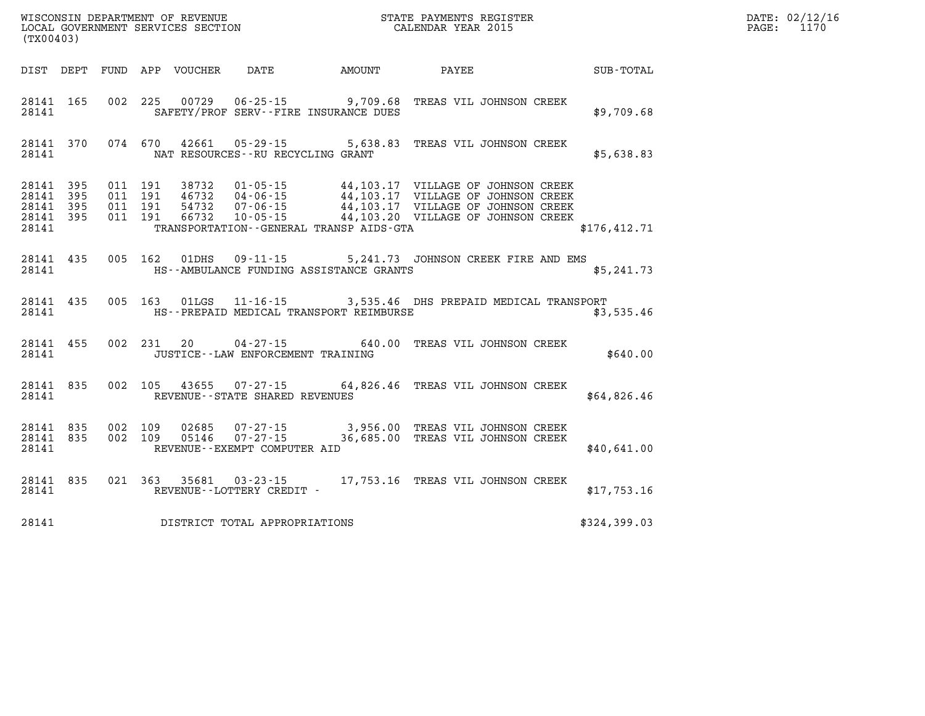| (TX00403)                                    |           |                                          |            |                                 |                                                                   |                                       |                                                                                                                                                                                                      |              | DATE: 02/12/16<br>$\mathtt{PAGE:}$<br>1170 |
|----------------------------------------------|-----------|------------------------------------------|------------|---------------------------------|-------------------------------------------------------------------|---------------------------------------|------------------------------------------------------------------------------------------------------------------------------------------------------------------------------------------------------|--------------|--------------------------------------------|
|                                              |           |                                          |            | DIST DEPT FUND APP VOUCHER DATE |                                                                   | <b>EXAMPLE THE PROPERTY OF AMOUNT</b> | PAYEE                                                                                                                                                                                                | SUB-TOTAL    |                                            |
| 28141                                        | 28141 165 |                                          |            |                                 | SAFETY/PROF SERV--FIRE INSURANCE DUES                             |                                       | 002 225 00729 06-25-15 9,709.68 TREAS VIL JOHNSON CREEK                                                                                                                                              | \$9,709.68   |                                            |
| 28141                                        | 28141 370 |                                          |            |                                 | NAT RESOURCES--RU RECYCLING GRANT                                 |                                       | 074 670 42661 05-29-15 5,638.83 TREAS VIL JOHNSON CREEK                                                                                                                                              | \$5,638.83   |                                            |
| 28141 395<br>28141 395<br>28141 395<br>28141 | 28141 395 | 011 191<br>011 191<br>011 191<br>011 191 |            |                                 | TRANSPORTATION - - GENERAL TRANSP AIDS - GTA                      |                                       | 38732  01-05-15  44,103.17  VILLAGE OF JOHNSON CREEK<br>44,103.17 VILLAGE OF JOHNSON CREEK<br>54732 07-06-15 44,103.17 VILLAGE OF JOHNSON CREEK<br>66732 10-05-15 44,103.17 VILLAGE OF JOHNSON CREEK | \$176,412.71 |                                            |
| 28141                                        | 28141 435 |                                          |            |                                 | 005 162 01DHS 09-11-15<br>HS--AMBULANCE FUNDING ASSISTANCE GRANTS |                                       | 5,241.73 JOHNSON CREEK FIRE AND EMS                                                                                                                                                                  | \$5,241.73   |                                            |
| 28141 435<br>28141                           |           |                                          |            |                                 | HS--PREPAID MEDICAL TRANSPORT REIMBURSE                           |                                       | 005 163 01LGS 11-16-15 3,535.46 DHS PREPAID MEDICAL TRANSPORT                                                                                                                                        | \$3,535.46   |                                            |
| 28141 455<br>28141                           |           |                                          | 002 231 20 |                                 | $04 - 27 - 15$<br>JUSTICE -- LAW ENFORCEMENT TRAINING             |                                       | 640.00 TREAS VIL JOHNSON CREEK                                                                                                                                                                       | \$640.00     |                                            |
| 28141 835<br>28141                           |           |                                          |            | 002 105 43655                   | REVENUE - - STATE SHARED REVENUES                                 |                                       | 07-27-15 64,826.46 TREAS VIL JOHNSON CREEK                                                                                                                                                           | \$64,826.46  |                                            |
| 28141 835<br>28141 835<br>28141              |           | 002 109<br>002 109                       |            | 02685<br>05146                  | 07-27-15<br>$07 - 27 - 15$<br>REVENUE--EXEMPT COMPUTER AID        |                                       | 3,956.00 TREAS VIL JOHNSON CREEK<br>36,685.00 TREAS VIL JOHNSON CREEK                                                                                                                                | \$40,641.00  |                                            |
| 28141                                        | 28141 835 |                                          |            |                                 | 021 363 35681 03-23-15<br>REVENUE--LOTTERY CREDIT -               |                                       | 17,753.16 TREAS VIL JOHNSON CREEK                                                                                                                                                                    | \$17,753.16  |                                            |
| 28141                                        |           |                                          |            |                                 | DISTRICT TOTAL APPROPRIATIONS                                     |                                       |                                                                                                                                                                                                      | \$324,399.03 |                                            |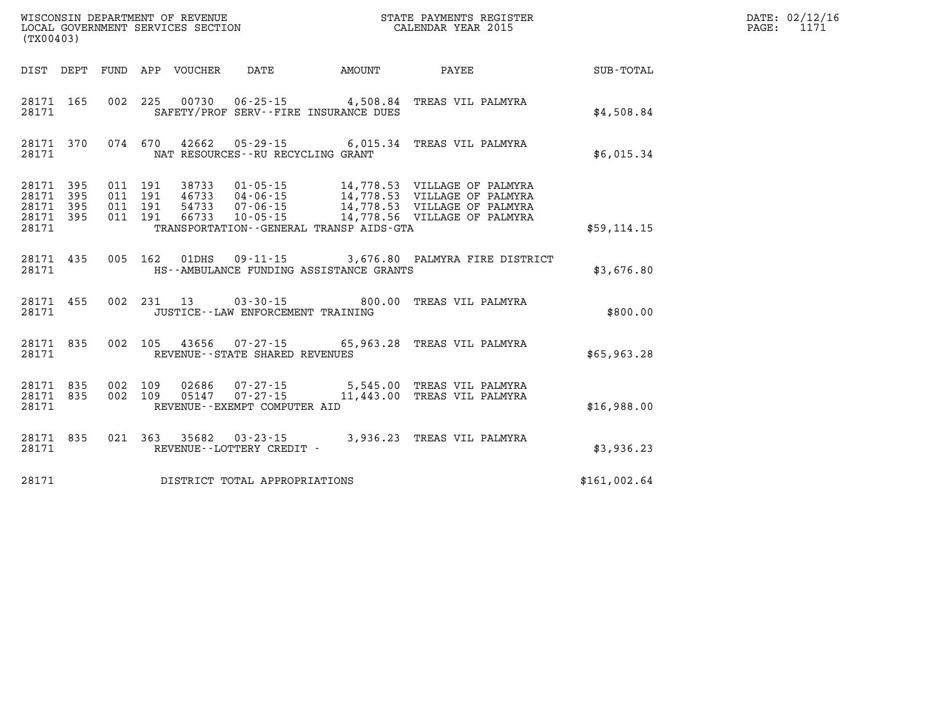| WISCONSIN DEPARTMENT OF REVENUE<br>LOCAL GOVERNMENT SERVICES SECTION<br>(TX00403) |                   |                   |                   |                         |                                                            |                                                                  |                                                                                              |              |
|-----------------------------------------------------------------------------------|-------------------|-------------------|-------------------|-------------------------|------------------------------------------------------------|------------------------------------------------------------------|----------------------------------------------------------------------------------------------|--------------|
| DIST                                                                              | DEPT              | FUND              |                   |                         | APP VOUCHER DATE AMOUNT                                    |                                                                  | PAYEE                                                                                        | SUB-TOTAL    |
| 28171<br>28171                                                                    | 165               | 002               | 225               |                         |                                                            | 00730 06-25-15 4,508.84<br>SAFETY/PROF SERV--FIRE INSURANCE DUES | TREAS VIL PALMYRA                                                                            | \$4,508.84   |
| 28171<br>28171                                                                    | 370               | 074               | 670               | 42662                   | NAT RESOURCES - - RU RECYCLING GRANT                       | $05 - 29 - 15$ 6,015.34                                          | TREAS VIL PALMYRA                                                                            | \$6,015.34   |
| 28171<br>28171<br>28171                                                           | 395<br>395<br>395 | 011<br>011<br>011 | 191<br>191<br>191 | 38733<br>46733<br>54733 | $01 - 05 - 15$<br>$04 - 06 - 15$<br>$07 - 06 - 15$         |                                                                  | 14,778.53 VILLAGE OF PALMYRA<br>14,778.53 VILLAGE OF PALMYRA<br>14,778.53 VILLAGE OF PALMYRA |              |
| 28171<br>28171                                                                    | 395               | 011               | 191               | 66733                   | $10 - 05 - 15$                                             | TRANSPORTATION - - GENERAL TRANSP AIDS - GTA                     | 14,778.56 VILLAGE OF PALMYRA                                                                 | \$59,114.15  |
| 28171<br>28171                                                                    | 435               | 005               | 162               | 01DHS                   | $09 - 11 - 15$                                             | HS--AMBULANCE FUNDING ASSISTANCE GRANTS                          | 3,676.80 PALMYRA FIRE DISTRICT                                                               | \$3,676.80   |
| 28171<br>28171                                                                    | 455               | 002               | 231               | 13                      | $03 - 30 - 15$<br>JUSTICE - - LAW ENFORCEMENT TRAINING     | 800.00                                                           | TREAS VIL PALMYRA                                                                            | \$800.00     |
| 28171<br>28171                                                                    | 835               | 002               | 105               |                         | REVENUE - - STATE SHARED REVENUES                          | 43656 07-27-15 65,963.28                                         | TREAS VIL PALMYRA                                                                            | \$65,963.28  |
| 28171<br>28171<br>28171                                                           | 835<br>835        | 002<br>002        | 109<br>109        | 02686                   | 07-27-15<br>05147 07-27-15<br>REVENUE--EXEMPT COMPUTER AID | 11,443.00                                                        | 5,545.00 TREAS VIL PALMYRA<br>TREAS VIL PALMYRA                                              | \$16,988.00  |
| 28171<br>28171                                                                    | 835               | 021               | 363               | 35682                   | $03 - 23 - 15$<br>REVENUE--LOTTERY CREDIT -                | 3,936.23                                                         | TREAS VIL PALMYRA                                                                            | \$3,936.23   |
| 28171                                                                             |                   |                   |                   |                         | DISTRICT TOTAL APPROPRIATIONS                              |                                                                  |                                                                                              | \$161,002.64 |

**DATE: 02/12/16<br>PAGE: 1171**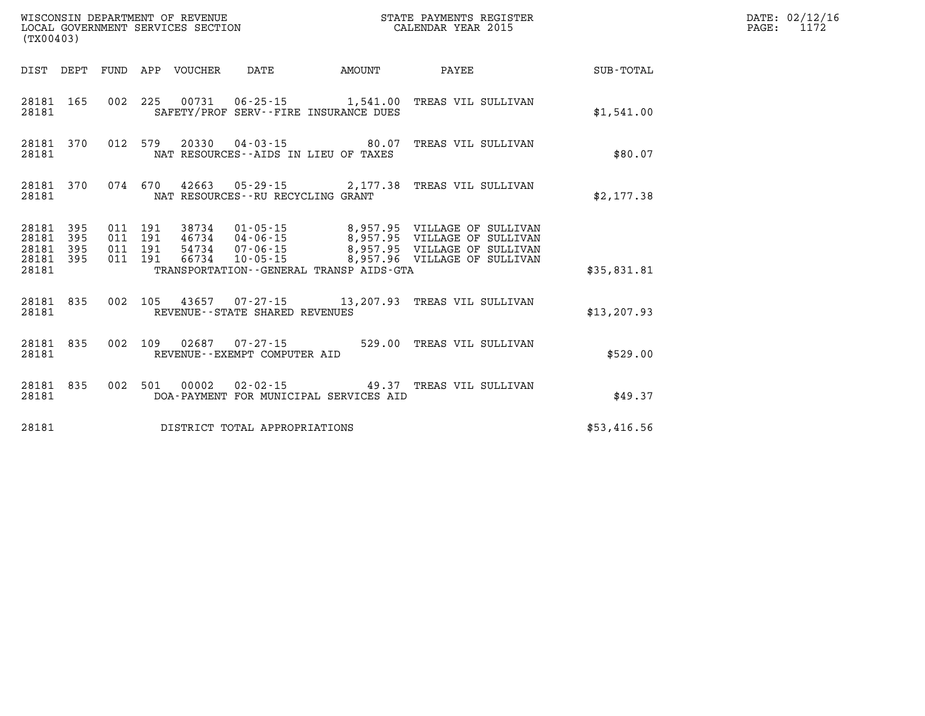| (TX00403)                                                 |           |                               |         |                            | WISCONSIN DEPARTMENT OF REVENUE<br>LOCAL GOVERNMENT SERVICES SECTION |                                         | STATE PAYMENTS REGISTER<br>CALENDAR YEAR 2015                                                                                                                                                        |              | DATE: 02/12/16<br>PAGE:<br>1172 |
|-----------------------------------------------------------|-----------|-------------------------------|---------|----------------------------|----------------------------------------------------------------------|-----------------------------------------|------------------------------------------------------------------------------------------------------------------------------------------------------------------------------------------------------|--------------|---------------------------------|
|                                                           |           |                               |         | DIST DEPT FUND APP VOUCHER | DATE                                                                 | AMOUNT                                  | PAYEE                                                                                                                                                                                                | SUB-TOTAL    |                                 |
| 28181 165<br>28181                                        |           |                               |         |                            | SAFETY/PROF SERV--FIRE INSURANCE DUES                                |                                         | 002 225 00731 06-25-15 1,541.00 TREAS VIL SULLIVAN                                                                                                                                                   | \$1,541.00   |                                 |
| 28181                                                     |           |                               |         |                            | NAT RESOURCES--AIDS IN LIEU OF TAXES                                 |                                         | 28181 370 012 579 20330 04-03-15 80.07 TREAS VIL SULLIVAN                                                                                                                                            | \$80.07      |                                 |
| 28181                                                     | 28181 370 |                               |         |                            | NAT RESOURCES - - RU RECYCLING GRANT                                 |                                         | 074 670 42663 05-29-15 2,177.38 TREAS VIL SULLIVAN                                                                                                                                                   | \$2,177.38   |                                 |
| 28181 395<br>28181 395<br>28181 395<br>28181 395<br>28181 |           | 011 191<br>011 191<br>011 191 | 011 191 |                            |                                                                      | TRANSPORTATION--GENERAL TRANSP AIDS-GTA | 38734  01-05-15  8,957.95  VILLAGE OF SULLIVAN<br>46734  04-06-15  8,957.95  VILLAGE OF SULLIVAN<br>54734  07-06-15  8,957.95  VILLAGE OF SULLIVAN<br>66734  10-05-15  8,957.96  VILLAGE OF SULLIVAN | \$35,831.81  |                                 |
| 28181                                                     | 28181 835 |                               |         |                            | REVENUE - - STATE SHARED REVENUES                                    |                                         | 002 105 43657 07-27-15 13,207.93 TREAS VIL SULLIVAN                                                                                                                                                  | \$13, 207.93 |                                 |
| 28181 835<br>28181                                        |           |                               |         |                            | REVENUE--EXEMPT COMPUTER AID                                         |                                         | 002 109 02687 07-27-15 529.00 TREAS VIL SULLIVAN                                                                                                                                                     | \$529.00     |                                 |
| 28181                                                     | 28181 835 |                               |         |                            |                                                                      | DOA-PAYMENT FOR MUNICIPAL SERVICES AID  | 002 501 00002 02-02-15 49.37 TREAS VIL SULLIVAN                                                                                                                                                      | \$49.37      |                                 |
| 28181                                                     |           |                               |         |                            | DISTRICT TOTAL APPROPRIATIONS                                        |                                         |                                                                                                                                                                                                      | \$53,416.56  |                                 |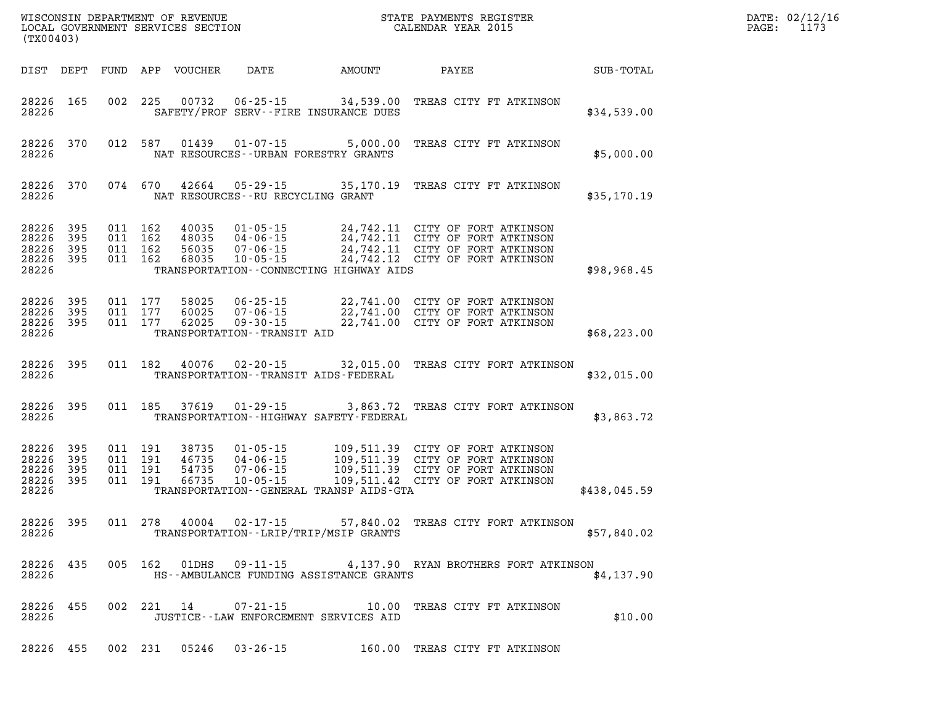| (TX00403)                                     |                          |                               |         | WISCONSIN DEPARTMENT OF REVENUE<br>LOCAL GOVERNMENT SERVICES SECTION |                                                          |                                                                   | STATE PAYMENTS REGISTER<br>CALENDAR YEAR 2015                                                                                                     |              | DATE: 02/12/16<br>1173<br>PAGE: |
|-----------------------------------------------|--------------------------|-------------------------------|---------|----------------------------------------------------------------------|----------------------------------------------------------|-------------------------------------------------------------------|---------------------------------------------------------------------------------------------------------------------------------------------------|--------------|---------------------------------|
| DIST DEPT                                     |                          |                               |         | FUND APP VOUCHER                                                     | DATE                                                     | <b>AMOUNT</b>                                                     | PAYEE                                                                                                                                             | SUB-TOTAL    |                                 |
| 28226 165<br>28226                            |                          |                               | 002 225 | 00732                                                                |                                                          | $06 - 25 - 15$ 34,539.00<br>SAFETY/PROF SERV--FIRE INSURANCE DUES | TREAS CITY FT ATKINSON                                                                                                                            | \$34,539.00  |                                 |
| 28226                                         | 28226 370                |                               | 012 587 | 01439                                                                | $01 - 07 - 15$                                           | 5,000.00<br>NAT RESOURCES--URBAN FORESTRY GRANTS                  | TREAS CITY FT ATKINSON                                                                                                                            | \$5,000.00   |                                 |
| 28226 370<br>28226                            |                          |                               | 074 670 | 42664                                                                |                                                          | NAT RESOURCES--RU RECYCLING GRANT                                 | 05-29-15 35,170.19 TREAS CITY FT ATKINSON                                                                                                         | \$35,170.19  |                                 |
| 28226<br>28226<br>28226<br>28226<br>28226     | 395<br>395<br>395<br>395 | 011 162<br>011 162<br>011 162 | 011 162 | 40035<br>48035<br>56035<br>68035                                     | 04-06-15<br>$07 - 06 - 15$<br>$10 - 05 - 15$             | TRANSPORTATION -- CONNECTING HIGHWAY AIDS                         | 01-05-15 24,742.11 CITY OF FORT ATKINSON<br>24,742.11 CITY OF FORT ATKINSON<br>24,742.11 CITY OF FORT ATKINSON<br>24,742.12 CITY OF FORT ATKINSON | \$98,968.45  |                                 |
| 28226<br>28226<br>28226<br>28226              | 395<br>395<br>395        | 011 177<br>011 177            | 011 177 | 58025<br>60025<br>62025                                              | TRANSPORTATION - - TRANSIT AID                           |                                                                   | 06-25-15 22,741.00 CITY OF FORT ATKINSON<br>07-06-15 22,741.00 CITY OF FORT ATKINSON<br>09-30-15 22,741.00 CITY OF FORT ATKINSON                  | \$68, 223.00 |                                 |
| 28226 395<br>28226                            |                          |                               | 011 182 |                                                                      | 40076 02-20-15                                           | TRANSPORTATION - - TRANSIT AIDS - FEDERAL                         | 32,015.00 TREAS CITY FORT ATKINSON                                                                                                                | \$32,015.00  |                                 |
| 28226 395<br>28226                            |                          |                               | 011 185 |                                                                      | 37619 01-29-15                                           | TRANSPORTATION - - HIGHWAY SAFETY - FEDERAL                       | 3,863.72 TREAS CITY FORT ATKINSON                                                                                                                 | \$3,863.72   |                                 |
| 28226<br>28226<br>28226<br>28226 395<br>28226 | 395<br>395<br>395        | 011 191<br>011 191<br>011 191 | 011 191 | 38735<br>46735<br>54735<br>66735                                     | $01 - 05 - 15$<br>04-06-15<br>07-06-15<br>$10 - 05 - 15$ | TRANSPORTATION - - GENERAL TRANSP AIDS - GTA                      | 109,511.39 CITY OF FORT ATKINSON<br>109,511.39 CITY OF FORT ATKINSON<br>109,511.39 CITY OF FORT ATKINSON<br>109,511.42 CITY OF FORT ATKINSON      | \$438,045.59 |                                 |
| 28226 395<br>28226                            |                          | 011 278                       |         | 40004                                                                | 02-17-15                                                 | TRANSPORTATION - - LRIP/TRIP/MSIP GRANTS                          | 57,840.02 TREAS CITY FORT ATKINSON                                                                                                                | \$57,840.02  |                                 |
| 28226                                         | 28226 435                |                               |         |                                                                      | 005 162 01DHS 09-11-15                                   | HS--AMBULANCE FUNDING ASSISTANCE GRANTS                           | 4,137.90 RYAN BROTHERS FORT ATKINSON                                                                                                              | \$4,137.90   |                                 |
| 28226 455<br>28226                            |                          |                               |         | 002 221 14                                                           | $07 - 21 - 15$                                           | JUSTICE -- LAW ENFORCEMENT SERVICES AID                           | 10.00 TREAS CITY FT ATKINSON                                                                                                                      | \$10.00      |                                 |
|                                               | 28226 455                |                               |         |                                                                      | 002 231 05246 03-26-15                                   |                                                                   | 160.00 TREAS CITY FT ATKINSON                                                                                                                     |              |                                 |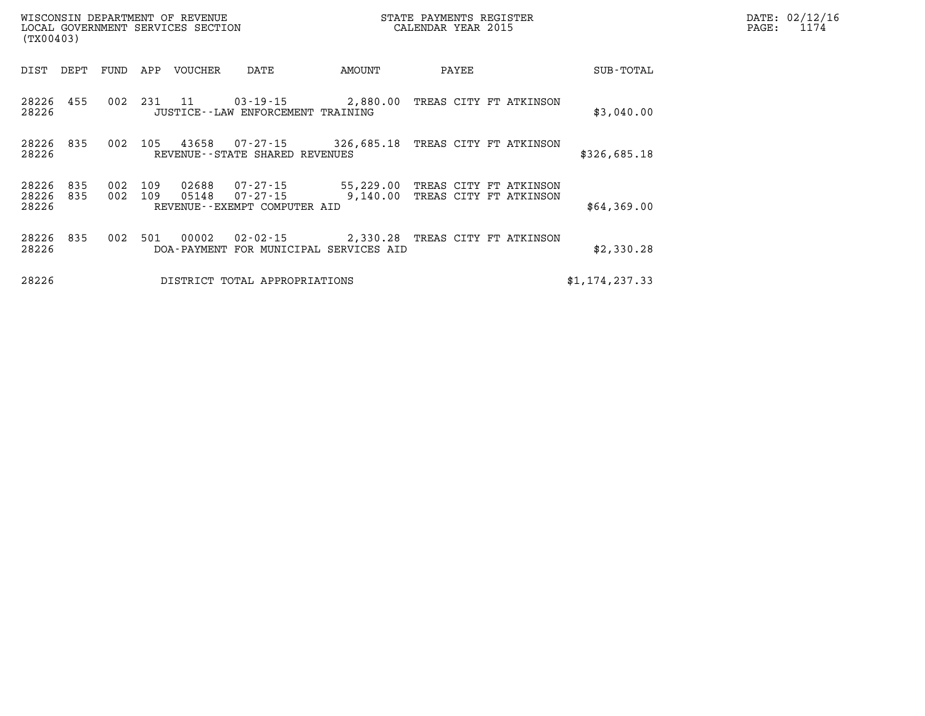| (TX00403)               |            |            |            | WISCONSIN DEPARTMENT OF REVENUE<br>LOCAL GOVERNMENT SERVICES SECTION |                                                                                    |                                 | STATE PAYMENTS REGISTER<br>CALENDAR YEAR 2015 |                                                  | $\mathtt{PAGE}$ : | DATE: 02/12/16<br>1174 |  |
|-------------------------|------------|------------|------------|----------------------------------------------------------------------|------------------------------------------------------------------------------------|---------------------------------|-----------------------------------------------|--------------------------------------------------|-------------------|------------------------|--|
| DIST                    | DEPT       | FUND       | APP        | VOUCHER                                                              | DATE                                                                               | AMOUNT                          | PAYEE                                         |                                                  | SUB-TOTAL         |                        |  |
| 28226 455<br>28226      |            | 002        | 231 11     |                                                                      | 03-19-15<br>JUSTICE - - LAW ENFORCEMENT TRAINING                                   | 2,880.00 TREAS CITY FT ATKINSON |                                               |                                                  | \$3,040.00        |                        |  |
| 28226 835<br>28226      |            | 002        | 105        | 43658                                                                | 07-27-15<br>REVENUE--STATE SHARED REVENUES                                         | 326,685.18                      |                                               | TREAS CITY FT ATKINSON                           | \$326,685.18      |                        |  |
| 28226<br>28226<br>28226 | 835<br>835 | 002<br>002 | 109<br>109 | 02688<br>05148                                                       | 07-27-15<br>07-27-15<br>REVENUE--EXEMPT COMPUTER AID                               | 55,229.00<br>9,140.00           |                                               | TREAS CITY FT ATKINSON<br>TREAS CITY FT ATKINSON | \$64,369.00       |                        |  |
| 28226 835<br>28226      |            | 002        | 501        | 00002                                                                | 02-02-15 2,330.28 TREAS CITY FT ATKINSON<br>DOA-PAYMENT FOR MUNICIPAL SERVICES AID |                                 |                                               |                                                  | \$2,330.28        |                        |  |
| 28226                   |            |            |            |                                                                      | DISTRICT TOTAL APPROPRIATIONS                                                      |                                 |                                               |                                                  | \$1,174,237.33    |                        |  |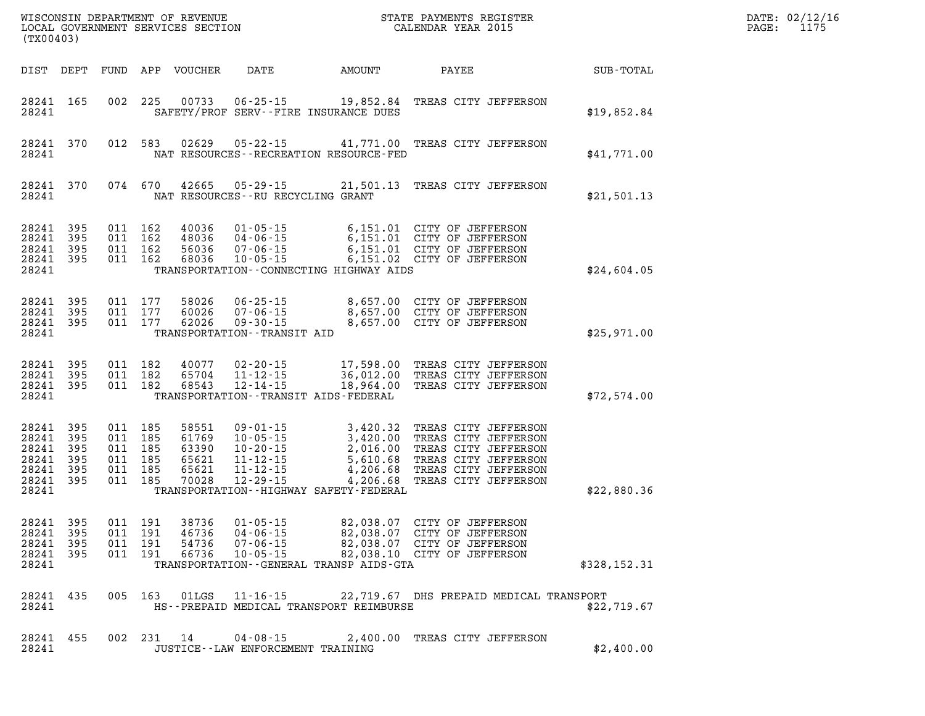| (TX00403)                                                       |                                 |                                                                |            | WISCONSIN DEPARTMENT OF REVENUE<br>LOCAL GOVERNMENT SERVICES SECTION |                                                        |                                                                     | STATE PAYMENTS REGISTER<br>CALENDAR YEAR 2015                                                                                                                                                                        |              | DATE: 02/12/16<br>1175<br>PAGE: |
|-----------------------------------------------------------------|---------------------------------|----------------------------------------------------------------|------------|----------------------------------------------------------------------|--------------------------------------------------------|---------------------------------------------------------------------|----------------------------------------------------------------------------------------------------------------------------------------------------------------------------------------------------------------------|--------------|---------------------------------|
|                                                                 | DIST DEPT                       |                                                                |            | FUND APP VOUCHER                                                     | DATE                                                   | AMOUNT                                                              | PAYEE                                                                                                                                                                                                                | SUB-TOTAL    |                                 |
| 28241 165<br>28241                                              |                                 |                                                                | 002 225    | 00733                                                                |                                                        | $06 - 25 - 15$ 19,852.84<br>SAFETY/PROF SERV--FIRE INSURANCE DUES   | TREAS CITY JEFFERSON                                                                                                                                                                                                 | \$19,852.84  |                                 |
| 28241 370<br>28241                                              |                                 | 012 583                                                        |            | 02629                                                                |                                                        | NAT RESOURCES - - RECREATION RESOURCE - FED                         | 05-22-15 41,771.00 TREAS CITY JEFFERSON                                                                                                                                                                              | \$41,771.00  |                                 |
| 28241 370<br>28241                                              |                                 | 074 670                                                        |            | 42665                                                                | NAT RESOURCES - - RU RECYCLING GRANT                   | $05 - 29 - 15$ 21,501.13                                            | TREAS CITY JEFFERSON                                                                                                                                                                                                 | \$21,501.13  |                                 |
| 28241<br>28241<br>28241<br>28241<br>28241                       | 395<br>395<br>395<br>395        | 011 162<br>011 162<br>011 162<br>011 162                       |            | 40036<br>48036<br>56036<br>68036                                     | 04-06-15<br>07-06-15<br>$10 - 05 - 15$                 | TRANSPORTATION--CONNECTING HIGHWAY AIDS                             | 01-05-15 6,151.01 CITY OF JEFFERSON<br>04-06-15 6,151.01 CITY OF JEFFERSON<br>07-06-15 6,151.01 CITY OF JEFFERSON<br>6,151.01 CITY OF JEFFERSON<br>6,151.02 CITY OF JEFFERSON                                        | \$24,604.05  |                                 |
| 28241<br>28241 395<br>28241 395<br>28241                        | 395                             | 011 177<br>011 177<br>011 177                                  |            | 58026<br>60026<br>62026                                              | 09-30-15<br>TRANSPORTATION - - TRANSIT AID             |                                                                     | 06-25-15 8,657.00 CITY OF JEFFERSON<br>07-06-15 8,657.00 CITY OF JEFFERSON<br>8,657.00 CITY OF JEFFERSON                                                                                                             | \$25,971.00  |                                 |
| 28241<br>28241<br>28241 395<br>28241                            | 395<br>395                      | 011 182<br>011 182<br>011 182                                  |            | 40077<br>65704<br>68543                                              | TRANSPORTATION - - TRANSIT AIDS - FEDERAL              | 18,964.00                                                           | 02-20-15 17,598.00 TREAS CITY JEFFERSON<br>11-12-15 36,012.00 TREAS CITY JEFFERSON<br>12-14-15 18,964.00 TREAS CITY JEFFERSON                                                                                        | \$72,574.00  |                                 |
| 28241<br>28241<br>28241<br>28241<br>28241<br>28241 395<br>28241 | 395<br>395<br>395<br>395<br>395 | 011 185<br>011 185<br>011 185<br>011 185<br>011 185<br>011 185 |            | 58551<br>61769<br>63390<br>65621<br>65621<br>70028                   | 11-12-15<br>12 - 29 - 15                               | 4,206.68<br>4,206.68<br>TRANSPORTATION - - HIGHWAY SAFETY - FEDERAL | 09-01-15 3,420.32 TREAS CITY JEFFERSON<br>10-05-15 3,420.00 TREAS CITY JEFFERSON<br>10-20-15 2,016.00 TREAS CITY JEFFERSON<br>11-12-15 5,610.68 TREAS CITY JEFFERSON<br>TREAS CITY JEFFERSON<br>TREAS CITY JEFFERSON | \$22,880.36  |                                 |
| 28241<br>28241<br>28241 395<br>28241 395<br>28241               | 395<br>395                      | 011 191<br>011 191<br>011 191                                  | 011 191    | 38736<br>46736                                                       | $01 - 05 - 15$<br>$04 - 06 - 15$<br>54736 07-06-15     | 82,038.07<br>82,038.07<br>TRANSPORTATION--GENERAL TRANSP AIDS-GTA   | CITY OF JEFFERSON<br>CITY OF JEFFERSON<br>82,038.07 CITY OF JEFFERSON<br>66736 10-05-15 82,038.10 CITY OF JEFFERSON                                                                                                  | \$328,152.31 |                                 |
| 28241 435<br>28241                                              |                                 |                                                                |            |                                                                      |                                                        | HS--PREPAID MEDICAL TRANSPORT REIMBURSE                             | 005 163 01LGS 11-16-15 22,719.67 DHS PREPAID MEDICAL TRANSPORT                                                                                                                                                       | \$22,719.67  |                                 |
| 28241 455<br>28241                                              |                                 |                                                                | 002 231 14 |                                                                      | $04 - 08 - 15$<br>JUSTICE - - LAW ENFORCEMENT TRAINING |                                                                     | 2,400.00 TREAS CITY JEFFERSON                                                                                                                                                                                        | \$2,400.00   |                                 |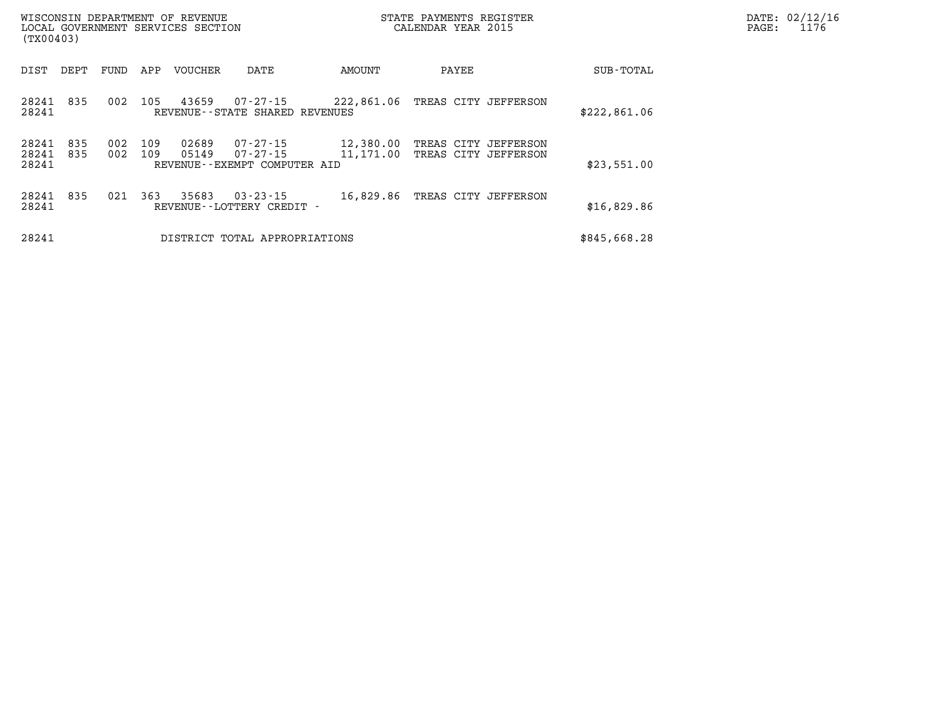| (TX00403)               |            |            |            | WISCONSIN DEPARTMENT OF REVENUE<br>LOCAL GOVERNMENT SERVICES SECTION |                                                      |                        | STATE PAYMENTS REGISTER<br>CALENDAR YEAR 2015 |  | DATE: 02/12/16<br>$\mathtt{PAGE}$ :<br>1176 |  |
|-------------------------|------------|------------|------------|----------------------------------------------------------------------|------------------------------------------------------|------------------------|-----------------------------------------------|--|---------------------------------------------|--|
| DIST                    | DEPT       | FUND       | APP        | VOUCHER                                                              | DATE                                                 | AMOUNT                 | PAYEE                                         |  | SUB-TOTAL                                   |  |
| 28241 835<br>28241      |            | 002        | 105        | 43659                                                                | 07-27-15<br>REVENUE - - STATE SHARED REVENUES        |                        | 222,861.06 TREAS CITY JEFFERSON               |  | \$222,861.06                                |  |
| 28241<br>28241<br>28241 | 835<br>835 | 002<br>002 | 109<br>109 | 02689<br>05149                                                       | 07-27-15<br>07-27-15<br>REVENUE--EXEMPT COMPUTER AID | 12,380.00<br>11,171.00 | TREAS CITY JEFFERSON<br>TREAS CITY JEFFERSON  |  | \$23,551.00                                 |  |
| 28241 835<br>28241      |            | 021        | 363        | 35683                                                                | $03 - 23 - 15$<br>REVENUE - - LOTTERY CREDIT -       | 16,829.86              | TREAS CITY JEFFERSON                          |  | \$16,829.86                                 |  |
| 28241                   |            |            |            |                                                                      | DISTRICT TOTAL APPROPRIATIONS                        |                        |                                               |  | \$845,668.28                                |  |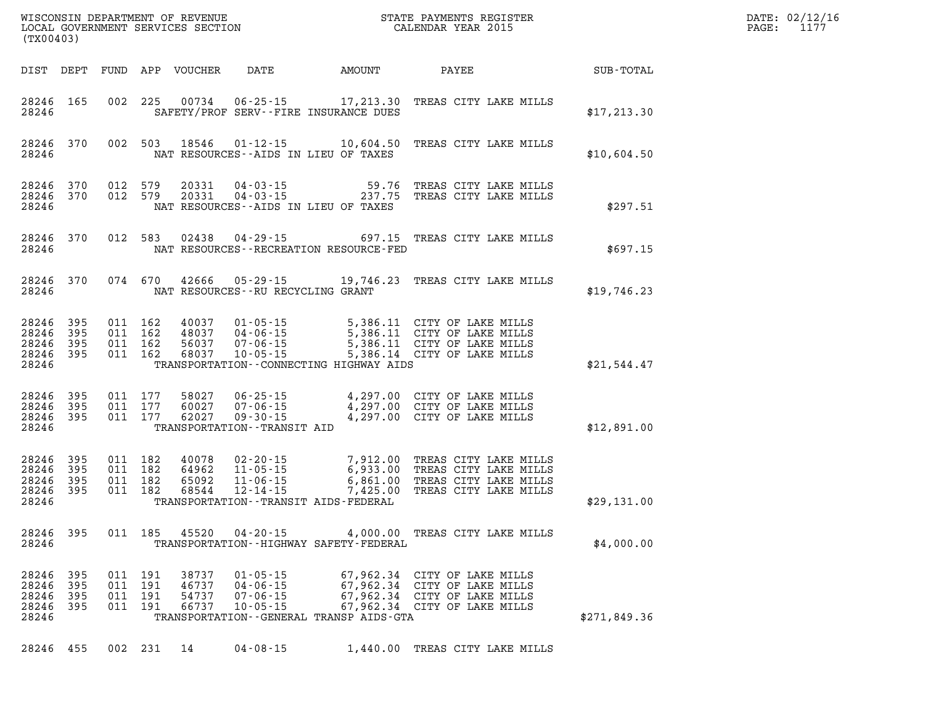| DATE: | 02/12/16 |
|-------|----------|
| PAGE: | 1177     |

| (TX00403)                                             |              |     |                                          | LOCAL GOVERNMENT SERVICES SECTION |                                                                      |                                                      | CALENDAR YEAR 2015                                                                                                                                                                       |              | PAGE: | 1177 |
|-------------------------------------------------------|--------------|-----|------------------------------------------|-----------------------------------|----------------------------------------------------------------------|------------------------------------------------------|------------------------------------------------------------------------------------------------------------------------------------------------------------------------------------------|--------------|-------|------|
| DIST DEPT                                             |              |     |                                          | FUND APP VOUCHER                  |                                                                      |                                                      | DATE AMOUNT PAYEE SUB-TOTAL                                                                                                                                                              |              |       |      |
| 28246 165<br>28246                                    |              |     |                                          |                                   |                                                                      | SAFETY/PROF SERV--FIRE INSURANCE DUES                | 002 225 00734 06-25-15 17,213.30 TREAS CITY LAKE MILLS                                                                                                                                   | \$17,213.30  |       |      |
| 28246 370<br>28246                                    |              |     |                                          |                                   |                                                                      | NAT RESOURCES -- AIDS IN LIEU OF TAXES               | 002 503 18546 01-12-15 10,604.50 TREAS CITY LAKE MILLS                                                                                                                                   | \$10,604.50  |       |      |
| 28246 370<br>28246 370<br>28246                       |              |     | 012 579<br>012 579                       | 20331<br>20331                    |                                                                      | NAT RESOURCES--AIDS IN LIEU OF TAXES                 | 04-03-15 59.76 TREAS CITY LAKE MILLS<br>04-03-15 237.75 TREAS CITY LAKE MILLS                                                                                                            | \$297.51     |       |      |
| 28246 370<br>28246                                    |              |     | 012 583                                  |                                   | $02438$ $04-29-15$                                                   | NAT RESOURCES - - RECREATION RESOURCE - FED          | 697.15 TREAS CITY LAKE MILLS                                                                                                                                                             | \$697.15     |       |      |
| 28246 370<br>28246                                    |              |     | 074 670                                  | 42666                             | NAT RESOURCES--RU RECYCLING GRANT                                    |                                                      | 05-29-15 19,746.23 TREAS CITY LAKE MILLS                                                                                                                                                 | \$19,746.23  |       |      |
| 28246<br>28246<br>28246 395<br>28246 395<br>28246     | 395<br>395   |     | 011 162<br>011 162<br>011 162<br>011 162 | 40037<br>48037<br>56037<br>68037  | $10 - 05 - 15$                                                       | TRANSPORTATION--CONNECTING HIGHWAY AIDS              | 01-05-15 5,386.11 CITY OF LAKE MILLS<br>04-06-15 5,386.11 CITY OF LAKE MILLS<br>07-06-15 5,386.11 CITY OF LAKE MILLS<br>5,386.14 CITY OF LAKE MILLS                                      | \$21,544.47  |       |      |
| 28246 395<br>28246 395<br>28246 395<br>28246          |              |     | 011 177<br>011 177<br>011 177            | 58027<br>60027<br>62027           | TRANSPORTATION--TRANSIT AID                                          |                                                      | 06-25-15   4,297.00 CITY OF LAKE MILLS<br>07-06-15   4,297.00 CITY OF LAKE MILLS<br>09-30-15   4,297.00 CITY OF LAKE MILLS                                                               | \$12,891.00  |       |      |
| 28246<br>28246 395<br>28246 395<br>28246 395<br>28246 | 395          |     | 011 182<br>011 182<br>011 182<br>011 182 | 40078<br>64962<br>65092<br>68544  | $11 - 06 - 15$<br>$12 - 14 - 15$                                     | TRANSPORTATION - - TRANSIT AIDS - FEDERAL            | 02-20-15 7,912.00 TREAS CITY LAKE MILLS<br>11-05-15 6,933.00 TREAS CITY LAKE MILLS<br>6,861.00 TREAS CITY LAKE MILLS<br>7,425.00 TREAS CITY LAKE MILLS<br>7,425.00 TREAS CITY LAKE MILLS | \$29,131.00  |       |      |
| 28246 395<br>28246                                    |              |     | 011 185                                  | 45520                             |                                                                      | TRANSPORTATION - - HIGHWAY SAFETY - FEDERAL          | 04-20-15 4,000.00 TREAS CITY LAKE MILLS                                                                                                                                                  | \$4,000.00   |       |      |
| 28246 395<br>28246<br>28246 395<br>28246<br>28246     | 395<br>- 395 | 011 | 011 191<br>191<br>011 191<br>011 191     | 38737<br>46737<br>54737<br>66737  | $01 - 05 - 15$<br>$04 - 06 - 15$<br>$07 - 06 - 15$<br>$10 - 05 - 15$ | 67,962.34<br>TRANSPORTATION--GENERAL TRANSP AIDS-GTA | 67,962.34 CITY OF LAKE MILLS<br>CITY OF LAKE MILLS<br>67,962.34 CITY OF LAKE MILLS<br>67,962.34 CITY OF LAKE MILLS                                                                       | \$271,849.36 |       |      |
| 28246 455                                             |              |     | 002 231 14                               |                                   | $04 - 08 - 15$                                                       |                                                      | 1,440.00 TREAS CITY LAKE MILLS                                                                                                                                                           |              |       |      |

WISCONSIN DEPARTMENT OF REVENUE **STATE PAYMENTS REGISTER**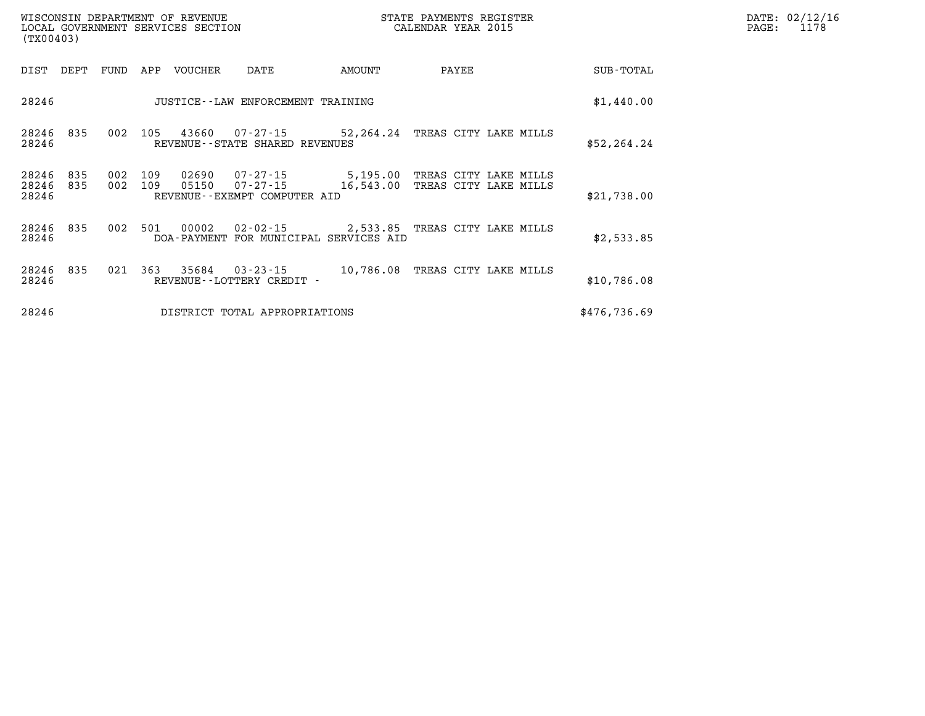| WISCONSIN DEPARTMENT OF REVENUE         | PAYMENTS REGISTER<br>3TATE | DATE: | 02/12/16 |
|-----------------------------------------|----------------------------|-------|----------|
| SERVICES SECTION<br>LOCAL<br>GOVERNMENT | CALENDAR YEAR 2015         | PAGE  |          |

| (TX00403)               |            |                |         | LOCAL GOVERNMENT SERVICES SECTION |                                                                                     | CALENDAR YEAR 2015              |  |       |  |  |               | PAGE: | 1178 |
|-------------------------|------------|----------------|---------|-----------------------------------|-------------------------------------------------------------------------------------|---------------------------------|--|-------|--|--|---------------|-------|------|
| DIST                    | DEPT       | FUND           | APP     | VOUCHER                           | DATE                                                                                | AMOUNT                          |  | PAYEE |  |  | SUB-TOTAL     |       |      |
| 28246                   |            |                |         |                                   | JUSTICE--LAW ENFORCEMENT TRAINING                                                   |                                 |  |       |  |  | \$1,440.00    |       |      |
| 28246 835<br>28246      |            |                | 002 105 | 43660 07-27-15                    | REVENUE--STATE SHARED REVENUES                                                      | 52,264.24 TREAS CITY LAKE MILLS |  |       |  |  | \$52, 264.24  |       |      |
| 28246<br>28246<br>28246 | 835<br>835 | 002<br>002 109 | 109     | 02690<br>05150                    | 07-27-15 5,195.00 TREAS CITY LAKE MILLS<br>07-27-15<br>REVENUE--EXEMPT COMPUTER AID | 16,543.00 TREAS CITY LAKE MILLS |  |       |  |  | \$21,738.00   |       |      |
| 28246 835<br>28246      |            |                | 002 501 | 00002                             | 02-02-15<br>DOA-PAYMENT FOR MUNICIPAL SERVICES AID                                  | 2,533.85 TREAS CITY LAKE MILLS  |  |       |  |  | \$2,533.85    |       |      |
| 28246<br>28246          | 835        | 021            | 363     | 35684                             | 03-23-15<br>REVENUE - - LOTTERY CREDIT -                                            | 10,786.08 TREAS CITY LAKE MILLS |  |       |  |  | \$10,786.08   |       |      |
| 28246                   |            |                |         |                                   | DISTRICT TOTAL APPROPRIATIONS                                                       |                                 |  |       |  |  | \$476, 736.69 |       |      |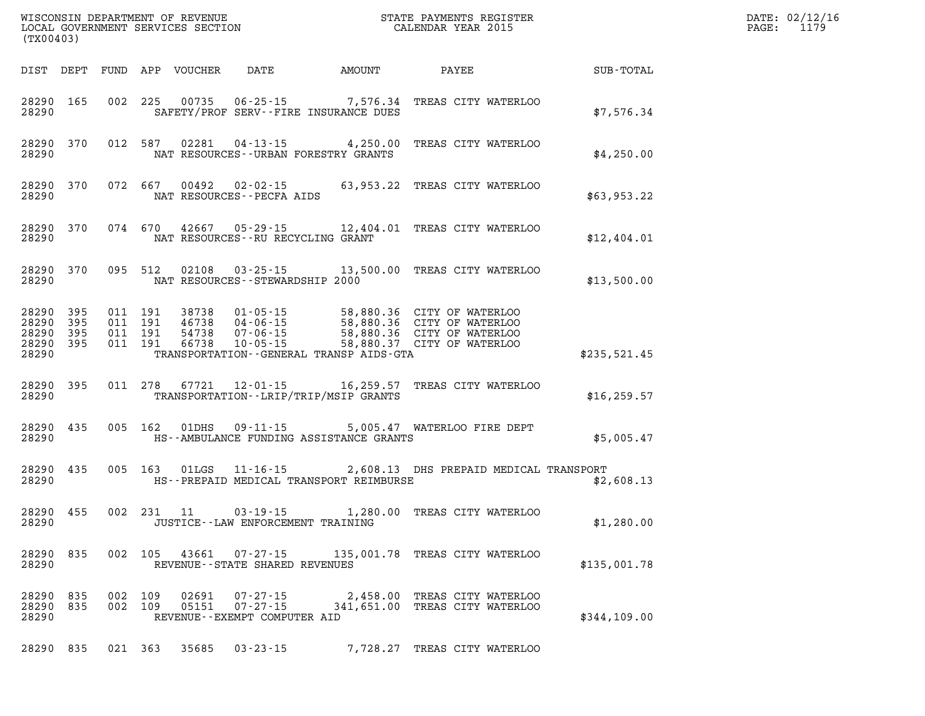| (TX00403)                                                          |                                          | WISCONSIN DEPARTMENT OF REVENUE<br>LOCAL GOVERNMENT SERVICES SECTION |                                                                                                     |        | STATE PAYMENTS REGISTER<br>CALENDAR YEAR 2015                                                                        |              | DATE: 02/12/16<br>1179<br>PAGE: |
|--------------------------------------------------------------------|------------------------------------------|----------------------------------------------------------------------|-----------------------------------------------------------------------------------------------------|--------|----------------------------------------------------------------------------------------------------------------------|--------------|---------------------------------|
| DIST DEPT                                                          |                                          | FUND APP VOUCHER                                                     | DATE                                                                                                | AMOUNT | PAYEE                                                                                                                | SUB-TOTAL    |                                 |
| 28290 165<br>28290                                                 |                                          | 002 225                                                              | 00735 06-25-15 7,576.34<br>SAFETY/PROF SERV--FIRE INSURANCE DUES                                    |        | TREAS CITY WATERLOO                                                                                                  | \$7,576.34   |                                 |
| 28290 370<br>28290                                                 |                                          | 012 587<br>02281                                                     | $04 - 13 - 15$ 4, 250.00<br>NAT RESOURCES - - URBAN FORESTRY GRANTS                                 |        | TREAS CITY WATERLOO                                                                                                  | \$4,250.00   |                                 |
| 28290 370<br>28290                                                 |                                          | 072 667<br>00492                                                     | NAT RESOURCES - - PECFA AIDS                                                                        |        | 02-02-15 63,953.22 TREAS CITY WATERLOO                                                                               | \$63,953.22  |                                 |
| 28290 370<br>28290                                                 |                                          | 074 670                                                              | NAT RESOURCES--RU RECYCLING GRANT                                                                   |        | 42667 05-29-15 12,404.01 TREAS CITY WATERLOO                                                                         | \$12,404.01  |                                 |
| 28290 370<br>28290                                                 | 095 512                                  |                                                                      | NAT RESOURCES - - STEWARDSHIP 2000                                                                  |        | 02108  03-25-15  13,500.00  TREAS CITY WATERLOO                                                                      | \$13,500.00  |                                 |
| 28290<br>395<br>28290<br>395<br>28290<br>395<br>28290 395<br>28290 | 011 191<br>011 191<br>011 191<br>011 191 | 38738<br>46738<br>54738<br>66738                                     | $01 - 05 - 15$<br>04-06-15<br>07-06-15<br>$10 - 05 - 15$<br>TRANSPORTATION--GENERAL TRANSP AIDS-GTA |        | 58,880.36 CITY OF WATERLOO<br>58,880.36 CITY OF WATERLOO<br>58,880.36 CITY OF WATERLOO<br>58,880.37 CITY OF WATERLOO | \$235,521.45 |                                 |
| 28290 395<br>28290                                                 | 011 278                                  |                                                                      | 67721 12-01-15<br>TRANSPORTATION--LRIP/TRIP/MSIP GRANTS                                             |        | 16,259.57 TREAS CITY WATERLOO                                                                                        | \$16, 259.57 |                                 |
| 28290<br>435<br>28290                                              |                                          | 005 162<br>01DHS                                                     | $09 - 11 - 15$<br>HS--AMBULANCE FUNDING ASSISTANCE GRANTS                                           |        | 5,005.47 WATERLOO FIRE DEPT                                                                                          | \$5,005.47   |                                 |
| 28290<br>435<br>28290                                              | 005 163                                  | 01LGS                                                                | 11-16-15<br>HS--PREPAID MEDICAL TRANSPORT REIMBURSE                                                 |        | 2,608.13 DHS PREPAID MEDICAL TRANSPORT                                                                               | \$2,608.13   |                                 |
| 28290<br>455<br>28290                                              |                                          | 002 231<br>11                                                        | 03-19-15<br>JUSTICE - - LAW ENFORCEMENT TRAINING                                                    |        | 1,280.00 TREAS CITY WATERLOO                                                                                         | \$1,280.00   |                                 |
| 28290 835<br>28290                                                 |                                          | 002 105                                                              | 43661 07-27-15<br>REVENUE - - STATE SHARED REVENUES                                                 |        | 135,001.78 TREAS CITY WATERLOO                                                                                       | \$135,001.78 |                                 |
| 28290 835<br>28290 835<br>28290                                    | 002 109<br>002 109                       | 02691<br>05151                                                       | 07-27-15<br>$07 - 27 - 15$<br>REVENUE--EXEMPT COMPUTER AID                                          |        | 2,458.00 TREAS CITY WATERLOO<br>341,651.00 TREAS CITY WATERLOO                                                       | \$344,109.00 |                                 |
| 28290 835                                                          | 021 363                                  | 35685                                                                | $03 - 23 - 15$                                                                                      |        | 7,728.27 TREAS CITY WATERLOO                                                                                         |              |                                 |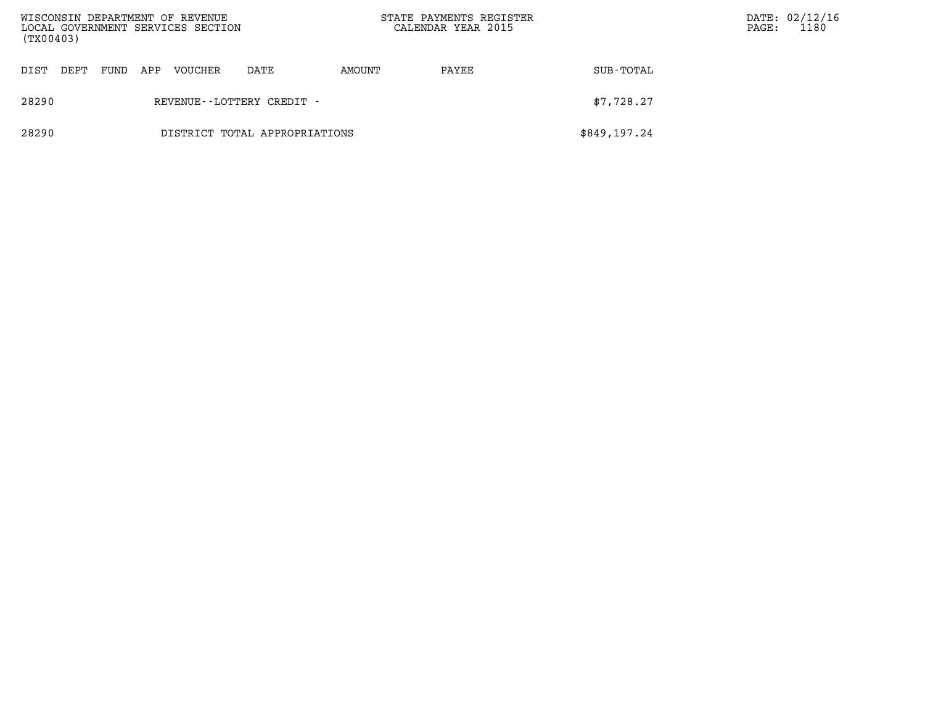| (TX00403) |      |      |     | WISCONSIN DEPARTMENT OF REVENUE<br>LOCAL GOVERNMENT SERVICES SECTION |                               | STATE PAYMENTS REGISTER<br>CALENDAR YEAR 2015 |       | PAGE:        | DATE: 02/12/16<br>1180 |  |
|-----------|------|------|-----|----------------------------------------------------------------------|-------------------------------|-----------------------------------------------|-------|--------------|------------------------|--|
| DIST      | DEPT | FUND | APP | VOUCHER                                                              | DATE                          | AMOUNT                                        | PAYEE | SUB-TOTAL    |                        |  |
| 28290     |      |      |     |                                                                      | REVENUE - - LOTTERY CREDIT -  |                                               |       | \$7,728.27   |                        |  |
| 28290     |      |      |     |                                                                      | DISTRICT TOTAL APPROPRIATIONS |                                               |       | \$849,197.24 |                        |  |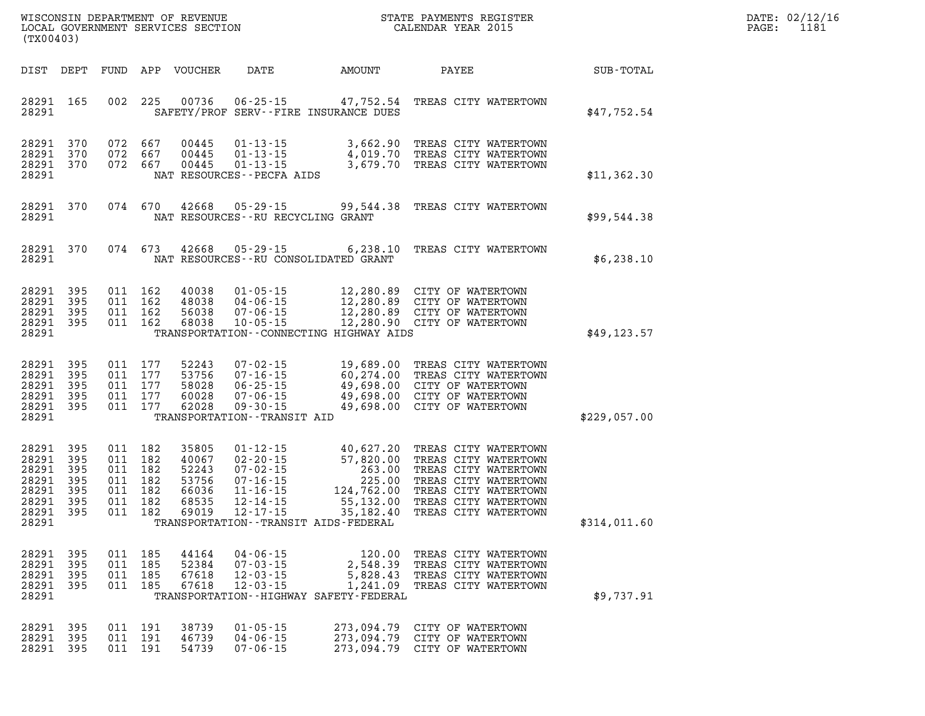| WISCONSIN DEPARTMENT OF REVENUE   | PAYMENTS REGISTER<br>3TATE | DATE: | 02/12/16 |
|-----------------------------------|----------------------------|-------|----------|
| LOCAL GOVERNMENT SERVICES SECTION | CALENDAR YEAR 2015         | PAGE  | 1181     |

|                                                                          | LOCAL GOVERNMENT SERVICES SECTION<br>(TX00403) |                                        |                                                     |                                                             |                                                                                                                      |                                                                                                                                                                   | CALENDAR YEAR 2015                                                                                                                                                             |                  | PAGE: | 1181 |
|--------------------------------------------------------------------------|------------------------------------------------|----------------------------------------|-----------------------------------------------------|-------------------------------------------------------------|----------------------------------------------------------------------------------------------------------------------|-------------------------------------------------------------------------------------------------------------------------------------------------------------------|--------------------------------------------------------------------------------------------------------------------------------------------------------------------------------|------------------|-------|------|
|                                                                          |                                                |                                        |                                                     | DIST DEPT FUND APP VOUCHER                                  | DATE                                                                                                                 | AMOUNT                                                                                                                                                            | PAYEE                                                                                                                                                                          | <b>SUB-TOTAL</b> |       |      |
| 28291 165<br>28291                                                       |                                                | 002                                    | 225                                                 | 00736                                                       |                                                                                                                      | $06 - 25 - 15$ 47, 752.54<br>SAFETY/PROF SERV--FIRE INSURANCE DUES                                                                                                | TREAS CITY WATERTOWN                                                                                                                                                           | \$47,752.54      |       |      |
| 28291<br>28291<br>28291                                                  | 28291 370<br>370<br>370                        |                                        | 072 667<br>072 667<br>072 667                       | 00445<br>00445<br>00445                                     | $01 - 13 - 15$<br>NAT RESOURCES - - PECFA AIDS                                                                       | 3,679.70                                                                                                                                                          | 01-13-15 3,662.90 TREAS CITY WATERTOWN<br>01-13-15 4,019.70 TREAS CITY WATERTOWN<br>TREAS CITY WATERTOWN                                                                       | \$11,362.30      |       |      |
| 28291 370<br>28291                                                       |                                                |                                        | 074 670                                             | 42668                                                       | 05-29-15<br>NAT RESOURCES - - RU RECYCLING GRANT                                                                     |                                                                                                                                                                   | 99,544.38 TREAS CITY WATERTOWN                                                                                                                                                 | \$99,544.38      |       |      |
| 28291 370<br>28291                                                       |                                                |                                        | 074 673                                             | 42668                                                       | 05-29-15                                                                                                             | NAT RESOURCES - - RU CONSOLIDATED GRANT                                                                                                                           | 6,238.10 TREAS CITY WATERTOWN                                                                                                                                                  | \$6,238.10       |       |      |
| 28291<br>28291<br>28291<br>28291 395<br>28291                            | 395<br>395<br>395                              | 011                                    | 011 162<br>011 162<br>162<br>011 162                | 40038<br>48038<br>56038<br>68038                            | $01 - 05 - 15$<br>04-06-15<br>$07 - 06 - 15$<br>$10 - 05 - 15$                                                       | TRANSPORTATION--CONNECTING HIGHWAY AIDS                                                                                                                           | 12,280.89 CITY OF WATERTOWN<br>12,280.89 CITY OF WATERTOWN<br>12,280.89 CITY OF WATERTOWN<br>12,280.90 CITY OF WATERTOWN                                                       | \$49, 123.57     |       |      |
| 28291<br>28291<br>28291<br>28291<br>28291 395<br>28291                   | 395<br>395<br>395<br>395                       |                                        | 011 177<br>011 177<br>011 177<br>011 177<br>011 177 | 52243<br>53756<br>58028<br>60028<br>62028                   | $07 - 16 - 15$<br>$06 - 25 - 15$<br>$07 - 06 - 15$<br>$09 - 30 - 15$<br>TRANSPORTATION - - TRANSIT AID               |                                                                                                                                                                   | 07-02-15 19,689.00 TREAS CITY WATERTOWN<br>50,274.00 TREAS CITY WATERTOWN<br>49,698.00 CITY OF WATERTOWN<br>49,698.00 CITY OF WATERTOWN<br>49,698.00 CITY OF WATERTOWN         | \$229,057.00     |       |      |
| 28291<br>28291<br>28291<br>28291<br>28291<br>28291<br>28291 395<br>28291 | 395<br>395<br>395<br>395<br>395<br>395         | 011<br>011<br>011<br>011<br>011<br>011 | 011 182<br>182<br>182<br>182<br>182<br>182<br>182   | 35805<br>40067<br>52243<br>53756<br>66036<br>68535<br>69019 | $01 - 12 - 15$<br>$02 - 20 - 15$<br>07-02-15<br>$07 - 16 - 15$<br>$11 - 16 - 15$<br>$12 - 14 - 15$<br>$12 - 17 - 15$ | $\begin{array}{r} 407,027.20 \\ 57,820.00 \\ 263.00 \\ 225.00 \\ 124,762.00 \\ 55,132.00 \\ -2.5,182.40 \end{array}$<br>TRANSPORTATION - - TRANSIT AIDS - FEDERAL | 40,627.20 TREAS CITY WATERTOWN<br>TREAS CITY WATERTOWN<br>TREAS CITY WATERTOWN<br>TREAS CITY WATERTOWN<br>TREAS CITY WATERTOWN<br>TREAS CITY WATERTOWN<br>TREAS CITY WATERTOWN | \$314,011.60     |       |      |
| 28291<br>28291<br>28291<br>28291<br>28291                                | - 395<br>395<br>395<br>395                     | 011<br>011<br>011<br>011               | 185<br>185<br>185<br>185                            | 44164<br>52384<br>67618<br>67618                            | $04 - 06 - 15$<br>$07 - 03 - 15$<br>$12 - 03 - 15$<br>$12 - 03 - 15$                                                 | 120.00<br>2,548.39<br>5,828.43<br>1,241.09<br>TRANSPORTATION - - HIGHWAY SAFETY - FEDERAL                                                                         | TREAS CITY WATERTOWN<br>TREAS CITY WATERTOWN<br>TREAS CITY WATERTOWN<br>TREAS CITY WATERTOWN                                                                                   | \$9,737.91       |       |      |
| 28291<br>28291<br>28291                                                  | 395<br>395<br>- 395                            | 011                                    | 191<br>011 191<br>011 191                           | 38739<br>46739<br>54739                                     | $01 - 05 - 15$<br>$04 - 06 - 15$<br>$07 - 06 - 15$                                                                   | 273,094.79<br>273,094.79<br>273,094.79                                                                                                                            | CITY OF WATERTOWN<br>CITY OF WATERTOWN<br>CITY OF WATERTOWN                                                                                                                    |                  |       |      |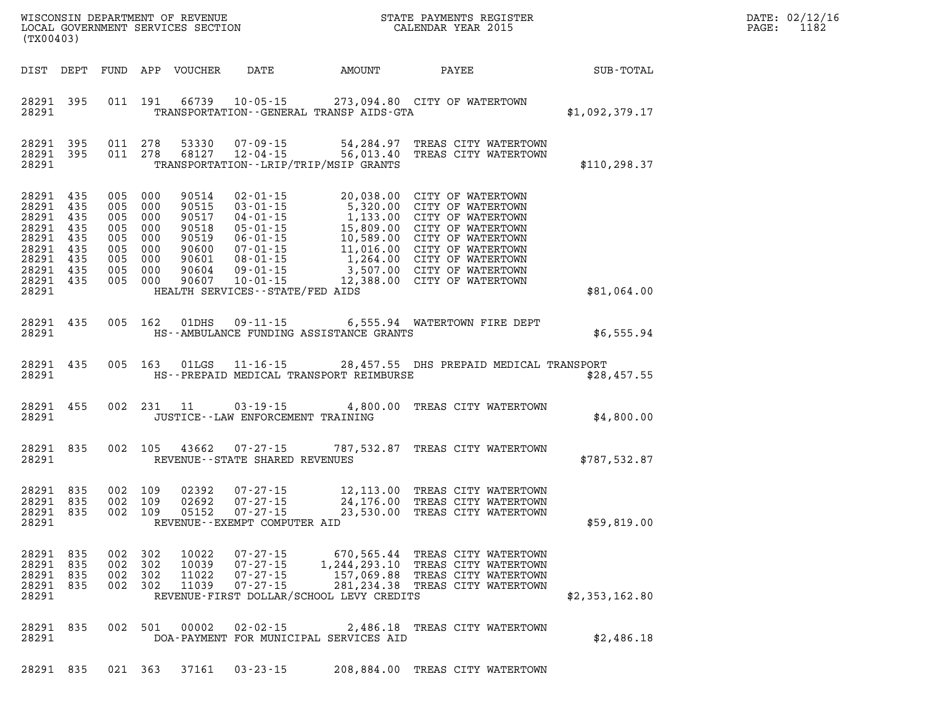| (TX00403)                                                                         |                                                            |                                                                                                 |                                  |                                                                |                                          | WISCONSIN DEPARTMENT OF REVENUE<br>LOCAL GOVERNMENT SERVICES SECTION TERM CALENDAR YEAR 2015                                                                                                                                                  | DATE: 02/12/16<br>1182<br>$\mathtt{PAGE}$ : |  |
|-----------------------------------------------------------------------------------|------------------------------------------------------------|-------------------------------------------------------------------------------------------------|----------------------------------|----------------------------------------------------------------|------------------------------------------|-----------------------------------------------------------------------------------------------------------------------------------------------------------------------------------------------------------------------------------------------|---------------------------------------------|--|
|                                                                                   |                                                            |                                                                                                 | DIST DEPT FUND APP VOUCHER       | DATE                                                           |                                          | AMOUNT PAYEE SUB-TOTAL                                                                                                                                                                                                                        |                                             |  |
| 28291                                                                             | 28291 395                                                  |                                                                                                 |                                  |                                                                | TRANSPORTATION--GENERAL TRANSP AIDS-GTA  | 011 191 66739 10-05-15 273,094.80 CITY OF WATERTOWN                                                                                                                                                                                           | \$1,092,379.17                              |  |
| 28291                                                                             | 28291 395 011 278<br>28291 395                             | 011 278                                                                                         |                                  |                                                                | TRANSPORTATION - - LRIP/TRIP/MSIP GRANTS | 53330  07-09-15  54,284.97 TREAS CITY WATERTOWN<br>68127  12-04-15  56,013.40 TREAS CITY WATERTOWN                                                                                                                                            | \$110, 298.37                               |  |
| 28291 435<br>28291<br>28291<br>28291<br>28291<br>28291<br>28291<br>28291<br>28291 | 435<br>435<br>435<br>435<br>435<br>435<br>435<br>28291 435 | 005 000<br>005 000<br>005 000<br>005 000<br>005 000<br>005 000<br>005 000<br>005 000<br>005 000 |                                  | HEALTH SERVICES--STATE/FED AIDS                                |                                          | 90514 02-01-15 20,038.00 CITY OF WATERTOWN<br>90515 03-01-15 5,320.00 CITY OF WATERTOWN<br>90517 04-01-15 1,133.00 CITY OF WATERTOWN<br>90518 05-01-15 15,809.00 CITY OF WATERTOWN<br>90519 06-01-15 10,589.00 CITY OF WATERTOWN<br>90600 07- | \$81,064.00                                 |  |
| 28291                                                                             | 28291 435                                                  |                                                                                                 |                                  |                                                                | HS--AMBULANCE FUNDING ASSISTANCE GRANTS  | 005 162 01DHS 09-11-15 6,555.94 WATERTOWN FIRE DEPT                                                                                                                                                                                           | \$6,555.94                                  |  |
| 28291                                                                             | 28291 435                                                  |                                                                                                 |                                  |                                                                | HS--PREPAID MEDICAL TRANSPORT REIMBURSE  | 005 163 01LGS 11-16-15 28,457.55 DHS PREPAID MEDICAL TRANSPORT                                                                                                                                                                                | \$28,457.55                                 |  |
| 28291                                                                             | 28291 455                                                  |                                                                                                 |                                  | JUSTICE--LAW ENFORCEMENT TRAINING                              |                                          | 002 231 11 03-19-15 4,800.00 TREAS CITY WATERTOWN                                                                                                                                                                                             | \$4,800.00                                  |  |
| 28291 835<br>28291                                                                |                                                            |                                                                                                 |                                  | REVENUE--STATE SHARED REVENUES                                 |                                          | 002 105 43662 07-27-15 787,532.87 TREAS CITY WATERTOWN                                                                                                                                                                                        | \$787,532.87                                |  |
| 28291 835<br>28291 835<br>28291 835<br>28291                                      |                                                            | 002 109<br>002 109<br>002 109                                                                   | 02392<br>02692<br>05152          | REVENUE - EXEMPT COMPUTER AID                                  |                                          | 07–27–15 12,113.00 TREAS CITY WATERTOWN<br>07–27–15 24,176.00 TREAS CITY WATERTOWN<br>07–27–15 23,530.00 TREAS CITY WATERTOWN                                                                                                                 | \$59,819.00                                 |  |
| 28291 835<br>28291<br>28291<br>28291<br>28291                                     | 835<br>835<br>835                                          | 002 302<br>002 302<br>002 302<br>002 302                                                        | 10022<br>10039<br>11022<br>11039 | 07-27-15<br>$07 - 27 - 15$<br>$07 - 27 - 15$<br>$07 - 27 - 15$ | REVENUE-FIRST DOLLAR/SCHOOL LEVY CREDITS | 670,565.44 TREAS CITY WATERTOWN<br>1,244,293.10 TREAS CITY WATERTOWN<br>157,069.88 TREAS CITY WATERTOWN<br>281, 234.38 TREAS CITY WATERTOWN                                                                                                   | \$2,353,162.80                              |  |
| 28291 835<br>28291                                                                |                                                            | 002 501                                                                                         | 00002                            | $02 - 02 - 15$                                                 | DOA-PAYMENT FOR MUNICIPAL SERVICES AID   | 2,486.18 TREAS CITY WATERTOWN                                                                                                                                                                                                                 | \$2,486.18                                  |  |

**28291 835 021 363 37161 03-23-15 208,884.00 TREAS CITY WATERTOWN**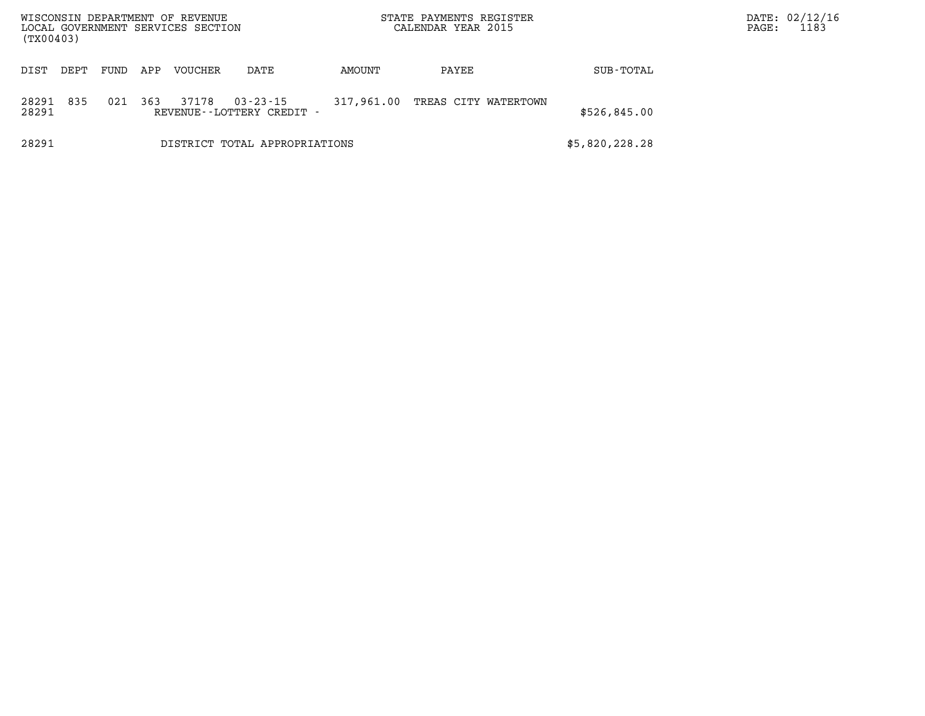| (TX00403)      |      |      |     | WISCONSIN DEPARTMENT OF REVENUE<br>LOCAL GOVERNMENT SERVICES SECTION |                                       |            | STATE PAYMENTS REGISTER<br>CALENDAR YEAR 2015 | PAGE:          | DATE: 02/12/16<br>1183 |  |
|----------------|------|------|-----|----------------------------------------------------------------------|---------------------------------------|------------|-----------------------------------------------|----------------|------------------------|--|
| DIST           | DEPT | FUND | APP | <b>VOUCHER</b>                                                       | DATE                                  | AMOUNT     | PAYEE                                         | SUB-TOTAL      |                        |  |
| 28291<br>28291 | 835  | 021  | 363 | 37178                                                                | 03-23-15<br>REVENUE--LOTTERY CREDIT - | 317,961.00 | TREAS CITY WATERTOWN                          | \$526,845.00   |                        |  |
| 28291          |      |      |     |                                                                      | DISTRICT TOTAL APPROPRIATIONS         |            |                                               | \$5,820,228.28 |                        |  |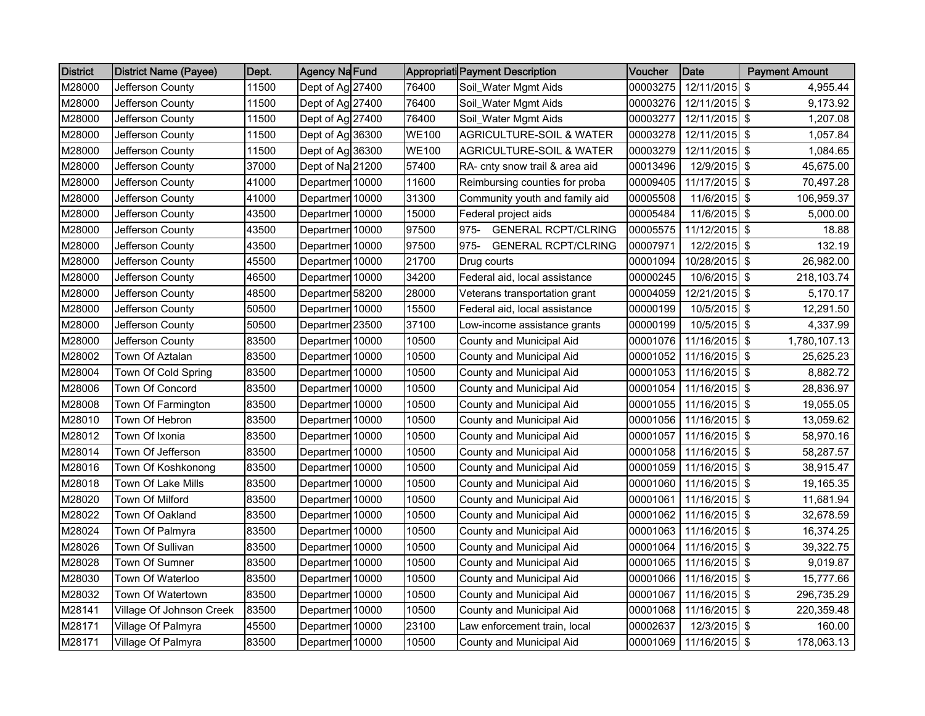| <b>District</b> | <b>District Name (Payee)</b> | Dept. | Agency Na Fund             |              | <b>Appropriati Payment Description</b> | <b>Voucher</b> | Date            | <b>Payment Amount</b> |
|-----------------|------------------------------|-------|----------------------------|--------------|----------------------------------------|----------------|-----------------|-----------------------|
| M28000          | Jefferson County             | 11500 | Dept of Ag 27400           | 76400        | Soil Water Mgmt Aids                   | 00003275       | 12/11/2015 \$   | 4,955.44              |
| M28000          | Jefferson County             | 11500 | Dept of Ag 27400           | 76400        | Soil Water Mgmt Aids                   | 00003276       | 12/11/2015 \$   | 9,173.92              |
| M28000          | Jefferson County             | 11500 | Dept of Ag 27400           | 76400        | Soil_Water Mgmt Aids                   | 00003277       | 12/11/2015 \$   | 1,207.08              |
| M28000          | Jefferson County             | 11500 | Dept of Ag 36300           | <b>WE100</b> | AGRICULTURE-SOIL & WATER               | 00003278       | 12/11/2015 \$   | 1,057.84              |
| M28000          | Jefferson County             | 11500 | Dept of Ag 36300           | <b>WE100</b> | <b>AGRICULTURE-SOIL &amp; WATER</b>    | 00003279       | 12/11/2015 \$   | 1,084.65              |
| M28000          | Jefferson County             | 37000 | Dept of Na 21200           | 57400        | RA- cnty snow trail & area aid         | 00013496       | 12/9/2015 \$    | 45,675.00             |
| M28000          | Jefferson County             | 41000 | Departmen 10000            | 11600        | Reimbursing counties for proba         | 00009405       | 11/17/2015 \$   | 70,497.28             |
| M28000          | Jefferson County             | 41000 | Departmen 10000            | 31300        | Community youth and family aid         | 00005508       | 11/6/2015 \$    | 106,959.37            |
| M28000          | Jefferson County             | 43500 | Departmen 10000            | 15000        | Federal project aids                   | 00005484       | 11/6/2015 \$    | 5,000.00              |
| M28000          | Jefferson County             | 43500 | Departmen 10000            | 97500        | <b>GENERAL RCPT/CLRING</b><br>$975 -$  | 00005575       | 11/12/2015 \$   | 18.88                 |
| M28000          | Jefferson County             | 43500 | Departmen 10000            | 97500        | $975 -$<br><b>GENERAL RCPT/CLRING</b>  | 00007971       | 12/2/2015 \$    | 132.19                |
| M28000          | Jefferson County             | 45500 | Departmen 10000            | 21700        | Drug courts                            | 00001094       | 10/28/2015 \$   | 26,982.00             |
| M28000          | Jefferson County             | 46500 | Departmen 10000            | 34200        | Federal aid, local assistance          | 00000245       | 10/6/2015 \$    | 218,103.74            |
| M28000          | Jefferson County             | 48500 | Departmen 58200            | 28000        | Veterans transportation grant          | 00004059       | 12/21/2015 \$   | 5,170.17              |
| M28000          | Jefferson County             | 50500 | Departmen 10000            | 15500        | Federal aid, local assistance          | 00000199       | 10/5/2015 \$    | 12,291.50             |
| M28000          | Jefferson County             | 50500 | Departmen <sub>23500</sub> | 37100        | Low-income assistance grants           | 00000199       | 10/5/2015 \$    | 4,337.99              |
| M28000          | Jefferson County             | 83500 | Departmen 10000            | 10500        | County and Municipal Aid               | 00001076       | 11/16/2015 \$   | 1,780,107.13          |
| M28002          | Town Of Aztalan              | 83500 | Departmen 10000            | 10500        | County and Municipal Aid               | 00001052       | 11/16/2015 \$   | 25,625.23             |
| M28004          | Town Of Cold Spring          | 83500 | Departmen 10000            | 10500        | County and Municipal Aid               | 00001053       | 11/16/2015 \$   | 8,882.72              |
| M28006          | Town Of Concord              | 83500 | Departmen 10000            | 10500        | County and Municipal Aid               | 00001054       | 11/16/2015 \$   | 28,836.97             |
| M28008          | Town Of Farmington           | 83500 | Departmen 10000            | 10500        | County and Municipal Aid               | 00001055       | 11/16/2015 \$   | 19,055.05             |
| M28010          | Town Of Hebron               | 83500 | Departmen 10000            | 10500        | County and Municipal Aid               | 00001056       | 11/16/2015 \$   | 13,059.62             |
| M28012          | Town Of Ixonia               | 83500 | Departmen 10000            | 10500        | County and Municipal Aid               | 00001057       | 11/16/2015 \$   | 58,970.16             |
| M28014          | Town Of Jefferson            | 83500 | Departmen 10000            | 10500        | County and Municipal Aid               | 00001058       | 11/16/2015 \$   | 58,287.57             |
| M28016          | Town Of Koshkonong           | 83500 | Departmen 10000            | 10500        | County and Municipal Aid               | 00001059       | 11/16/2015 \$   | 38,915.47             |
| M28018          | Town Of Lake Mills           | 83500 | Departmen 10000            | 10500        | County and Municipal Aid               | 00001060       | 11/16/2015 \$   | 19,165.35             |
| M28020          | Town Of Milford              | 83500 | Departmen 10000            | 10500        | County and Municipal Aid               | 00001061       | 11/16/2015 \$   | 11,681.94             |
| M28022          | Town Of Oakland              | 83500 | Departmen 10000            | 10500        | County and Municipal Aid               | 00001062       | 11/16/2015 \$   | 32,678.59             |
| M28024          | Town Of Palmyra              | 83500 | Departmen 10000            | 10500        | County and Municipal Aid               | 00001063       | 11/16/2015 \$   | 16,374.25             |
| M28026          | Town Of Sullivan             | 83500 | Departmen 10000            | 10500        | County and Municipal Aid               | 00001064       | 11/16/2015 \$   | 39,322.75             |
| M28028          | Town Of Sumner               | 83500 | Departmen 10000            | 10500        | County and Municipal Aid               | 00001065       | 11/16/2015 \$   | 9,019.87              |
| M28030          | Town Of Waterloo             | 83500 | Departmen 10000            | 10500        | County and Municipal Aid               | 00001066       | 11/16/2015 \$   | 15,777.66             |
| M28032          | Town Of Watertown            | 83500 | Departmen 10000            | 10500        | County and Municipal Aid               | 00001067       | 11/16/2015 \$   | 296,735.29            |
| M28141          | Village Of Johnson Creek     | 83500 | Departmen 10000            | 10500        | County and Municipal Aid               | 00001068       | 11/16/2015 \$   | 220,359.48            |
| M28171          | Village Of Palmyra           | 45500 | Departmen 10000            | 23100        | Law enforcement train, local           | 00002637       | 12/3/2015 \$    | 160.00                |
| M28171          | Village Of Palmyra           | 83500 | Departmen 10000            | 10500        | County and Municipal Aid               | 00001069       | $11/16/2015$ \$ | 178,063.13            |